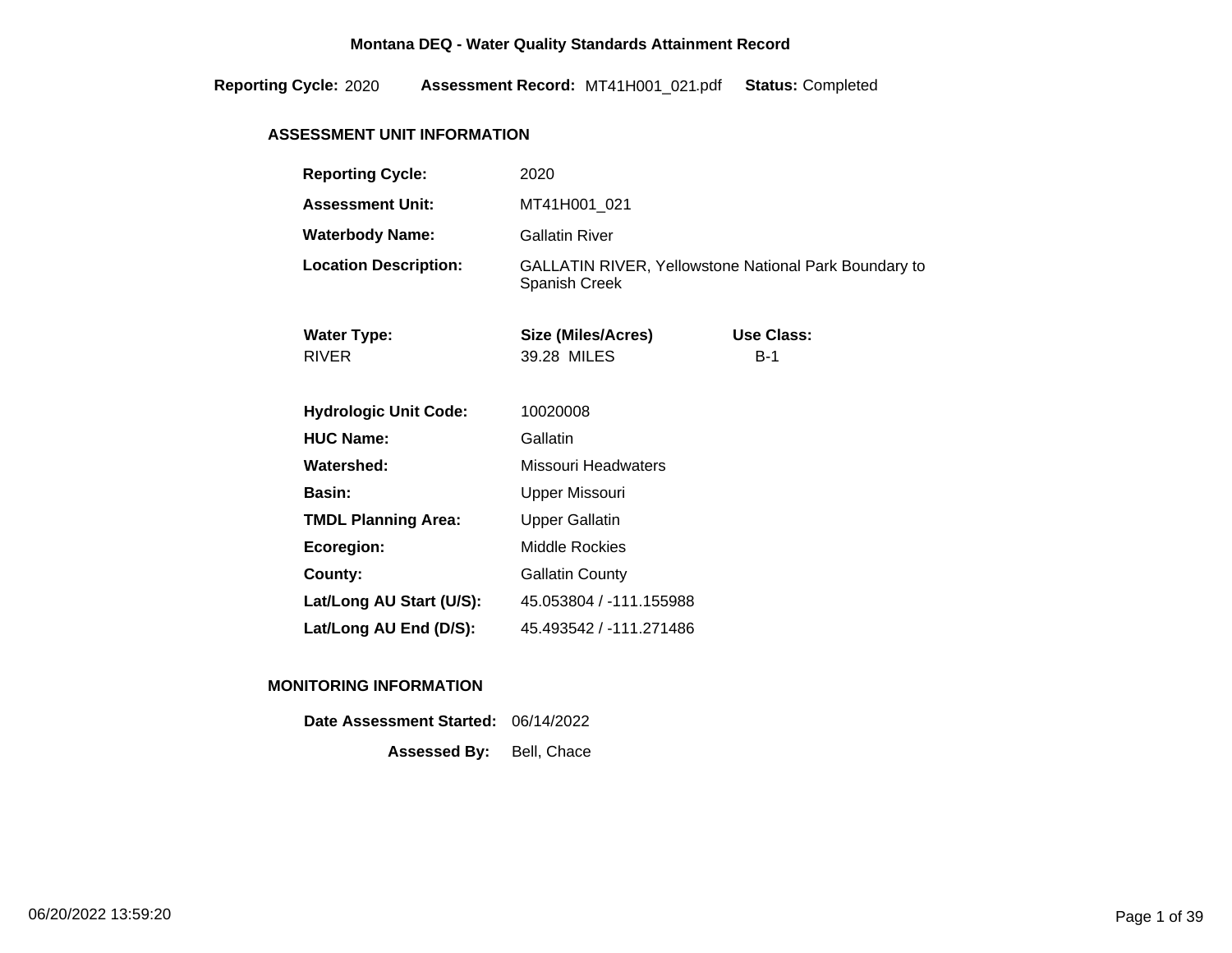2020 MT41H001\_021 Completed **Reporting Cycle: Assessment Record:** .pdf **Status:**

# **ASSESSMENT UNIT INFORMATION**

| <b>Reporting Cycle:</b>            | 2020                                                                                 |                            |  |
|------------------------------------|--------------------------------------------------------------------------------------|----------------------------|--|
| <b>Assessment Unit:</b>            | MT41H001_021                                                                         |                            |  |
| <b>Waterbody Name:</b>             | <b>Gallatin River</b>                                                                |                            |  |
| <b>Location Description:</b>       | <b>GALLATIN RIVER, Yellowstone National Park Boundary to</b><br><b>Spanish Creek</b> |                            |  |
| <b>Water Type:</b><br><b>RIVER</b> | Size (Miles/Acres)<br>39.28 MILES                                                    | <b>Use Class:</b><br>$B-1$ |  |
| <b>Hydrologic Unit Code:</b>       | 10020008                                                                             |                            |  |
| <b>HUC Name:</b>                   | Gallatin                                                                             |                            |  |
| Watershed:                         | Missouri Headwaters                                                                  |                            |  |
| <b>Basin:</b>                      | Upper Missouri                                                                       |                            |  |
| <b>TMDL Planning Area:</b>         | <b>Upper Gallatin</b>                                                                |                            |  |
| Ecoregion:                         | <b>Middle Rockies</b>                                                                |                            |  |
| County:                            | <b>Gallatin County</b>                                                               |                            |  |
| Lat/Long AU Start (U/S):           | 45.053804 / -111.155988                                                              |                            |  |
| Lat/Long AU End (D/S):             | 45.493542 / -111.271486                                                              |                            |  |

### **MONITORING INFORMATION**

| Date Assessment Started: 06/14/2022 |  |
|-------------------------------------|--|
| <b>Assessed By:</b> Bell, Chace     |  |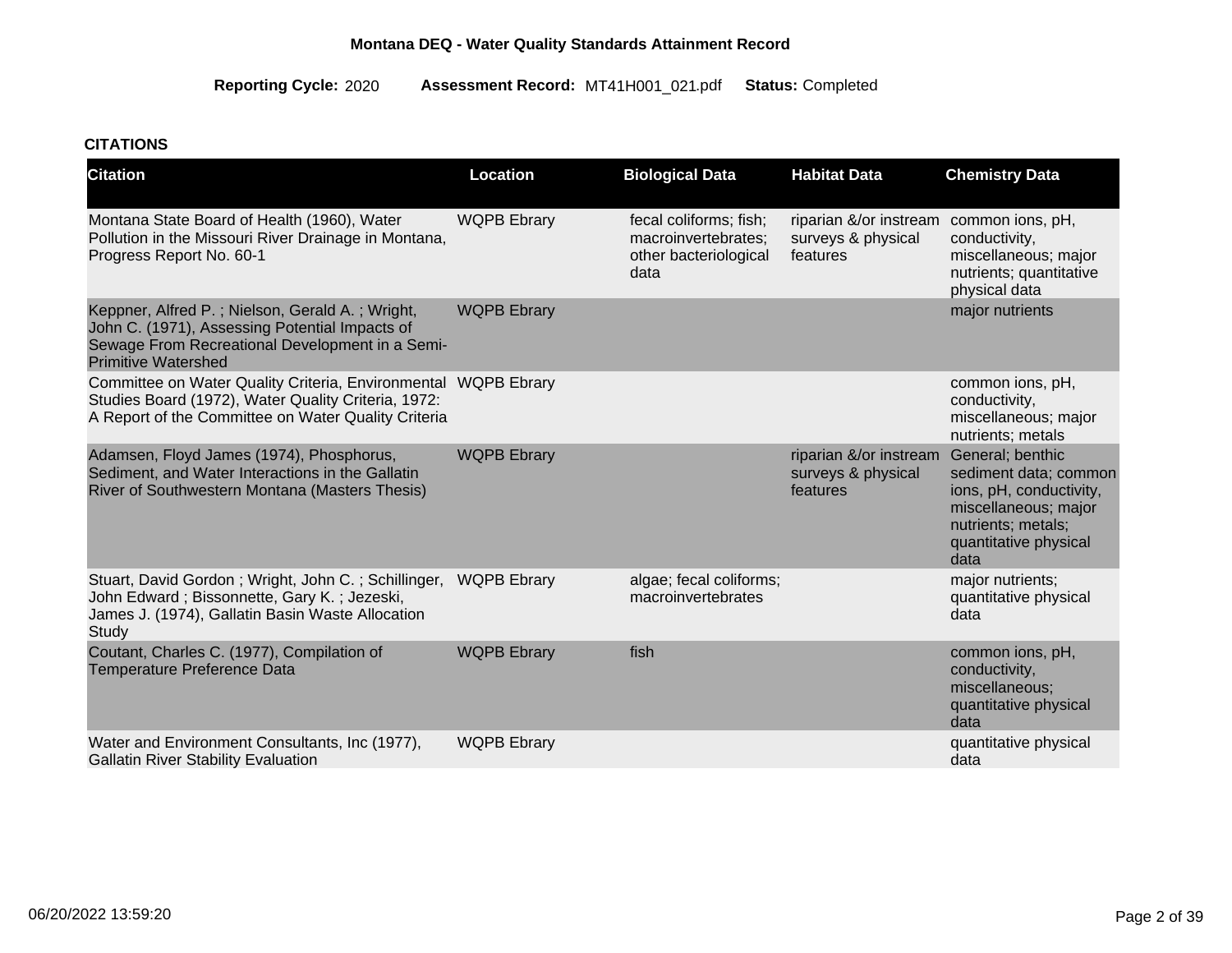2020 MT41H001\_021 Completed **Reporting Cycle: Assessment Record:** .pdf **Status:**

# **CITATIONS**

| <b>Citation</b>                                                                                                                                                                    | Location           | <b>Biological Data</b>                                                         | <b>Habitat Data</b>                                      | <b>Chemistry Data</b>                                                                                                                               |
|------------------------------------------------------------------------------------------------------------------------------------------------------------------------------------|--------------------|--------------------------------------------------------------------------------|----------------------------------------------------------|-----------------------------------------------------------------------------------------------------------------------------------------------------|
| Montana State Board of Health (1960), Water<br>Pollution in the Missouri River Drainage in Montana,<br>Progress Report No. 60-1                                                    | <b>WQPB Ebrary</b> | fecal coliforms; fish;<br>macroinvertebrates;<br>other bacteriological<br>data | riparian &/or instream<br>surveys & physical<br>features | common ions, pH,<br>conductivity,<br>miscellaneous; major<br>nutrients; quantitative<br>physical data                                               |
| Keppner, Alfred P.; Nielson, Gerald A.; Wright,<br>John C. (1971), Assessing Potential Impacts of<br>Sewage From Recreational Development in a Semi-<br><b>Primitive Watershed</b> | <b>WQPB Ebrary</b> |                                                                                |                                                          | major nutrients                                                                                                                                     |
| Committee on Water Quality Criteria, Environmental WQPB Ebrary<br>Studies Board (1972), Water Quality Criteria, 1972:<br>A Report of the Committee on Water Quality Criteria       |                    |                                                                                |                                                          | common ions, pH,<br>conductivity,<br>miscellaneous; major<br>nutrients; metals                                                                      |
| Adamsen, Floyd James (1974), Phosphorus,<br>Sediment, and Water Interactions in the Gallatin<br>River of Southwestern Montana (Masters Thesis)                                     | <b>WQPB Ebrary</b> |                                                                                | riparian &/or instream<br>surveys & physical<br>features | General; benthic<br>sediment data; common<br>ions, pH, conductivity,<br>miscellaneous; major<br>nutrients; metals;<br>quantitative physical<br>data |
| Stuart, David Gordon; Wright, John C.; Schillinger, WQPB Ebrary<br>John Edward; Bissonnette, Gary K.; Jezeski,<br>James J. (1974), Gallatin Basin Waste Allocation<br>Study        |                    | algae; fecal coliforms;<br>macroinvertebrates                                  |                                                          | major nutrients;<br>quantitative physical<br>data                                                                                                   |
| Coutant, Charles C. (1977), Compilation of<br>Temperature Preference Data                                                                                                          | <b>WQPB Ebrary</b> | fish                                                                           |                                                          | common ions, pH,<br>conductivity,<br>miscellaneous;<br>quantitative physical<br>data                                                                |
| Water and Environment Consultants, Inc (1977),<br><b>Gallatin River Stability Evaluation</b>                                                                                       | <b>WQPB Ebrary</b> |                                                                                |                                                          | quantitative physical<br>data                                                                                                                       |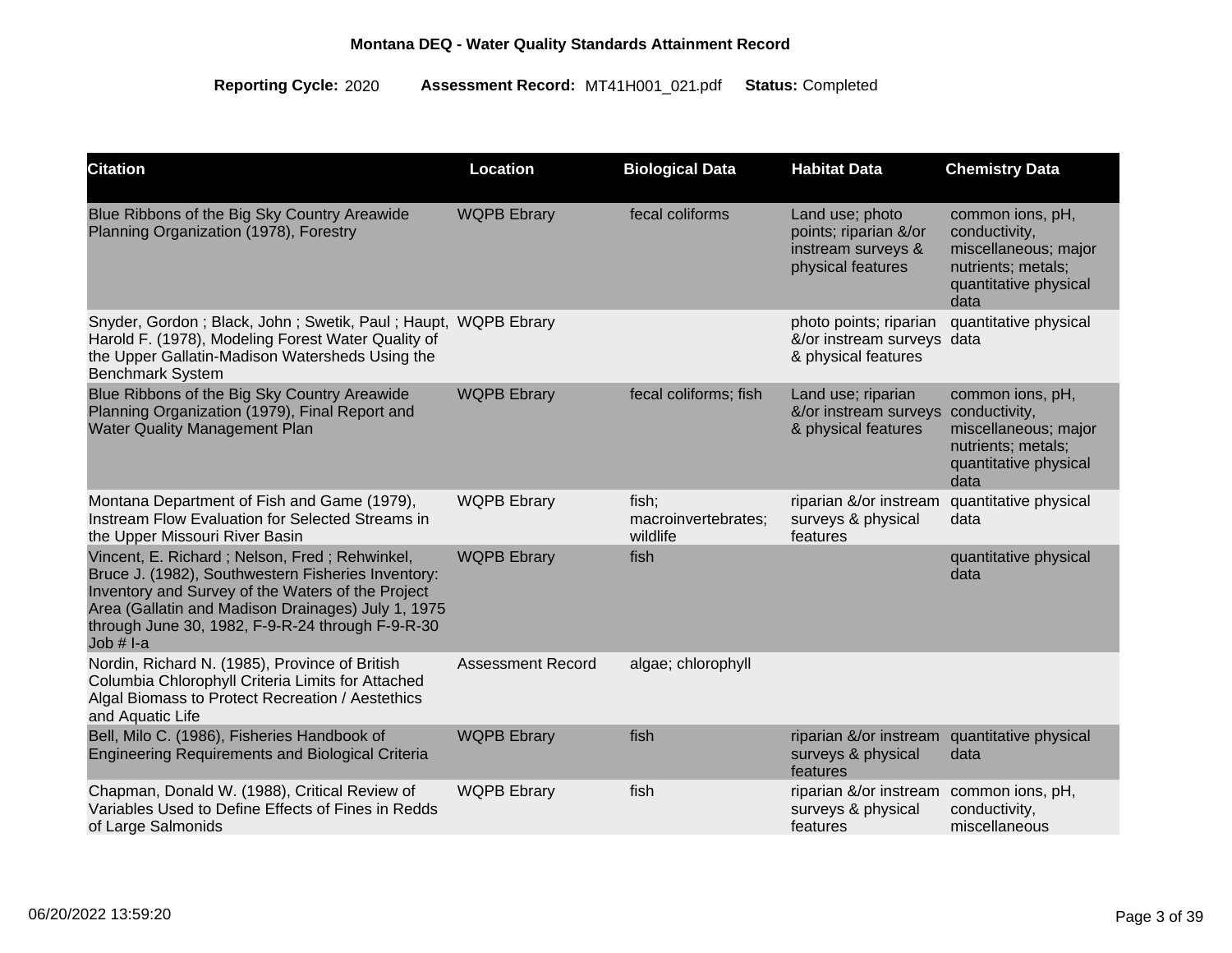| <b>Citation</b>                                                                                                                                                                                                                                                                   | Location                 | <b>Biological Data</b>                   | <b>Habitat Data</b>                                                                 | <b>Chemistry Data</b>                                                                                            |
|-----------------------------------------------------------------------------------------------------------------------------------------------------------------------------------------------------------------------------------------------------------------------------------|--------------------------|------------------------------------------|-------------------------------------------------------------------------------------|------------------------------------------------------------------------------------------------------------------|
| Blue Ribbons of the Big Sky Country Areawide<br>Planning Organization (1978), Forestry                                                                                                                                                                                            | <b>WQPB Ebrary</b>       | fecal coliforms                          | Land use; photo<br>points; riparian &/or<br>instream surveys &<br>physical features | common ions, pH,<br>conductivity,<br>miscellaneous; major<br>nutrients; metals;<br>quantitative physical<br>data |
| Snyder, Gordon; Black, John; Swetik, Paul; Haupt, WQPB Ebrary<br>Harold F. (1978), Modeling Forest Water Quality of<br>the Upper Gallatin-Madison Watersheds Using the<br><b>Benchmark System</b>                                                                                 |                          |                                          | photo points; riparian<br>&/or instream surveys data<br>& physical features         | quantitative physical                                                                                            |
| Blue Ribbons of the Big Sky Country Areawide<br>Planning Organization (1979), Final Report and<br><b>Water Quality Management Plan</b>                                                                                                                                            | <b>WQPB Ebrary</b>       | fecal coliforms; fish                    | Land use; riparian<br>&/or instream surveys<br>& physical features                  | common ions, pH,<br>conductivity,<br>miscellaneous; major<br>nutrients; metals;<br>quantitative physical<br>data |
| Montana Department of Fish and Game (1979),<br>Instream Flow Evaluation for Selected Streams in<br>the Upper Missouri River Basin                                                                                                                                                 | <b>WQPB Ebrary</b>       | fish;<br>macroinvertebrates;<br>wildlife | riparian &/or instream<br>surveys & physical<br>features                            | quantitative physical<br>data                                                                                    |
| Vincent, E. Richard; Nelson, Fred; Rehwinkel,<br>Bruce J. (1982), Southwestern Fisheries Inventory:<br>Inventory and Survey of the Waters of the Project<br>Area (Gallatin and Madison Drainages) July 1, 1975<br>through June 30, 1982, F-9-R-24 through F-9-R-30<br>Job $# I-a$ | <b>WQPB Ebrary</b>       | fish                                     |                                                                                     | quantitative physical<br>data                                                                                    |
| Nordin, Richard N. (1985), Province of British<br>Columbia Chlorophyll Criteria Limits for Attached<br>Algal Biomass to Protect Recreation / Aestethics<br>and Aquatic Life                                                                                                       | <b>Assessment Record</b> | algae; chlorophyll                       |                                                                                     |                                                                                                                  |
| Bell, Milo C. (1986), Fisheries Handbook of<br><b>Engineering Requirements and Biological Criteria</b>                                                                                                                                                                            | <b>WQPB Ebrary</b>       | fish                                     | riparian &/or instream<br>surveys & physical<br>features                            | quantitative physical<br>data                                                                                    |
| Chapman, Donald W. (1988), Critical Review of<br>Variables Used to Define Effects of Fines in Redds<br>of Large Salmonids                                                                                                                                                         | <b>WQPB Ebrary</b>       | fish                                     | riparian &/or instream<br>surveys & physical<br>features                            | common ions, pH,<br>conductivity,<br>miscellaneous                                                               |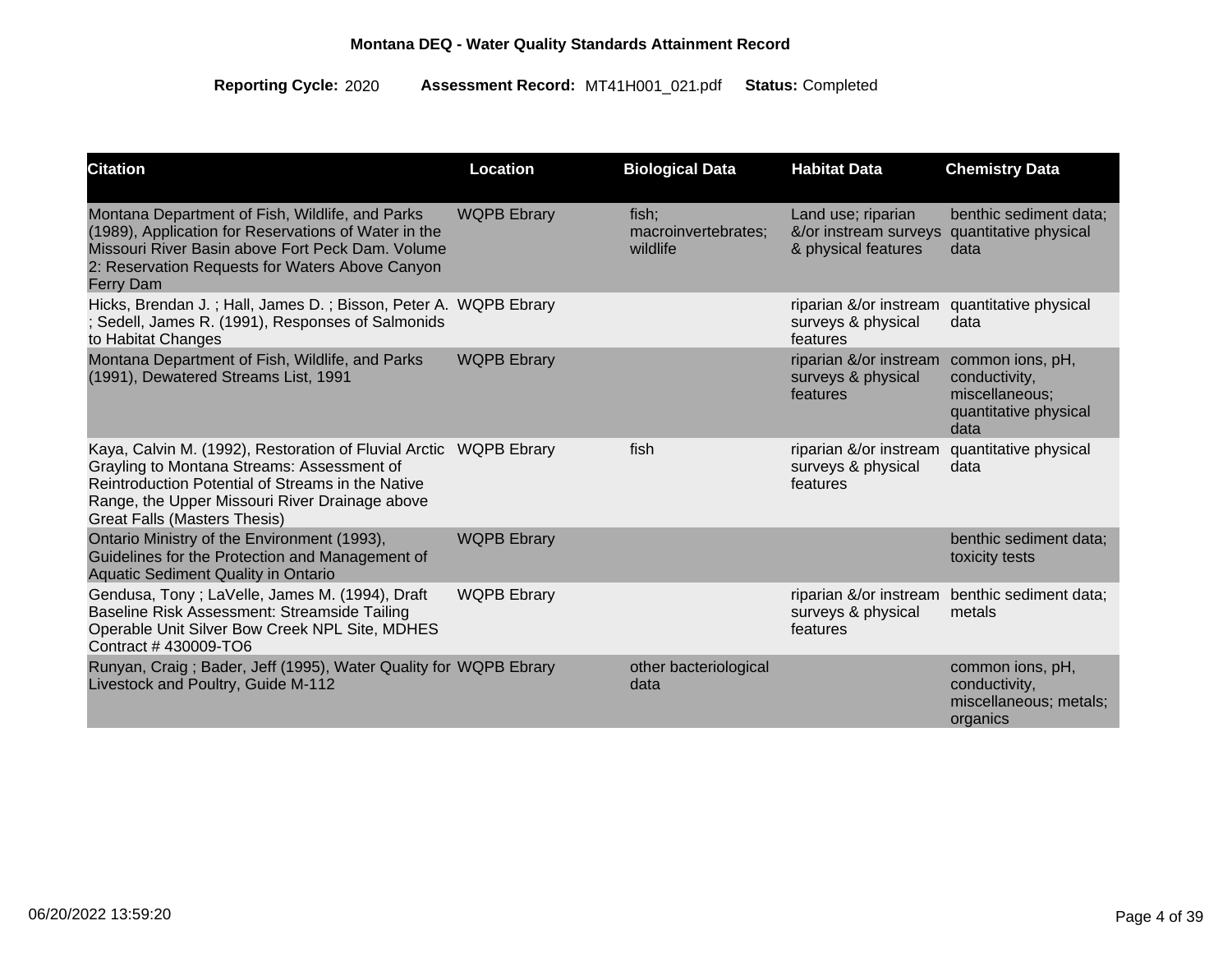| <b>Citation</b>                                                                                                                                                                                                                                               | <b>Location</b>    | <b>Biological Data</b>                   | <b>Habitat Data</b>                                                | <b>Chemistry Data</b>                                                                |
|---------------------------------------------------------------------------------------------------------------------------------------------------------------------------------------------------------------------------------------------------------------|--------------------|------------------------------------------|--------------------------------------------------------------------|--------------------------------------------------------------------------------------|
| Montana Department of Fish, Wildlife, and Parks<br>(1989), Application for Reservations of Water in the<br>Missouri River Basin above Fort Peck Dam. Volume<br>2: Reservation Requests for Waters Above Canyon<br><b>Ferry Dam</b>                            | <b>WQPB Ebrary</b> | fish;<br>macroinvertebrates;<br>wildlife | Land use; riparian<br>&/or instream surveys<br>& physical features | benthic sediment data;<br>quantitative physical<br>data                              |
| Hicks, Brendan J.; Hall, James D.; Bisson, Peter A. WQPB Ebrary<br>Sedell, James R. (1991), Responses of Salmonids<br>to Habitat Changes                                                                                                                      |                    |                                          | riparian &/or instream<br>surveys & physical<br>features           | quantitative physical<br>data                                                        |
| Montana Department of Fish, Wildlife, and Parks<br>(1991), Dewatered Streams List, 1991                                                                                                                                                                       | <b>WQPB Ebrary</b> |                                          | riparian &/or instream<br>surveys & physical<br>features           | common ions, pH,<br>conductivity,<br>miscellaneous;<br>quantitative physical<br>data |
| Kaya, Calvin M. (1992), Restoration of Fluvial Arctic WQPB Ebrary<br>Grayling to Montana Streams: Assessment of<br>Reintroduction Potential of Streams in the Native<br>Range, the Upper Missouri River Drainage above<br><b>Great Falls (Masters Thesis)</b> |                    | fish                                     | riparian &/or instream<br>surveys & physical<br>features           | quantitative physical<br>data                                                        |
| Ontario Ministry of the Environment (1993),<br>Guidelines for the Protection and Management of<br><b>Aquatic Sediment Quality in Ontario</b>                                                                                                                  | <b>WQPB Ebrary</b> |                                          |                                                                    | benthic sediment data;<br>toxicity tests                                             |
| Gendusa, Tony; LaVelle, James M. (1994), Draft<br>Baseline Risk Assessment: Streamside Tailing<br>Operable Unit Silver Bow Creek NPL Site, MDHES<br>Contract #430009-TO6                                                                                      | <b>WQPB Ebrary</b> |                                          | riparian &/or instream<br>surveys & physical<br>features           | benthic sediment data;<br>metals                                                     |
| Runyan, Craig; Bader, Jeff (1995), Water Quality for WQPB Ebrary<br>Livestock and Poultry, Guide M-112                                                                                                                                                        |                    | other bacteriological<br>data            |                                                                    | common ions, pH,<br>conductivity,<br>miscellaneous; metals;<br>organics              |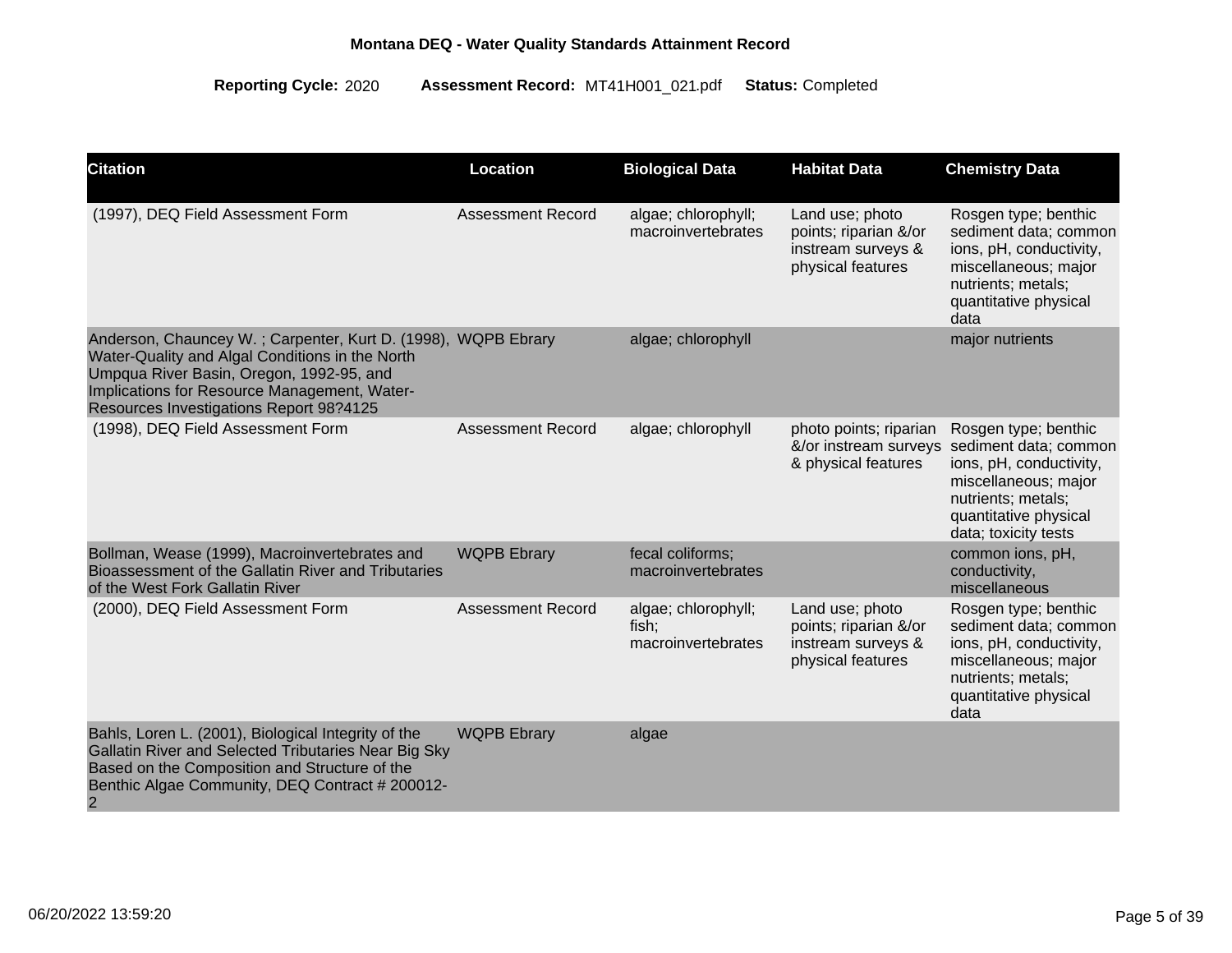| <b>Citation</b>                                                                                                                                                                                                                                         | Location                 | <b>Biological Data</b>                             | <b>Habitat Data</b>                                                                 | <b>Chemistry Data</b>                                                                                                                                                   |
|---------------------------------------------------------------------------------------------------------------------------------------------------------------------------------------------------------------------------------------------------------|--------------------------|----------------------------------------------------|-------------------------------------------------------------------------------------|-------------------------------------------------------------------------------------------------------------------------------------------------------------------------|
| (1997), DEQ Field Assessment Form                                                                                                                                                                                                                       | Assessment Record        | algae; chlorophyll;<br>macroinvertebrates          | Land use; photo<br>points; riparian &/or<br>instream surveys &<br>physical features | Rosgen type; benthic<br>sediment data; common<br>ions, pH, conductivity,<br>miscellaneous; major<br>nutrients; metals;<br>quantitative physical<br>data                 |
| Anderson, Chauncey W.; Carpenter, Kurt D. (1998), WQPB Ebrary<br>Water-Quality and Algal Conditions in the North<br>Umpqua River Basin, Oregon, 1992-95, and<br>Implications for Resource Management, Water-<br>Resources Investigations Report 98?4125 |                          | algae; chlorophyll                                 |                                                                                     | major nutrients                                                                                                                                                         |
| (1998), DEQ Field Assessment Form                                                                                                                                                                                                                       | <b>Assessment Record</b> | algae; chlorophyll                                 | photo points; riparian<br>&/or instream surveys<br>& physical features              | Rosgen type; benthic<br>sediment data; common<br>ions, pH, conductivity,<br>miscellaneous; major<br>nutrients; metals;<br>quantitative physical<br>data; toxicity tests |
| Bollman, Wease (1999), Macroinvertebrates and<br>Bioassessment of the Gallatin River and Tributaries<br>of the West Fork Gallatin River                                                                                                                 | <b>WQPB Ebrary</b>       | fecal coliforms;<br>macroinvertebrates             |                                                                                     | common ions, pH,<br>conductivity,<br>miscellaneous                                                                                                                      |
| (2000), DEQ Field Assessment Form                                                                                                                                                                                                                       | <b>Assessment Record</b> | algae; chlorophyll;<br>fish;<br>macroinvertebrates | Land use; photo<br>points; riparian &/or<br>instream surveys &<br>physical features | Rosgen type; benthic<br>sediment data; common<br>ions, pH, conductivity,<br>miscellaneous; major<br>nutrients; metals;<br>quantitative physical<br>data                 |
| Bahls, Loren L. (2001), Biological Integrity of the<br>Gallatin River and Selected Tributaries Near Big Sky<br>Based on the Composition and Structure of the<br>Benthic Algae Community, DEQ Contract # 200012-<br>$\overline{2}$                       | <b>WQPB Ebrary</b>       | algae                                              |                                                                                     |                                                                                                                                                                         |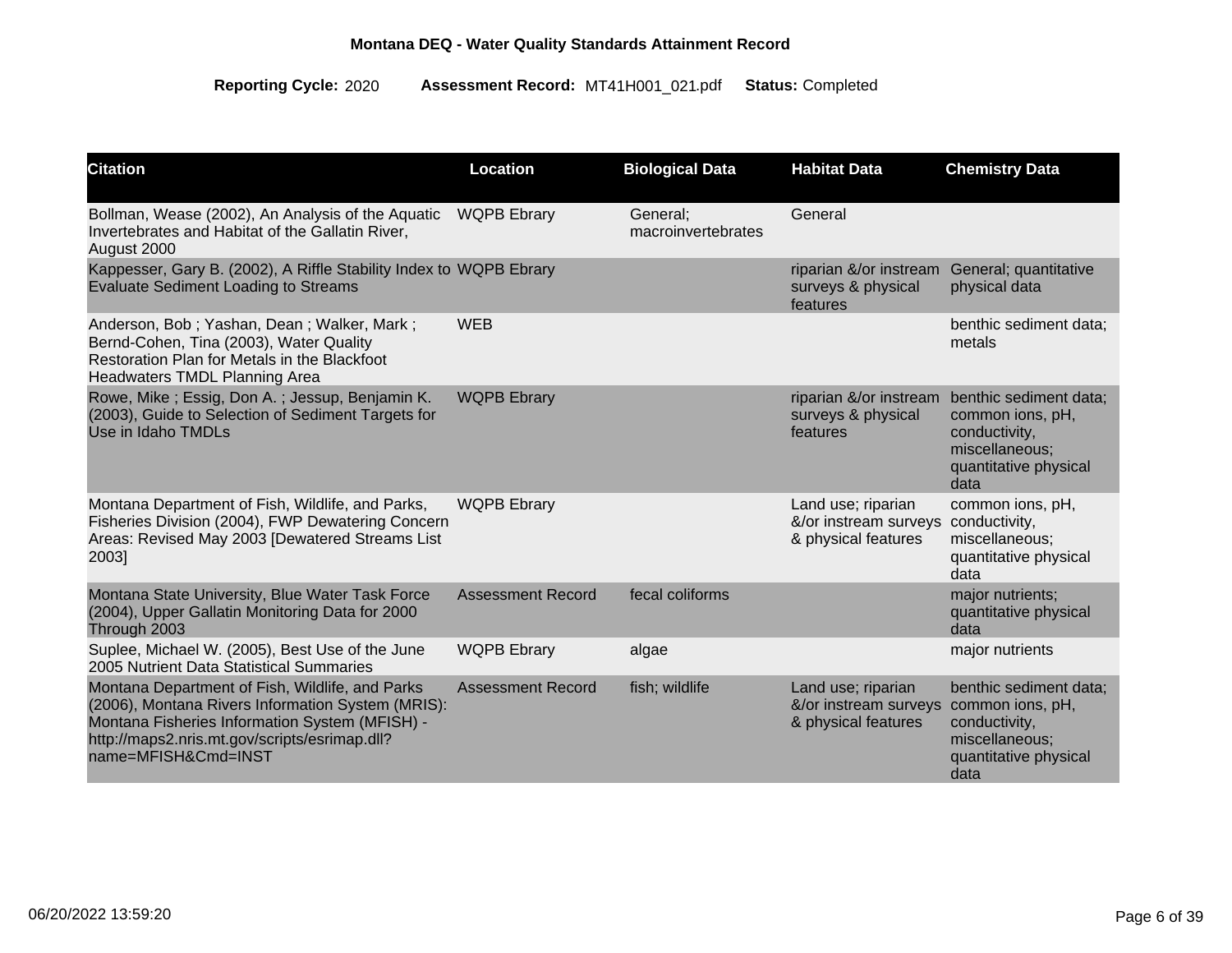| <b>Citation</b>                                                                                                                                                                                                                | Location                 | <b>Biological Data</b>         | <b>Habitat Data</b>                                                | <b>Chemistry Data</b>                                                                                          |
|--------------------------------------------------------------------------------------------------------------------------------------------------------------------------------------------------------------------------------|--------------------------|--------------------------------|--------------------------------------------------------------------|----------------------------------------------------------------------------------------------------------------|
| Bollman, Wease (2002), An Analysis of the Aquatic<br>Invertebrates and Habitat of the Gallatin River,<br>August 2000                                                                                                           | <b>WQPB Ebrary</b>       | General;<br>macroinvertebrates | General                                                            |                                                                                                                |
| Kappesser, Gary B. (2002), A Riffle Stability Index to WQPB Ebrary<br><b>Evaluate Sediment Loading to Streams</b>                                                                                                              |                          |                                | riparian &/or instream<br>surveys & physical<br>features           | General; quantitative<br>physical data                                                                         |
| Anderson, Bob; Yashan, Dean; Walker, Mark;<br>Bernd-Cohen, Tina (2003), Water Quality<br>Restoration Plan for Metals in the Blackfoot<br>Headwaters TMDL Planning Area                                                         | <b>WEB</b>               |                                |                                                                    | benthic sediment data;<br>metals                                                                               |
| Rowe, Mike; Essig, Don A.; Jessup, Benjamin K.<br>(2003), Guide to Selection of Sediment Targets for<br>Use in Idaho TMDLs                                                                                                     | <b>WQPB Ebrary</b>       |                                | riparian &/or instream<br>surveys & physical<br>features           | benthic sediment data;<br>common ions, pH,<br>conductivity,<br>miscellaneous;<br>quantitative physical<br>data |
| Montana Department of Fish, Wildlife, and Parks,<br>Fisheries Division (2004), FWP Dewatering Concern<br>Areas: Revised May 2003 [Dewatered Streams List<br>2003]                                                              | <b>WQPB Ebrary</b>       |                                | Land use; riparian<br>&/or instream surveys<br>& physical features | common ions, pH,<br>conductivity,<br>miscellaneous;<br>quantitative physical<br>data                           |
| Montana State University, Blue Water Task Force<br>(2004), Upper Gallatin Monitoring Data for 2000<br>Through 2003                                                                                                             | <b>Assessment Record</b> | fecal coliforms                |                                                                    | major nutrients;<br>quantitative physical<br>data                                                              |
| Suplee, Michael W. (2005), Best Use of the June<br>2005 Nutrient Data Statistical Summaries                                                                                                                                    | <b>WQPB Ebrary</b>       | algae                          |                                                                    | major nutrients                                                                                                |
| Montana Department of Fish, Wildlife, and Parks<br>(2006), Montana Rivers Information System (MRIS):<br>Montana Fisheries Information System (MFISH) -<br>http://maps2.nris.mt.gov/scripts/esrimap.dll?<br>name=MFISH&Cmd=INST | <b>Assessment Record</b> | fish; wildlife                 | Land use; riparian<br>&/or instream surveys<br>& physical features | benthic sediment data;<br>common ions, pH,<br>conductivity,<br>miscellaneous;<br>quantitative physical<br>data |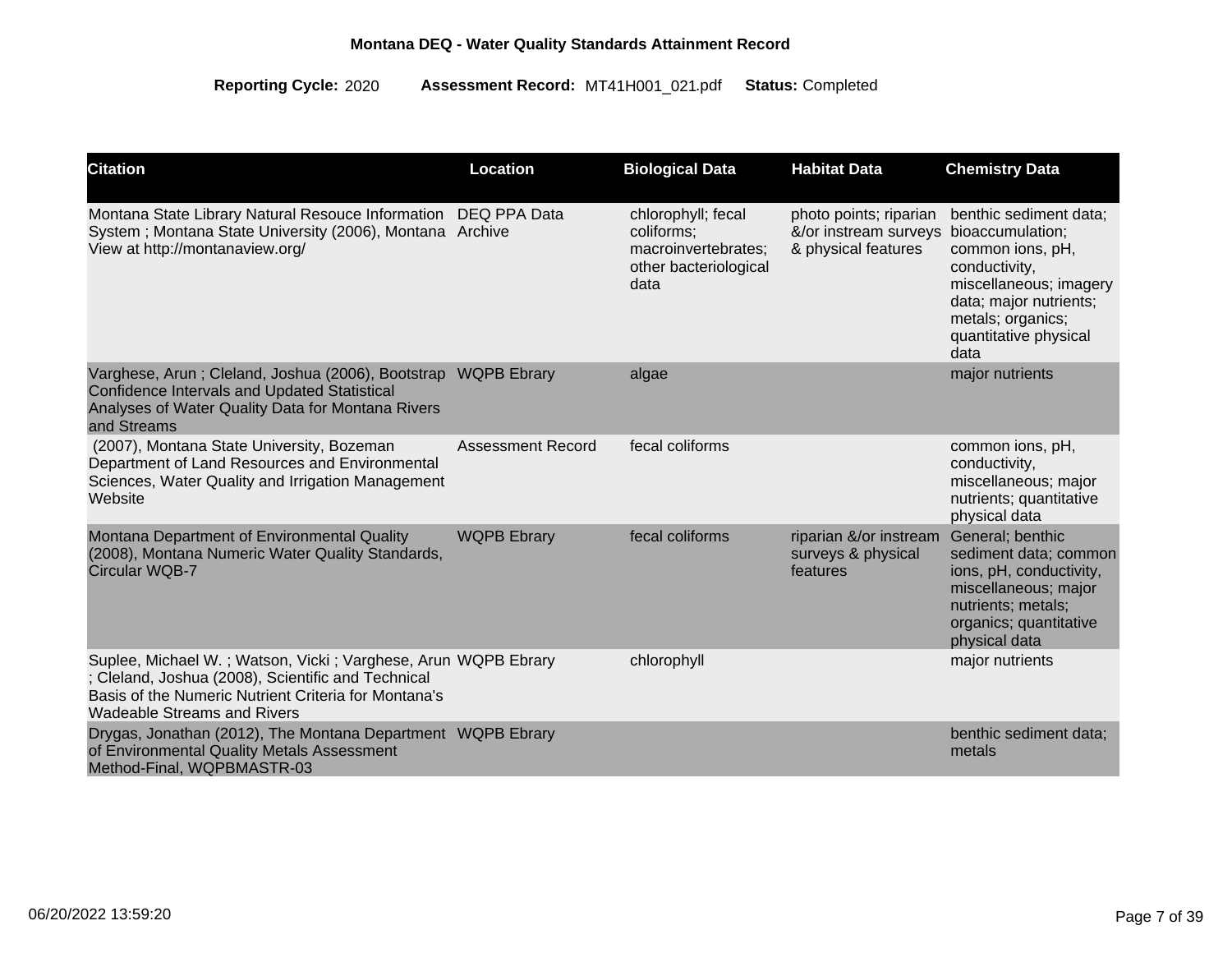| <b>Citation</b>                                                                                                                                                                                            | Location                 | <b>Biological Data</b>                                                                   | <b>Habitat Data</b>                                                    | <b>Chemistry Data</b>                                                                                                                                                                     |
|------------------------------------------------------------------------------------------------------------------------------------------------------------------------------------------------------------|--------------------------|------------------------------------------------------------------------------------------|------------------------------------------------------------------------|-------------------------------------------------------------------------------------------------------------------------------------------------------------------------------------------|
| Montana State Library Natural Resouce Information<br>System; Montana State University (2006), Montana Archive<br>View at http://montanaview.org/                                                           | DEQ PPA Data             | chlorophyll; fecal<br>coliforms;<br>macroinvertebrates;<br>other bacteriological<br>data | photo points; riparian<br>&/or instream surveys<br>& physical features | benthic sediment data;<br>bioaccumulation;<br>common ions, pH,<br>conductivity,<br>miscellaneous; imagery<br>data; major nutrients;<br>metals; organics;<br>quantitative physical<br>data |
| Varghese, Arun; Cleland, Joshua (2006), Bootstrap WQPB Ebrary<br><b>Confidence Intervals and Updated Statistical</b><br>Analyses of Water Quality Data for Montana Rivers<br>and Streams                   |                          | algae                                                                                    |                                                                        | major nutrients                                                                                                                                                                           |
| (2007), Montana State University, Bozeman<br>Department of Land Resources and Environmental<br>Sciences, Water Quality and Irrigation Management<br>Website                                                | <b>Assessment Record</b> | fecal coliforms                                                                          |                                                                        | common ions, pH,<br>conductivity,<br>miscellaneous; major<br>nutrients; quantitative<br>physical data                                                                                     |
| Montana Department of Environmental Quality<br>(2008), Montana Numeric Water Quality Standards,<br><b>Circular WQB-7</b>                                                                                   | <b>WQPB Ebrary</b>       | fecal coliforms                                                                          | riparian &/or instream<br>surveys & physical<br>features               | General; benthic<br>sediment data; common<br>ions, pH, conductivity,<br>miscellaneous; major<br>nutrients; metals;<br>organics; quantitative<br>physical data                             |
| Suplee, Michael W.; Watson, Vicki; Varghese, Arun WQPB Ebrary<br>; Cleland, Joshua (2008), Scientific and Technical<br>Basis of the Numeric Nutrient Criteria for Montana's<br>Wadeable Streams and Rivers |                          | chlorophyll                                                                              |                                                                        | major nutrients                                                                                                                                                                           |
| Drygas, Jonathan (2012), The Montana Department WQPB Ebrary<br>of Environmental Quality Metals Assessment<br>Method-Final, WQPBMASTR-03                                                                    |                          |                                                                                          |                                                                        | benthic sediment data;<br>metals                                                                                                                                                          |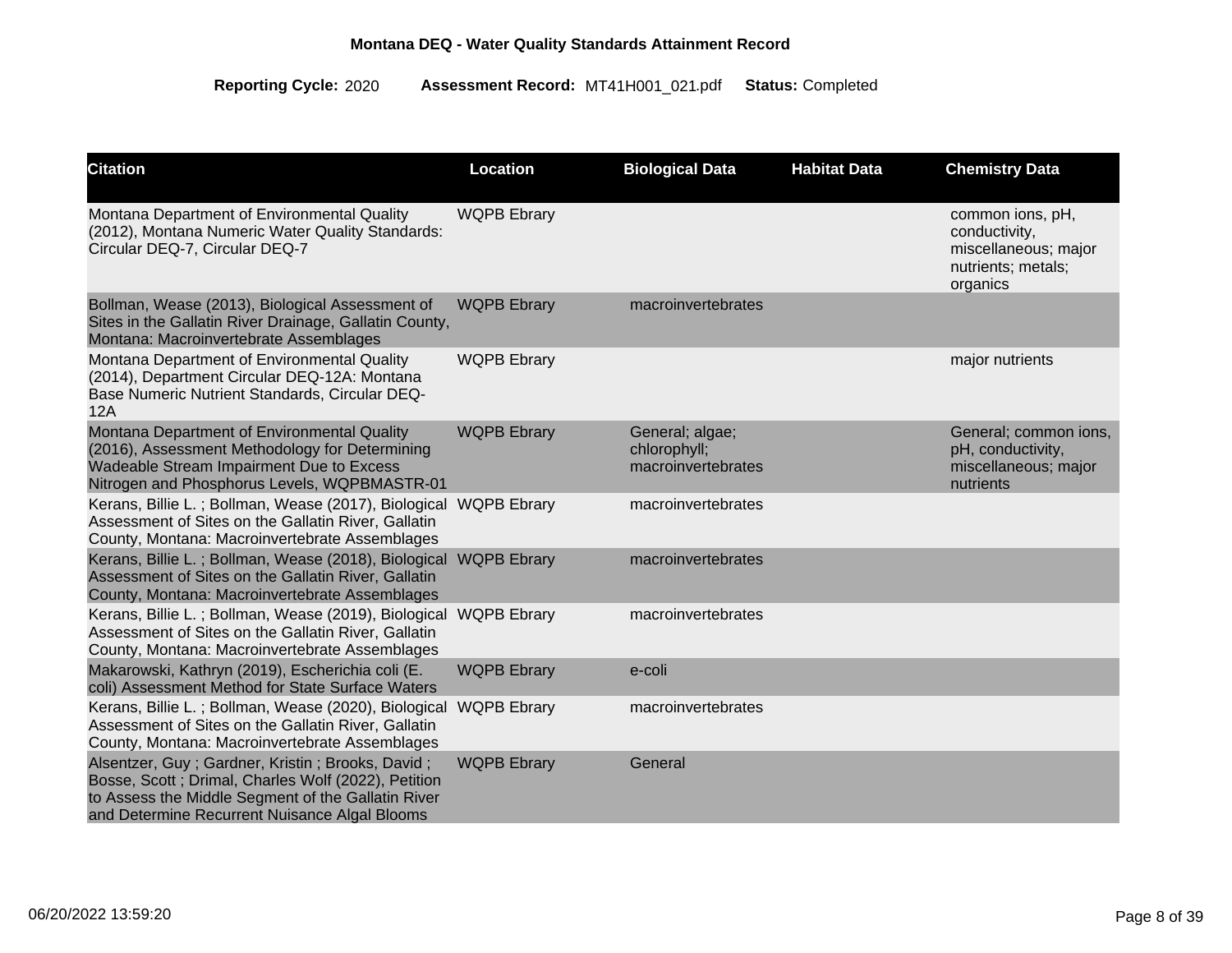| <b>Citation</b>                                                                                                                                                                                                 | Location           | <b>Biological Data</b>                                | <b>Habitat Data</b> | <b>Chemistry Data</b>                                                                       |
|-----------------------------------------------------------------------------------------------------------------------------------------------------------------------------------------------------------------|--------------------|-------------------------------------------------------|---------------------|---------------------------------------------------------------------------------------------|
| Montana Department of Environmental Quality<br>(2012), Montana Numeric Water Quality Standards:<br>Circular DEQ-7, Circular DEQ-7                                                                               | <b>WQPB Ebrary</b> |                                                       |                     | common ions, pH,<br>conductivity,<br>miscellaneous; major<br>nutrients; metals;<br>organics |
| Bollman, Wease (2013), Biological Assessment of<br>Sites in the Gallatin River Drainage, Gallatin County,<br>Montana: Macroinvertebrate Assemblages                                                             | <b>WQPB Ebrary</b> | macroinvertebrates                                    |                     |                                                                                             |
| Montana Department of Environmental Quality<br>(2014), Department Circular DEQ-12A: Montana<br>Base Numeric Nutrient Standards, Circular DEQ-<br>12A                                                            | <b>WQPB Ebrary</b> |                                                       |                     | major nutrients                                                                             |
| Montana Department of Environmental Quality<br>(2016), Assessment Methodology for Determining<br>Wadeable Stream Impairment Due to Excess<br>Nitrogen and Phosphorus Levels, WQPBMASTR-01                       | <b>WQPB Ebrary</b> | General; algae;<br>chlorophyll;<br>macroinvertebrates |                     | General; common ions,<br>pH, conductivity,<br>miscellaneous; major<br>nutrients             |
| Kerans, Billie L.; Bollman, Wease (2017), Biological WQPB Ebrary<br>Assessment of Sites on the Gallatin River, Gallatin<br>County, Montana: Macroinvertebrate Assemblages                                       |                    | macroinvertebrates                                    |                     |                                                                                             |
| Kerans, Billie L.; Bollman, Wease (2018), Biological<br>Assessment of Sites on the Gallatin River, Gallatin<br>County, Montana: Macroinvertebrate Assemblages                                                   | <b>WQPB Ebrary</b> | macroinvertebrates                                    |                     |                                                                                             |
| Kerans, Billie L.; Bollman, Wease (2019), Biological<br>Assessment of Sites on the Gallatin River, Gallatin<br>County, Montana: Macroinvertebrate Assemblages                                                   | <b>WQPB Ebrary</b> | macroinvertebrates                                    |                     |                                                                                             |
| Makarowski, Kathryn (2019), Escherichia coli (E.<br>coli) Assessment Method for State Surface Waters                                                                                                            | <b>WQPB Ebrary</b> | e-coli                                                |                     |                                                                                             |
| Kerans, Billie L.; Bollman, Wease (2020), Biological<br>Assessment of Sites on the Gallatin River, Gallatin<br>County, Montana: Macroinvertebrate Assemblages                                                   | <b>WQPB Ebrary</b> | macroinvertebrates                                    |                     |                                                                                             |
| Alsentzer, Guy; Gardner, Kristin; Brooks, David;<br>Bosse, Scott ; Drimal, Charles Wolf (2022), Petition<br>to Assess the Middle Segment of the Gallatin River<br>and Determine Recurrent Nuisance Algal Blooms | <b>WQPB Ebrary</b> | General                                               |                     |                                                                                             |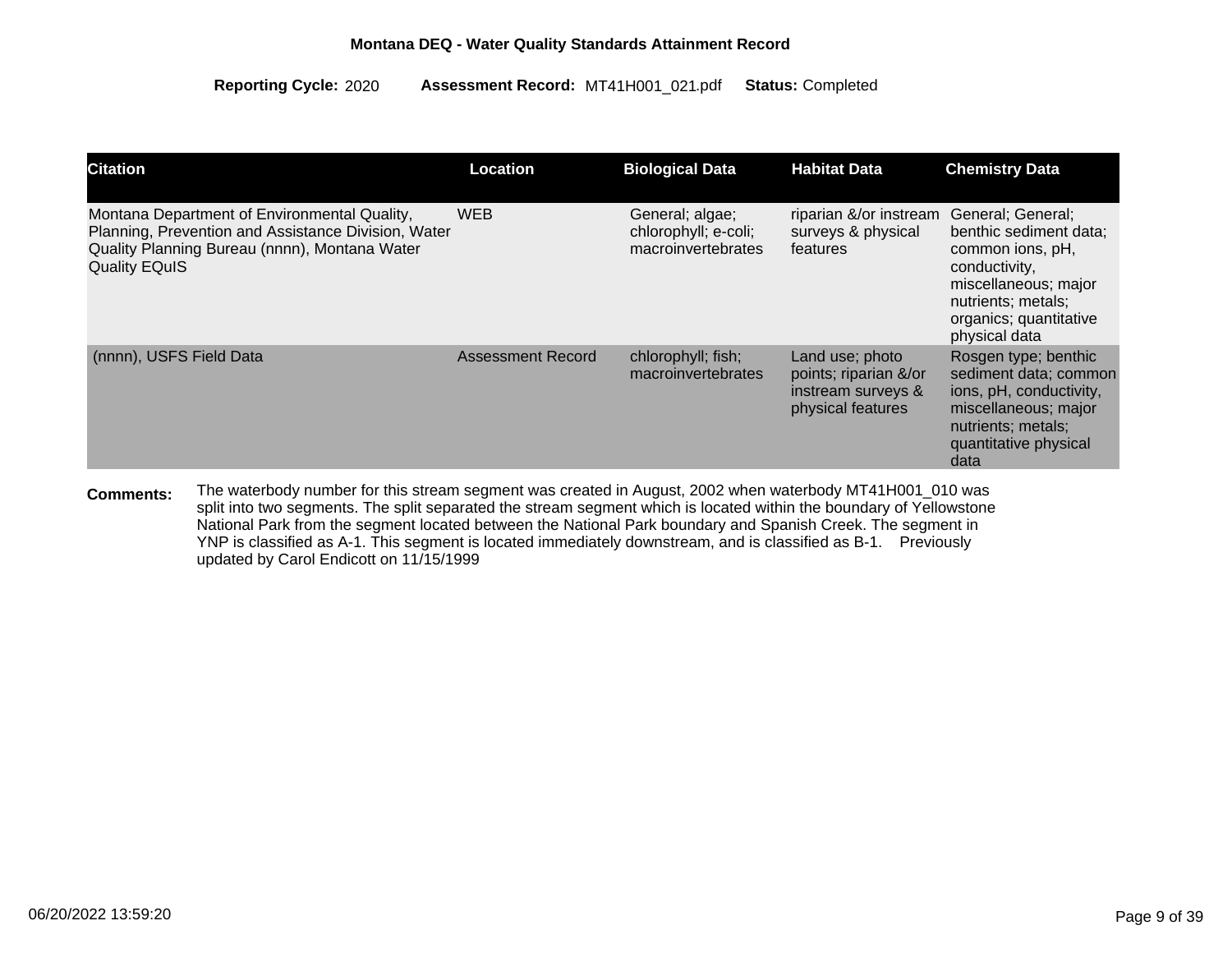| <b>Citation</b>                                                                                                                                                              | Location                 | <b>Biological Data</b>                                        | <b>Habitat Data</b>                                                                 | <b>Chemistry Data</b>                                                                                                                                                     |
|------------------------------------------------------------------------------------------------------------------------------------------------------------------------------|--------------------------|---------------------------------------------------------------|-------------------------------------------------------------------------------------|---------------------------------------------------------------------------------------------------------------------------------------------------------------------------|
| Montana Department of Environmental Quality,<br>Planning, Prevention and Assistance Division, Water<br>Quality Planning Bureau (nnnn), Montana Water<br><b>Quality EQuIS</b> | <b>WEB</b>               | General; algae;<br>chlorophyll; e-coli;<br>macroinvertebrates | riparian &/or instream<br>surveys & physical<br>features                            | General; General;<br>benthic sediment data;<br>common ions, pH,<br>conductivity,<br>miscellaneous; major<br>nutrients; metals;<br>organics; quantitative<br>physical data |
| (nnnn), USFS Field Data                                                                                                                                                      | <b>Assessment Record</b> | chlorophyll; fish;<br>macroinvertebrates                      | Land use; photo<br>points; riparian &/or<br>instream surveys &<br>physical features | Rosgen type; benthic<br>sediment data; common<br>ions, pH, conductivity,<br>miscellaneous; major<br>nutrients; metals;<br>quantitative physical<br>data                   |

The waterbody number for this stream segment was created in August, 2002 when waterbody MT41H001\_010 was split into two segments. The split separated the stream segment which is located within the boundary of Yellowstone National Park from the segment located between the National Park boundary and Spanish Creek. The segment in YNP is classified as A-1. This segment is located immediately downstream, and is classified as B-1. Previously updated by Carol Endicott on 11/15/1999 **Comments:**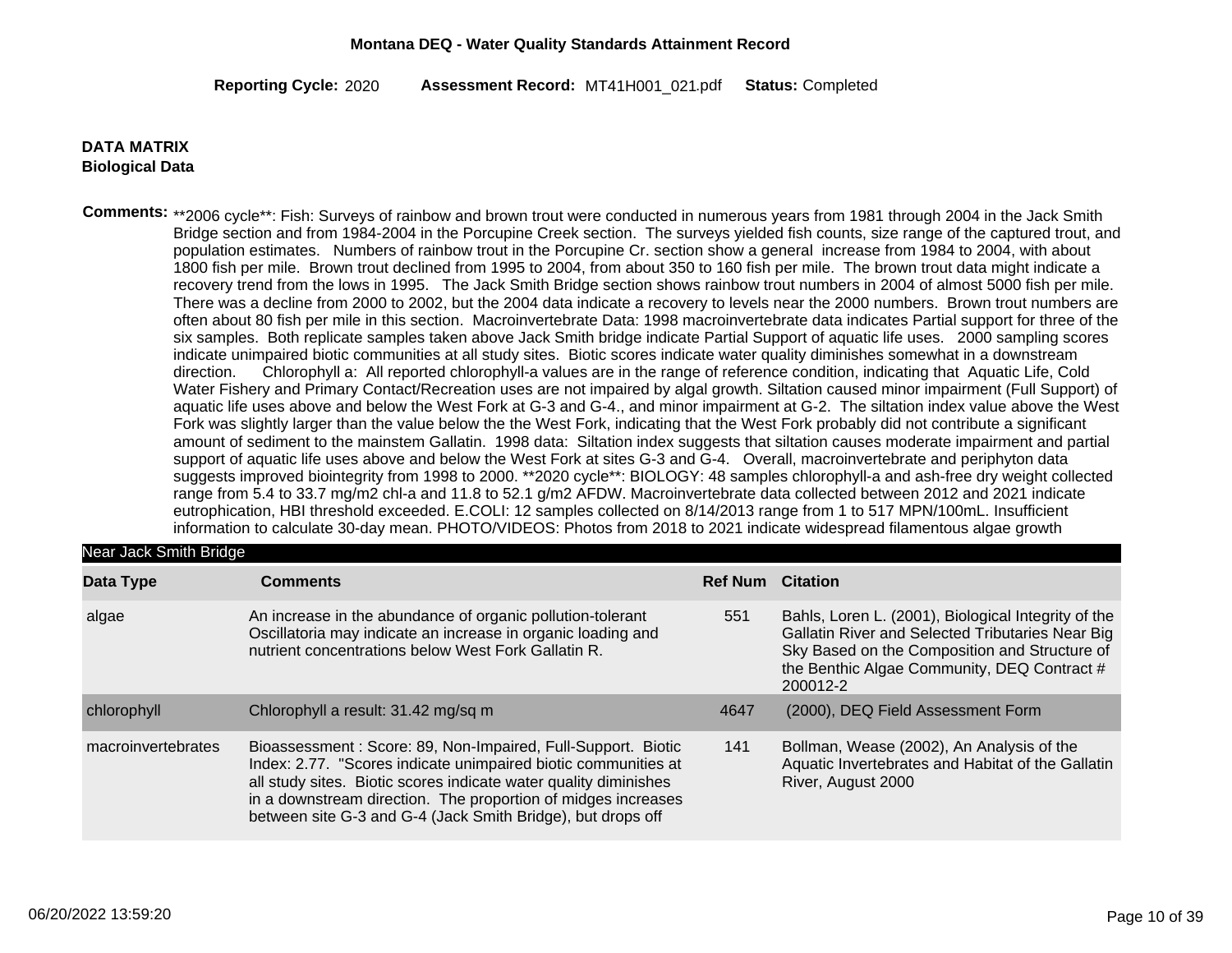2020 MT41H001\_021 Completed **Reporting Cycle: Assessment Record:** .pdf **Status:**

#### **Biological Data DATA MATRIX**

Comments: \*\*2006 cycle\*\*: Fish: Surveys of rainbow and brown trout were conducted in numerous years from 1981 through 2004 in the Jack Smith Bridge section and from 1984-2004 in the Porcupine Creek section. The surveys yielded fish counts, size range of the captured trout, and population estimates. Numbers of rainbow trout in the Porcupine Cr. section show a general increase from 1984 to 2004, with about 1800 fish per mile. Brown trout declined from 1995 to 2004, from about 350 to 160 fish per mile. The brown trout data might indicate a recovery trend from the lows in 1995. The Jack Smith Bridge section shows rainbow trout numbers in 2004 of almost 5000 fish per mile. There was a decline from 2000 to 2002, but the 2004 data indicate a recovery to levels near the 2000 numbers. Brown trout numbers are often about 80 fish per mile in this section. Macroinvertebrate Data: 1998 macroinvertebrate data indicates Partial support for three of the six samples. Both replicate samples taken above Jack Smith bridge indicate Partial Support of aquatic life uses. 2000 sampling scores indicate unimpaired biotic communities at all study sites. Biotic scores indicate water quality diminishes somewhat in a downstream direction. Chlorophyll a: All reported chlorophyll-a values are in the range of reference condition, indicating that Aquatic Life, Cold Water Fishery and Primary Contact/Recreation uses are not impaired by algal growth. Siltation caused minor impairment (Full Support) of aquatic life uses above and below the West Fork at G-3 and G-4., and minor impairment at G-2. The siltation index value above the West Fork was slightly larger than the value below the the West Fork, indicating that the West Fork probably did not contribute a significant amount of sediment to the mainstem Gallatin. 1998 data: Siltation index suggests that siltation causes moderate impairment and partial support of aquatic life uses above and below the West Fork at sites G-3 and G-4. Overall, macroinvertebrate and periphyton data suggests improved biointegrity from 1998 to 2000. \*\*2020 cycle\*\*: BIOLOGY: 48 samples chlorophyll-a and ash-free dry weight collected range from 5.4 to 33.7 mg/m2 chl-a and 11.8 to 52.1 g/m2 AFDW. Macroinvertebrate data collected between 2012 and 2021 indicate eutrophication, HBI threshold exceeded. E.COLI: 12 samples collected on 8/14/2013 range from 1 to 517 MPN/100mL. Insufficient information to calculate 30-day mean. PHOTO/VIDEOS: Photos from 2018 to 2021 indicate widespread filamentous algae growth

#### Near Jack Smith Bridge

| Data Type          | <b>Comments</b>                                                                                                                                                                                                                                                                                                                    | <b>Ref Num Citation</b> |                                                                                                                                                                                                                     |
|--------------------|------------------------------------------------------------------------------------------------------------------------------------------------------------------------------------------------------------------------------------------------------------------------------------------------------------------------------------|-------------------------|---------------------------------------------------------------------------------------------------------------------------------------------------------------------------------------------------------------------|
| algae              | An increase in the abundance of organic pollution-tolerant<br>Oscillatoria may indicate an increase in organic loading and<br>nutrient concentrations below West Fork Gallatin R.                                                                                                                                                  | 551                     | Bahls, Loren L. (2001), Biological Integrity of the<br>Gallatin River and Selected Tributaries Near Big<br>Sky Based on the Composition and Structure of<br>the Benthic Algae Community, DEQ Contract #<br>200012-2 |
| chlorophyll        | Chlorophyll a result: 31.42 mg/sq m                                                                                                                                                                                                                                                                                                | 4647                    | (2000), DEQ Field Assessment Form                                                                                                                                                                                   |
| macroinvertebrates | Bioassessment: Score: 89, Non-Impaired, Full-Support. Biotic<br>Index: 2.77. "Scores indicate unimpaired biotic communities at<br>all study sites. Biotic scores indicate water quality diminishes<br>in a downstream direction. The proportion of midges increases<br>between site G-3 and G-4 (Jack Smith Bridge), but drops off | 141                     | Bollman, Wease (2002), An Analysis of the<br>Aquatic Invertebrates and Habitat of the Gallatin<br>River, August 2000                                                                                                |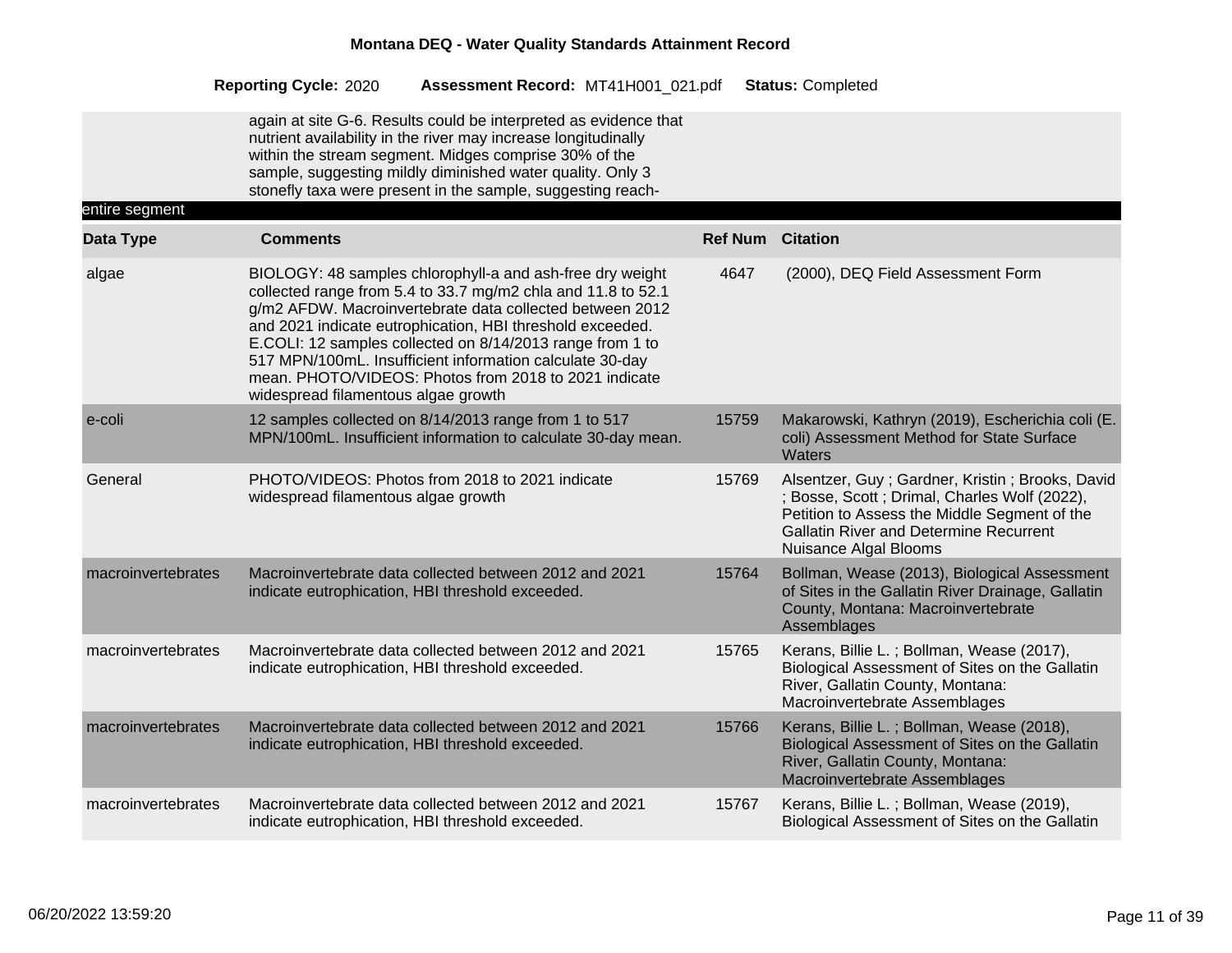|                             | <b>Reporting Cycle: 2020</b>                     | Assessment Record: MT41H001 021.pdf                                                                                                                                                                                                                                                                                                                                                                                                  |                         | <b>Status: Completed</b>                                                                                                                                                                                                   |
|-----------------------------|--------------------------------------------------|--------------------------------------------------------------------------------------------------------------------------------------------------------------------------------------------------------------------------------------------------------------------------------------------------------------------------------------------------------------------------------------------------------------------------------------|-------------------------|----------------------------------------------------------------------------------------------------------------------------------------------------------------------------------------------------------------------------|
|                             |                                                  | again at site G-6. Results could be interpreted as evidence that<br>nutrient availability in the river may increase longitudinally<br>within the stream segment. Midges comprise 30% of the<br>sample, suggesting mildly diminished water quality. Only 3<br>stonefly taxa were present in the sample, suggesting reach-                                                                                                             |                         |                                                                                                                                                                                                                            |
| entire segment<br>Data Type | <b>Comments</b>                                  |                                                                                                                                                                                                                                                                                                                                                                                                                                      | <b>Ref Num Citation</b> |                                                                                                                                                                                                                            |
| algae                       | widespread filamentous algae growth              | BIOLOGY: 48 samples chlorophyll-a and ash-free dry weight<br>collected range from 5.4 to 33.7 mg/m2 chla and 11.8 to 52.1<br>g/m2 AFDW. Macroinvertebrate data collected between 2012<br>and 2021 indicate eutrophication, HBI threshold exceeded.<br>E.COLI: 12 samples collected on 8/14/2013 range from 1 to<br>517 MPN/100mL. Insufficient information calculate 30-day<br>mean. PHOTO/VIDEOS: Photos from 2018 to 2021 indicate | 4647                    | (2000), DEQ Field Assessment Form                                                                                                                                                                                          |
| e-coli                      |                                                  | 12 samples collected on 8/14/2013 range from 1 to 517<br>MPN/100mL. Insufficient information to calculate 30-day mean.                                                                                                                                                                                                                                                                                                               | 15759                   | Makarowski, Kathryn (2019), Escherichia coli (E.<br>coli) Assessment Method for State Surface<br>Waters                                                                                                                    |
| General                     | widespread filamentous algae growth              | PHOTO/VIDEOS: Photos from 2018 to 2021 indicate                                                                                                                                                                                                                                                                                                                                                                                      | 15769                   | Alsentzer, Guy; Gardner, Kristin; Brooks, David<br>; Bosse, Scott ; Drimal, Charles Wolf (2022),<br>Petition to Assess the Middle Segment of the<br><b>Gallatin River and Determine Recurrent</b><br>Nuisance Algal Blooms |
| macroinvertebrates          |                                                  | Macroinvertebrate data collected between 2012 and 2021<br>indicate eutrophication, HBI threshold exceeded.                                                                                                                                                                                                                                                                                                                           | 15764                   | Bollman, Wease (2013), Biological Assessment<br>of Sites in the Gallatin River Drainage, Gallatin<br>County, Montana: Macroinvertebrate<br>Assemblages                                                                     |
| macroinvertebrates          |                                                  | Macroinvertebrate data collected between 2012 and 2021<br>indicate eutrophication, HBI threshold exceeded.                                                                                                                                                                                                                                                                                                                           | 15765                   | Kerans, Billie L.; Bollman, Wease (2017),<br>Biological Assessment of Sites on the Gallatin<br>River, Gallatin County, Montana:<br>Macroinvertebrate Assemblages                                                           |
| macroinvertebrates          |                                                  | Macroinvertebrate data collected between 2012 and 2021<br>indicate eutrophication, HBI threshold exceeded.                                                                                                                                                                                                                                                                                                                           | 15766                   | Kerans, Billie L.; Bollman, Wease (2018),<br>Biological Assessment of Sites on the Gallatin<br>River, Gallatin County, Montana:<br>Macroinvertebrate Assemblages                                                           |
| macroinvertebrates          | indicate eutrophication, HBI threshold exceeded. | Macroinvertebrate data collected between 2012 and 2021                                                                                                                                                                                                                                                                                                                                                                               | 15767                   | Kerans, Billie L.; Bollman, Wease (2019),<br>Biological Assessment of Sites on the Gallatin                                                                                                                                |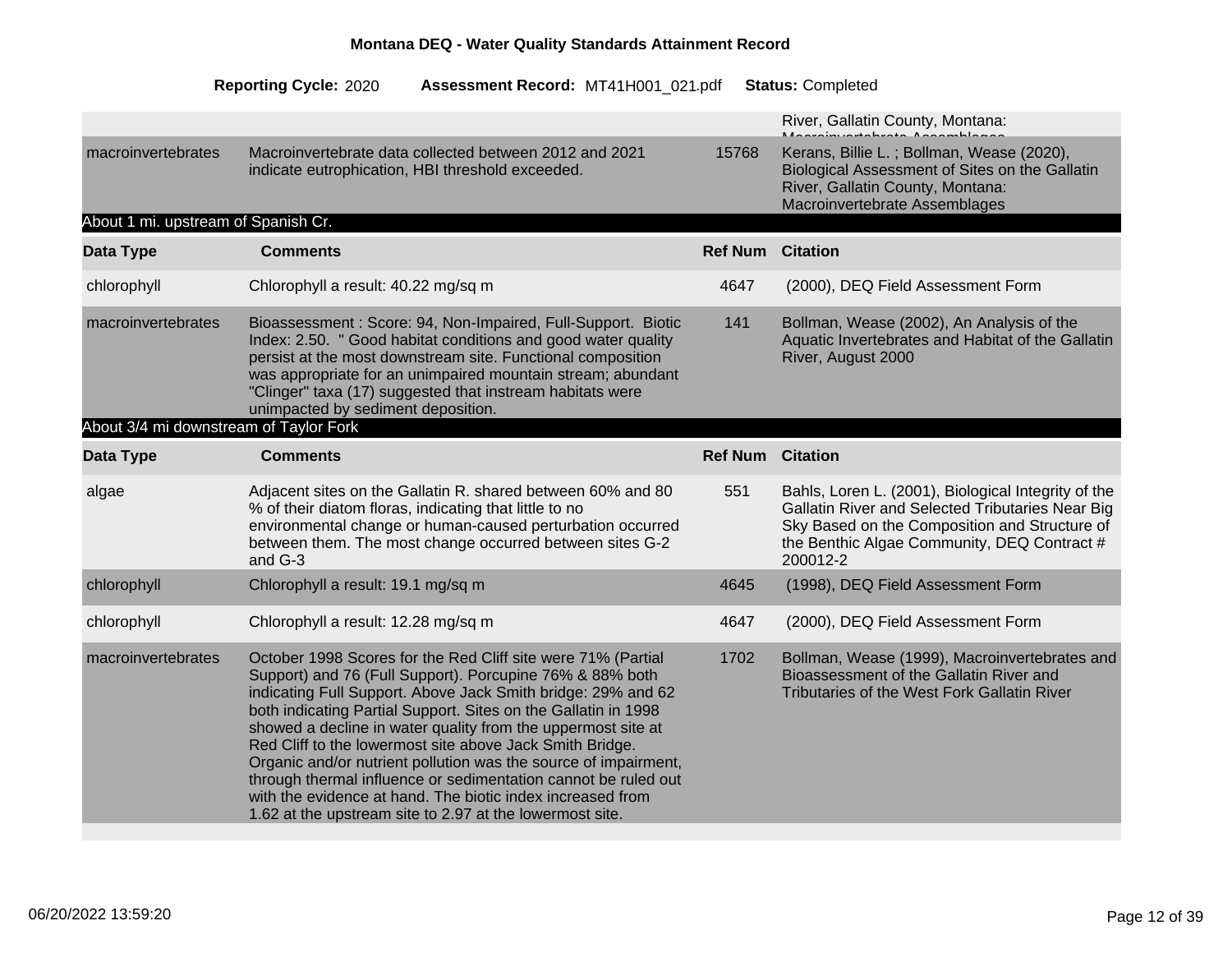|                                        |                                                                                                                                                                                                                                                                                                                                                                                                                                                                                                                                                                                                                                                       |                         | River, Gallatin County, Montana:                                                                                                                                                                                    |
|----------------------------------------|-------------------------------------------------------------------------------------------------------------------------------------------------------------------------------------------------------------------------------------------------------------------------------------------------------------------------------------------------------------------------------------------------------------------------------------------------------------------------------------------------------------------------------------------------------------------------------------------------------------------------------------------------------|-------------------------|---------------------------------------------------------------------------------------------------------------------------------------------------------------------------------------------------------------------|
| macroinvertebrates                     | Macroinvertebrate data collected between 2012 and 2021<br>indicate eutrophication, HBI threshold exceeded.                                                                                                                                                                                                                                                                                                                                                                                                                                                                                                                                            | 15768                   | Kerans, Billie L.; Bollman, Wease (2020),<br>Biological Assessment of Sites on the Gallatin<br>River, Gallatin County, Montana:<br>Macroinvertebrate Assemblages                                                    |
| About 1 mi. upstream of Spanish Cr.    |                                                                                                                                                                                                                                                                                                                                                                                                                                                                                                                                                                                                                                                       |                         |                                                                                                                                                                                                                     |
| Data Type                              | <b>Comments</b>                                                                                                                                                                                                                                                                                                                                                                                                                                                                                                                                                                                                                                       | <b>Ref Num Citation</b> |                                                                                                                                                                                                                     |
| chlorophyll                            | Chlorophyll a result: 40.22 mg/sq m                                                                                                                                                                                                                                                                                                                                                                                                                                                                                                                                                                                                                   | 4647                    | (2000), DEQ Field Assessment Form                                                                                                                                                                                   |
| macroinvertebrates                     | Bioassessment: Score: 94, Non-Impaired, Full-Support. Biotic<br>Index: 2.50. " Good habitat conditions and good water quality<br>persist at the most downstream site. Functional composition<br>was appropriate for an unimpaired mountain stream; abundant<br>"Clinger" taxa (17) suggested that instream habitats were<br>unimpacted by sediment deposition.                                                                                                                                                                                                                                                                                        | 141                     | Bollman, Wease (2002), An Analysis of the<br>Aquatic Invertebrates and Habitat of the Gallatin<br>River, August 2000                                                                                                |
| About 3/4 mi downstream of Taylor Fork |                                                                                                                                                                                                                                                                                                                                                                                                                                                                                                                                                                                                                                                       |                         |                                                                                                                                                                                                                     |
| Data Type                              | <b>Comments</b>                                                                                                                                                                                                                                                                                                                                                                                                                                                                                                                                                                                                                                       | <b>Ref Num</b>          | <b>Citation</b>                                                                                                                                                                                                     |
| algae                                  | Adjacent sites on the Gallatin R. shared between 60% and 80<br>% of their diatom floras, indicating that little to no<br>environmental change or human-caused perturbation occurred<br>between them. The most change occurred between sites G-2<br>and G-3                                                                                                                                                                                                                                                                                                                                                                                            | 551                     | Bahls, Loren L. (2001), Biological Integrity of the<br>Gallatin River and Selected Tributaries Near Big<br>Sky Based on the Composition and Structure of<br>the Benthic Algae Community, DEQ Contract #<br>200012-2 |
| chlorophyll                            | Chlorophyll a result: 19.1 mg/sq m                                                                                                                                                                                                                                                                                                                                                                                                                                                                                                                                                                                                                    | 4645                    | (1998), DEQ Field Assessment Form                                                                                                                                                                                   |
| chlorophyll                            | Chlorophyll a result: 12.28 mg/sq m                                                                                                                                                                                                                                                                                                                                                                                                                                                                                                                                                                                                                   | 4647                    | (2000), DEQ Field Assessment Form                                                                                                                                                                                   |
| macroinvertebrates                     | October 1998 Scores for the Red Cliff site were 71% (Partial<br>Support) and 76 (Full Support). Porcupine 76% & 88% both<br>indicating Full Support. Above Jack Smith bridge: 29% and 62<br>both indicating Partial Support. Sites on the Gallatin in 1998<br>showed a decline in water quality from the uppermost site at<br>Red Cliff to the lowermost site above Jack Smith Bridge.<br>Organic and/or nutrient pollution was the source of impairment,<br>through thermal influence or sedimentation cannot be ruled out<br>with the evidence at hand. The biotic index increased from<br>1.62 at the upstream site to 2.97 at the lowermost site. | 1702                    | Bollman, Wease (1999), Macroinvertebrates and<br>Bioassessment of the Gallatin River and<br>Tributaries of the West Fork Gallatin River                                                                             |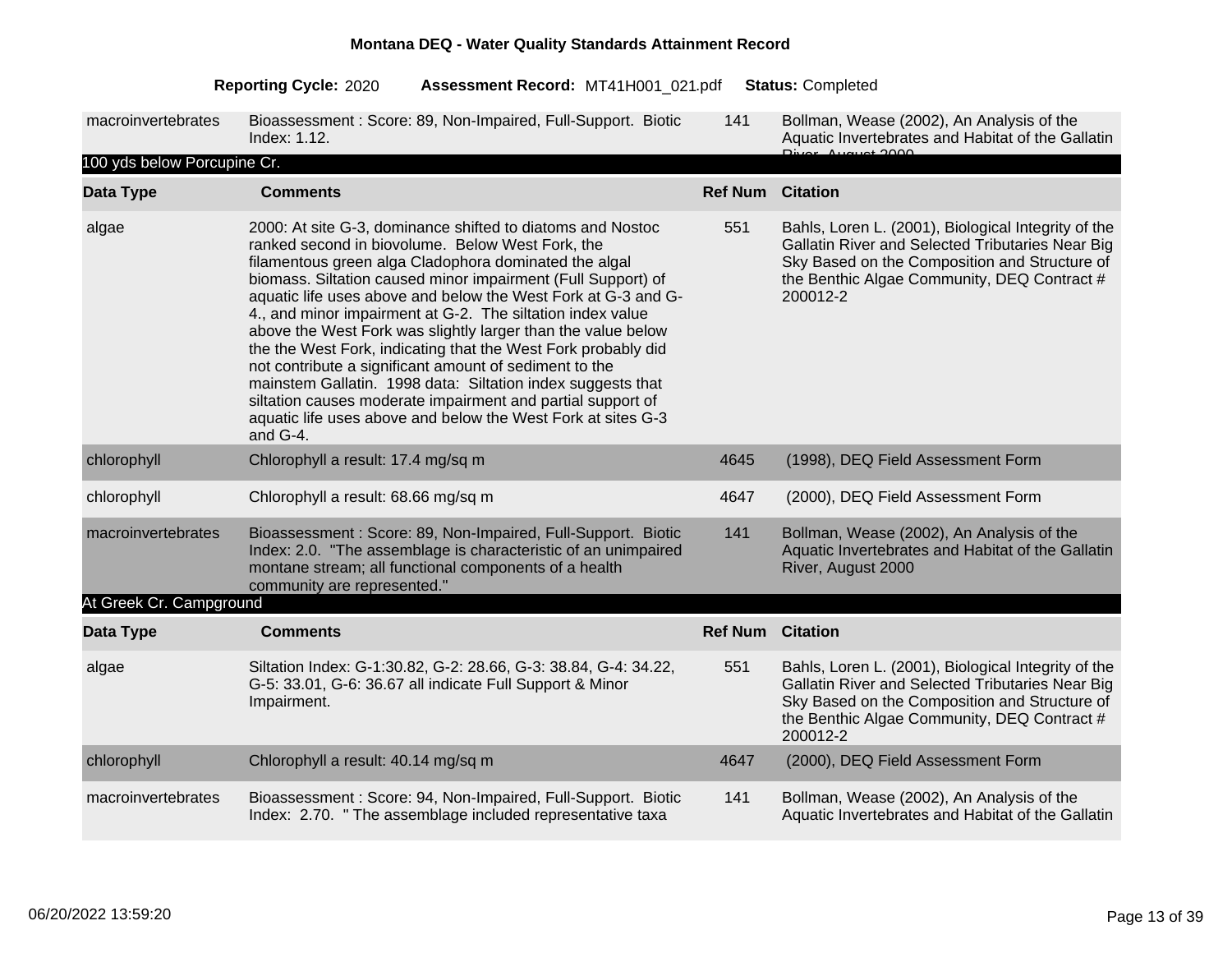#### 2020 MT41H001\_021 Completed **Reporting Cycle: Assessment Record:** .pdf **Status:**

| macroinvertebrates          | Bioassessment: Score: 89, Non-Impaired, Full-Support. Biotic<br>Index: 1.12.                                                                                                                                                                                                                                                                                                                                                                                                                                                                                                                                                                                                                                                                                                   | 141                     | Bollman, Wease (2002), An Analysis of the<br>Aquatic Invertebrates and Habitat of the Gallatin                                                                                                                      |
|-----------------------------|--------------------------------------------------------------------------------------------------------------------------------------------------------------------------------------------------------------------------------------------------------------------------------------------------------------------------------------------------------------------------------------------------------------------------------------------------------------------------------------------------------------------------------------------------------------------------------------------------------------------------------------------------------------------------------------------------------------------------------------------------------------------------------|-------------------------|---------------------------------------------------------------------------------------------------------------------------------------------------------------------------------------------------------------------|
| 100 yds below Porcupine Cr. |                                                                                                                                                                                                                                                                                                                                                                                                                                                                                                                                                                                                                                                                                                                                                                                |                         |                                                                                                                                                                                                                     |
| Data Type                   | <b>Comments</b>                                                                                                                                                                                                                                                                                                                                                                                                                                                                                                                                                                                                                                                                                                                                                                | <b>Ref Num Citation</b> |                                                                                                                                                                                                                     |
| algae                       | 2000: At site G-3, dominance shifted to diatoms and Nostoc<br>ranked second in biovolume. Below West Fork, the<br>filamentous green alga Cladophora dominated the algal<br>biomass. Siltation caused minor impairment (Full Support) of<br>aquatic life uses above and below the West Fork at G-3 and G-<br>4., and minor impairment at G-2. The siltation index value<br>above the West Fork was slightly larger than the value below<br>the the West Fork, indicating that the West Fork probably did<br>not contribute a significant amount of sediment to the<br>mainstem Gallatin. 1998 data: Siltation index suggests that<br>siltation causes moderate impairment and partial support of<br>aquatic life uses above and below the West Fork at sites G-3<br>and $G-4$ . | 551                     | Bahls, Loren L. (2001), Biological Integrity of the<br>Gallatin River and Selected Tributaries Near Big<br>Sky Based on the Composition and Structure of<br>the Benthic Algae Community, DEQ Contract #<br>200012-2 |
| chlorophyll                 | Chlorophyll a result: 17.4 mg/sq m                                                                                                                                                                                                                                                                                                                                                                                                                                                                                                                                                                                                                                                                                                                                             | 4645                    | (1998), DEQ Field Assessment Form                                                                                                                                                                                   |
| chlorophyll                 | Chlorophyll a result: 68.66 mg/sq m                                                                                                                                                                                                                                                                                                                                                                                                                                                                                                                                                                                                                                                                                                                                            | 4647                    | (2000), DEQ Field Assessment Form                                                                                                                                                                                   |
| macroinvertebrates          | Bioassessment: Score: 89, Non-Impaired, Full-Support. Biotic<br>Index: 2.0. "The assemblage is characteristic of an unimpaired                                                                                                                                                                                                                                                                                                                                                                                                                                                                                                                                                                                                                                                 | 141                     | Bollman, Wease (2002), An Analysis of the<br>Aquatic Invertebrates and Habitat of the Gallatin                                                                                                                      |

### community are represented." At Greek Cr. Campground

| AL OIGEN OF CAMPYROUND |                                                                                                                                            |                |                                                                                                                                                                                                                     |
|------------------------|--------------------------------------------------------------------------------------------------------------------------------------------|----------------|---------------------------------------------------------------------------------------------------------------------------------------------------------------------------------------------------------------------|
| Data Type              | <b>Comments</b>                                                                                                                            | <b>Ref Num</b> | <b>Citation</b>                                                                                                                                                                                                     |
| algae                  | Siltation Index: G-1:30.82, G-2: 28.66, G-3: 38.84, G-4: 34.22,<br>G-5: 33.01, G-6: 36.67 all indicate Full Support & Minor<br>Impairment. | 551            | Bahls, Loren L. (2001), Biological Integrity of the<br>Gallatin River and Selected Tributaries Near Big<br>Sky Based on the Composition and Structure of<br>the Benthic Algae Community, DEQ Contract #<br>200012-2 |
| chlorophyll            | Chlorophyll a result: 40.14 mg/sq m                                                                                                        | 4647           | (2000), DEQ Field Assessment Form                                                                                                                                                                                   |
| macroinvertebrates     | Bioassessment: Score: 94, Non-Impaired, Full-Support. Biotic<br>Index: 2.70. " The assemblage included representative taxa                 | 141            | Bollman, Wease (2002), An Analysis of the<br>Aquatic Invertebrates and Habitat of the Gallatin                                                                                                                      |

River, August 2000

montane stream; all functional components of a health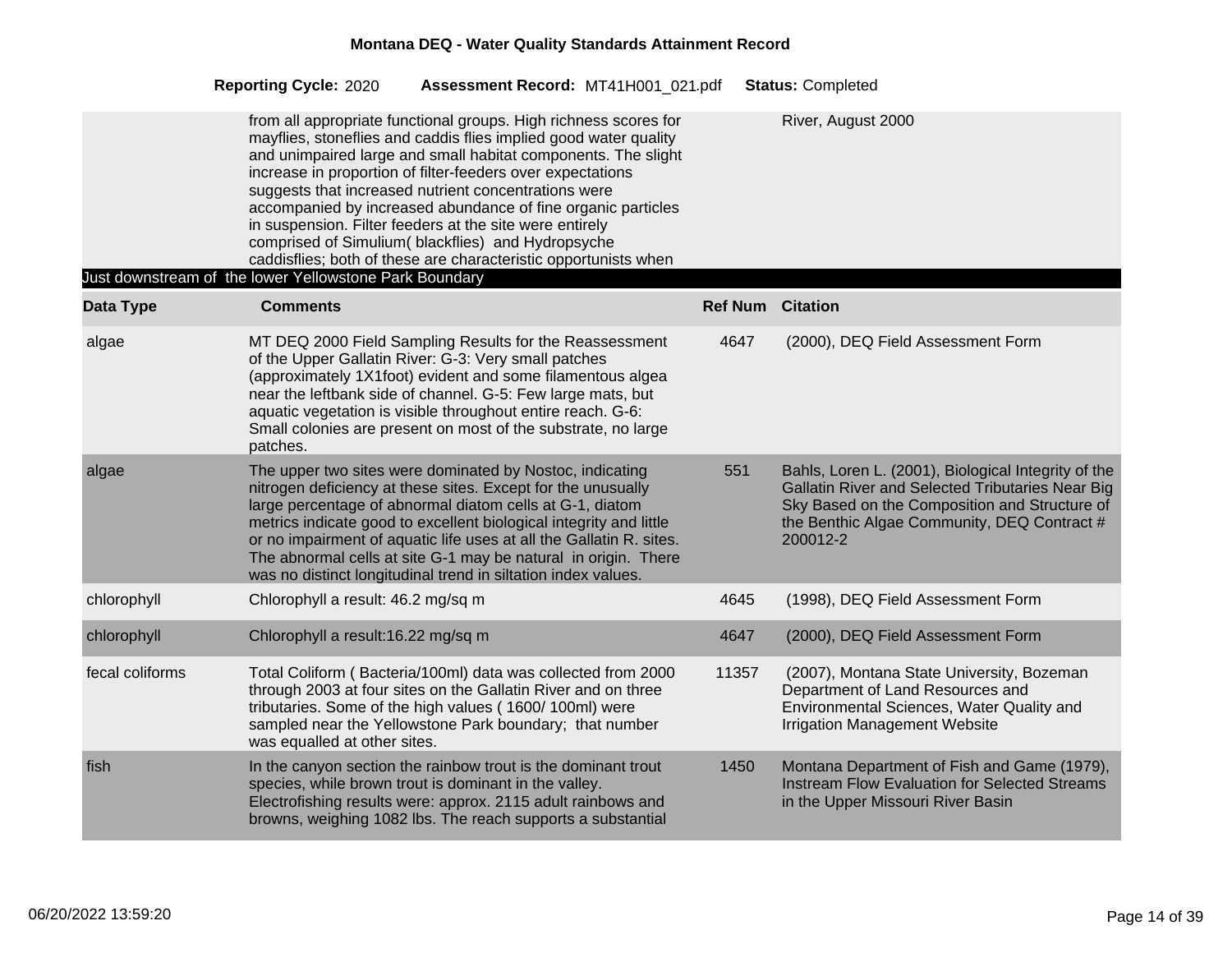|                 | <b>Reporting Cycle: 2020</b><br>Assessment Record: MT41H001 021.pdf                                                                                                                                                                                                                                                                                                                                                                                                                                                                                                            |       | <b>Status: Completed</b>                                                                                                                                                                                            |
|-----------------|--------------------------------------------------------------------------------------------------------------------------------------------------------------------------------------------------------------------------------------------------------------------------------------------------------------------------------------------------------------------------------------------------------------------------------------------------------------------------------------------------------------------------------------------------------------------------------|-------|---------------------------------------------------------------------------------------------------------------------------------------------------------------------------------------------------------------------|
|                 | from all appropriate functional groups. High richness scores for<br>mayflies, stoneflies and caddis flies implied good water quality<br>and unimpaired large and small habitat components. The slight<br>increase in proportion of filter-feeders over expectations<br>suggests that increased nutrient concentrations were<br>accompanied by increased abundance of fine organic particles<br>in suspension. Filter feeders at the site were entirely<br>comprised of Simulium(blackflies) and Hydropsyche<br>caddisflies; both of these are characteristic opportunists when |       | River, August 2000                                                                                                                                                                                                  |
| Data Type       | Just downstream of the lower Yellowstone Park Boundary<br><b>Comments</b>                                                                                                                                                                                                                                                                                                                                                                                                                                                                                                      |       | <b>Ref Num Citation</b>                                                                                                                                                                                             |
|                 |                                                                                                                                                                                                                                                                                                                                                                                                                                                                                                                                                                                |       |                                                                                                                                                                                                                     |
| algae           | MT DEQ 2000 Field Sampling Results for the Reassessment<br>of the Upper Gallatin River: G-3: Very small patches<br>(approximately 1X1foot) evident and some filamentous algea<br>near the leftbank side of channel. G-5: Few large mats, but<br>aquatic vegetation is visible throughout entire reach. G-6:<br>Small colonies are present on most of the substrate, no large<br>patches.                                                                                                                                                                                       | 4647  | (2000), DEQ Field Assessment Form                                                                                                                                                                                   |
| algae           | The upper two sites were dominated by Nostoc, indicating<br>nitrogen deficiency at these sites. Except for the unusually<br>large percentage of abnormal diatom cells at G-1, diatom<br>metrics indicate good to excellent biological integrity and little<br>or no impairment of aquatic life uses at all the Gallatin R. sites.<br>The abnormal cells at site G-1 may be natural in origin. There<br>was no distinct longitudinal trend in siltation index values.                                                                                                           | 551   | Bahls, Loren L. (2001), Biological Integrity of the<br>Gallatin River and Selected Tributaries Near Big<br>Sky Based on the Composition and Structure of<br>the Benthic Algae Community, DEQ Contract #<br>200012-2 |
| chlorophyll     | Chlorophyll a result: 46.2 mg/sq m                                                                                                                                                                                                                                                                                                                                                                                                                                                                                                                                             | 4645  | (1998), DEQ Field Assessment Form                                                                                                                                                                                   |
| chlorophyll     | Chlorophyll a result:16.22 mg/sq m                                                                                                                                                                                                                                                                                                                                                                                                                                                                                                                                             | 4647  | (2000), DEQ Field Assessment Form                                                                                                                                                                                   |
| fecal coliforms | Total Coliform (Bacteria/100ml) data was collected from 2000<br>through 2003 at four sites on the Gallatin River and on three<br>tributaries. Some of the high values (1600/100ml) were<br>sampled near the Yellowstone Park boundary; that number<br>was equalled at other sites.                                                                                                                                                                                                                                                                                             | 11357 | (2007), Montana State University, Bozeman<br>Department of Land Resources and<br>Environmental Sciences, Water Quality and<br><b>Irrigation Management Website</b>                                                  |
| fish            | In the canyon section the rainbow trout is the dominant trout<br>species, while brown trout is dominant in the valley.<br>Electrofishing results were: approx. 2115 adult rainbows and<br>browns, weighing 1082 lbs. The reach supports a substantial                                                                                                                                                                                                                                                                                                                          | 1450  | Montana Department of Fish and Game (1979),<br>Instream Flow Evaluation for Selected Streams<br>in the Upper Missouri River Basin                                                                                   |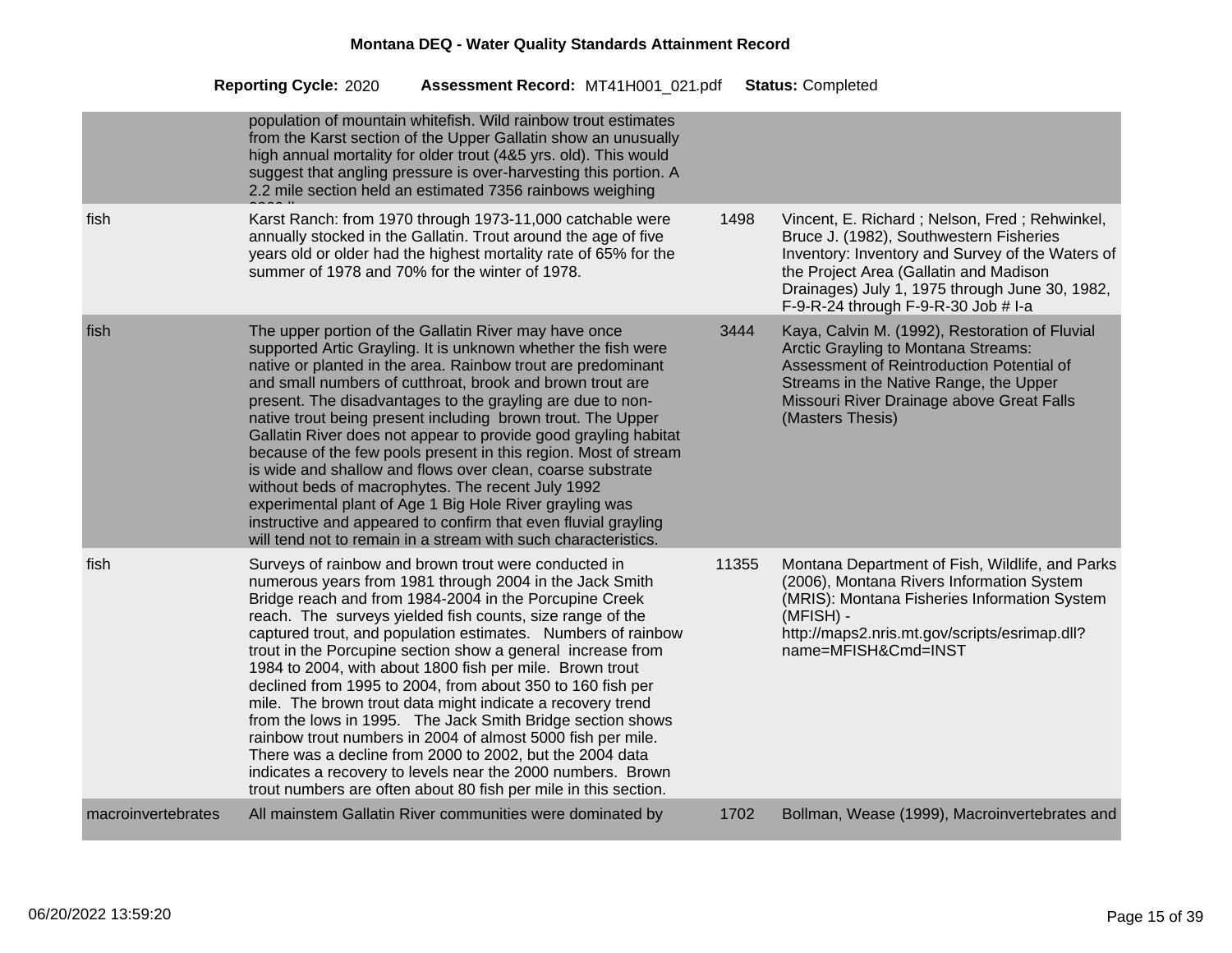|                    | population of mountain whitefish. Wild rainbow trout estimates<br>from the Karst section of the Upper Gallatin show an unusually<br>high annual mortality for older trout (4&5 yrs. old). This would<br>suggest that angling pressure is over-harvesting this portion. A<br>2.2 mile section held an estimated 7356 rainbows weighing                                                                                                                                                                                                                                                                                                                                                                                                                                                                                                                                                    |       |                                                                                                                                                                                                                                                                                 |
|--------------------|------------------------------------------------------------------------------------------------------------------------------------------------------------------------------------------------------------------------------------------------------------------------------------------------------------------------------------------------------------------------------------------------------------------------------------------------------------------------------------------------------------------------------------------------------------------------------------------------------------------------------------------------------------------------------------------------------------------------------------------------------------------------------------------------------------------------------------------------------------------------------------------|-------|---------------------------------------------------------------------------------------------------------------------------------------------------------------------------------------------------------------------------------------------------------------------------------|
| fish               | Karst Ranch: from 1970 through 1973-11,000 catchable were<br>annually stocked in the Gallatin. Trout around the age of five<br>years old or older had the highest mortality rate of 65% for the<br>summer of 1978 and 70% for the winter of 1978.                                                                                                                                                                                                                                                                                                                                                                                                                                                                                                                                                                                                                                        | 1498  | Vincent, E. Richard; Nelson, Fred; Rehwinkel,<br>Bruce J. (1982), Southwestern Fisheries<br>Inventory: Inventory and Survey of the Waters of<br>the Project Area (Gallatin and Madison<br>Drainages) July 1, 1975 through June 30, 1982,<br>F-9-R-24 through F-9-R-30 Job # I-a |
| fish               | The upper portion of the Gallatin River may have once<br>supported Artic Grayling. It is unknown whether the fish were<br>native or planted in the area. Rainbow trout are predominant<br>and small numbers of cutthroat, brook and brown trout are<br>present. The disadvantages to the grayling are due to non-<br>native trout being present including brown trout. The Upper<br>Gallatin River does not appear to provide good grayling habitat<br>because of the few pools present in this region. Most of stream<br>is wide and shallow and flows over clean, coarse substrate<br>without beds of macrophytes. The recent July 1992<br>experimental plant of Age 1 Big Hole River grayling was<br>instructive and appeared to confirm that even fluvial grayling<br>will tend not to remain in a stream with such characteristics.                                                 | 3444  | Kaya, Calvin M. (1992), Restoration of Fluvial<br>Arctic Grayling to Montana Streams:<br>Assessment of Reintroduction Potential of<br>Streams in the Native Range, the Upper<br>Missouri River Drainage above Great Falls<br>(Masters Thesis)                                   |
| fish               | Surveys of rainbow and brown trout were conducted in<br>numerous years from 1981 through 2004 in the Jack Smith<br>Bridge reach and from 1984-2004 in the Porcupine Creek<br>reach. The surveys yielded fish counts, size range of the<br>captured trout, and population estimates. Numbers of rainbow<br>trout in the Porcupine section show a general increase from<br>1984 to 2004, with about 1800 fish per mile. Brown trout<br>declined from 1995 to 2004, from about 350 to 160 fish per<br>mile. The brown trout data might indicate a recovery trend<br>from the lows in 1995. The Jack Smith Bridge section shows<br>rainbow trout numbers in 2004 of almost 5000 fish per mile.<br>There was a decline from 2000 to 2002, but the 2004 data<br>indicates a recovery to levels near the 2000 numbers. Brown<br>trout numbers are often about 80 fish per mile in this section. | 11355 | Montana Department of Fish, Wildlife, and Parks<br>(2006), Montana Rivers Information System<br>(MRIS): Montana Fisheries Information System<br>(MFISH) -<br>http://maps2.nris.mt.gov/scripts/esrimap.dll?<br>name=MFISH&Cmd=INST                                               |
| macroinvertebrates | All mainstem Gallatin River communities were dominated by                                                                                                                                                                                                                                                                                                                                                                                                                                                                                                                                                                                                                                                                                                                                                                                                                                | 1702  | Bollman, Wease (1999), Macroinvertebrates and                                                                                                                                                                                                                                   |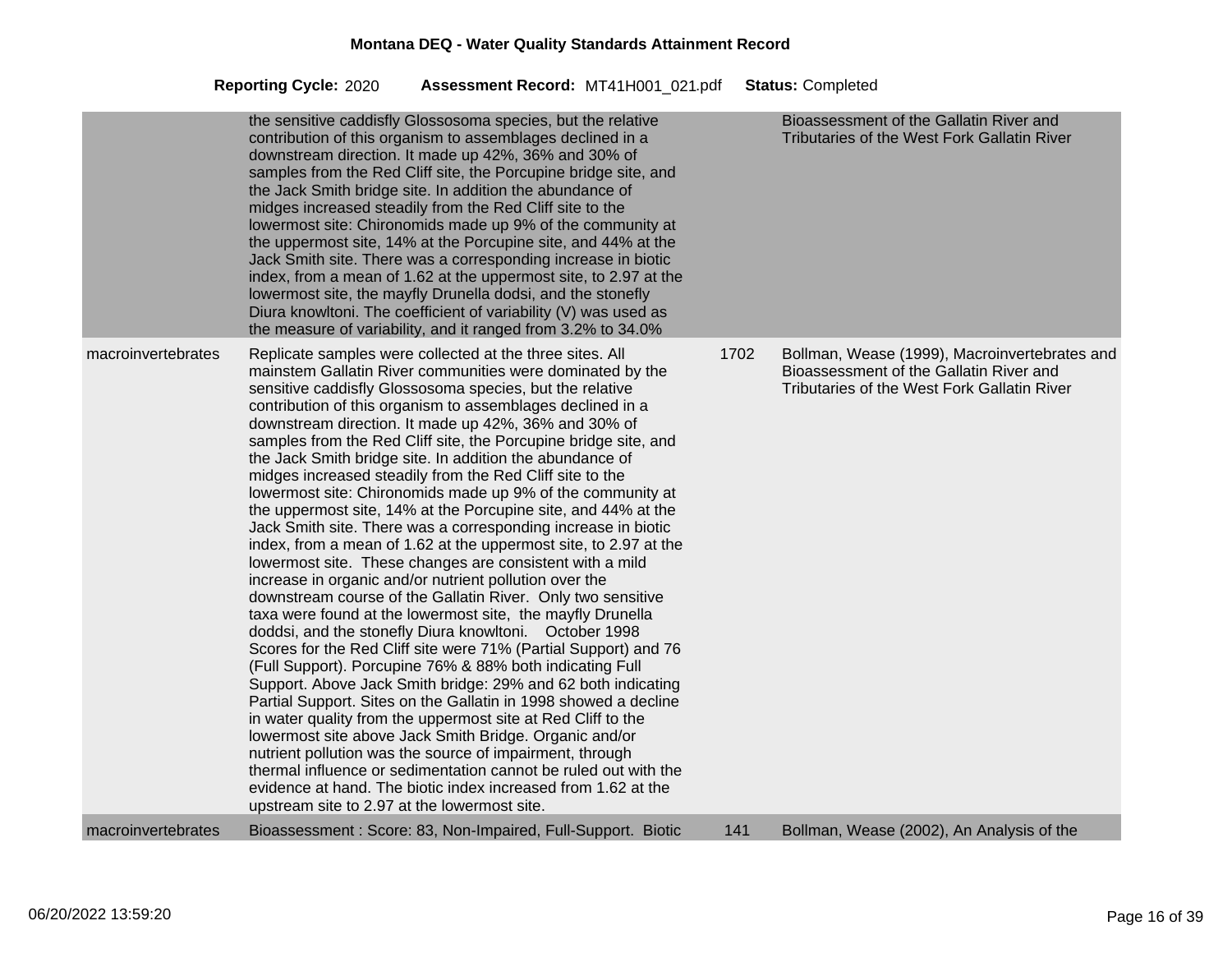|                    | the sensitive caddisfly Glossosoma species, but the relative<br>contribution of this organism to assemblages declined in a<br>downstream direction. It made up 42%, 36% and 30% of<br>samples from the Red Cliff site, the Porcupine bridge site, and<br>the Jack Smith bridge site. In addition the abundance of<br>midges increased steadily from the Red Cliff site to the<br>lowermost site: Chironomids made up 9% of the community at<br>the uppermost site, 14% at the Porcupine site, and 44% at the<br>Jack Smith site. There was a corresponding increase in biotic<br>index, from a mean of 1.62 at the uppermost site, to 2.97 at the<br>lowermost site, the mayfly Drunella dodsi, and the stonefly<br>Diura knowltoni. The coefficient of variability (V) was used as<br>the measure of variability, and it ranged from 3.2% to 34.0%                                                                                                                                                                                                                                                                                                                                                                                                                                                                                                                                                                                                                                                                                                                                                                                                                                                                             |      | Bioassessment of the Gallatin River and<br><b>Tributaries of the West Fork Gallatin River</b>                                           |
|--------------------|---------------------------------------------------------------------------------------------------------------------------------------------------------------------------------------------------------------------------------------------------------------------------------------------------------------------------------------------------------------------------------------------------------------------------------------------------------------------------------------------------------------------------------------------------------------------------------------------------------------------------------------------------------------------------------------------------------------------------------------------------------------------------------------------------------------------------------------------------------------------------------------------------------------------------------------------------------------------------------------------------------------------------------------------------------------------------------------------------------------------------------------------------------------------------------------------------------------------------------------------------------------------------------------------------------------------------------------------------------------------------------------------------------------------------------------------------------------------------------------------------------------------------------------------------------------------------------------------------------------------------------------------------------------------------------------------------------------------------------|------|-----------------------------------------------------------------------------------------------------------------------------------------|
| macroinvertebrates | Replicate samples were collected at the three sites. All<br>mainstem Gallatin River communities were dominated by the<br>sensitive caddisfly Glossosoma species, but the relative<br>contribution of this organism to assemblages declined in a<br>downstream direction. It made up 42%, 36% and 30% of<br>samples from the Red Cliff site, the Porcupine bridge site, and<br>the Jack Smith bridge site. In addition the abundance of<br>midges increased steadily from the Red Cliff site to the<br>lowermost site: Chironomids made up 9% of the community at<br>the uppermost site, 14% at the Porcupine site, and 44% at the<br>Jack Smith site. There was a corresponding increase in biotic<br>index, from a mean of 1.62 at the uppermost site, to 2.97 at the<br>lowermost site. These changes are consistent with a mild<br>increase in organic and/or nutrient pollution over the<br>downstream course of the Gallatin River. Only two sensitive<br>taxa were found at the lowermost site, the mayfly Drunella<br>doddsi, and the stonefly Diura knowltoni. October 1998<br>Scores for the Red Cliff site were 71% (Partial Support) and 76<br>(Full Support). Porcupine 76% & 88% both indicating Full<br>Support. Above Jack Smith bridge: 29% and 62 both indicating<br>Partial Support. Sites on the Gallatin in 1998 showed a decline<br>in water quality from the uppermost site at Red Cliff to the<br>lowermost site above Jack Smith Bridge. Organic and/or<br>nutrient pollution was the source of impairment, through<br>thermal influence or sedimentation cannot be ruled out with the<br>evidence at hand. The biotic index increased from 1.62 at the<br>upstream site to 2.97 at the lowermost site. | 1702 | Bollman, Wease (1999), Macroinvertebrates and<br>Bioassessment of the Gallatin River and<br>Tributaries of the West Fork Gallatin River |
| macroinvertebrates | Bioassessment: Score: 83, Non-Impaired, Full-Support. Biotic                                                                                                                                                                                                                                                                                                                                                                                                                                                                                                                                                                                                                                                                                                                                                                                                                                                                                                                                                                                                                                                                                                                                                                                                                                                                                                                                                                                                                                                                                                                                                                                                                                                                    | 141  | Bollman, Wease (2002), An Analysis of the                                                                                               |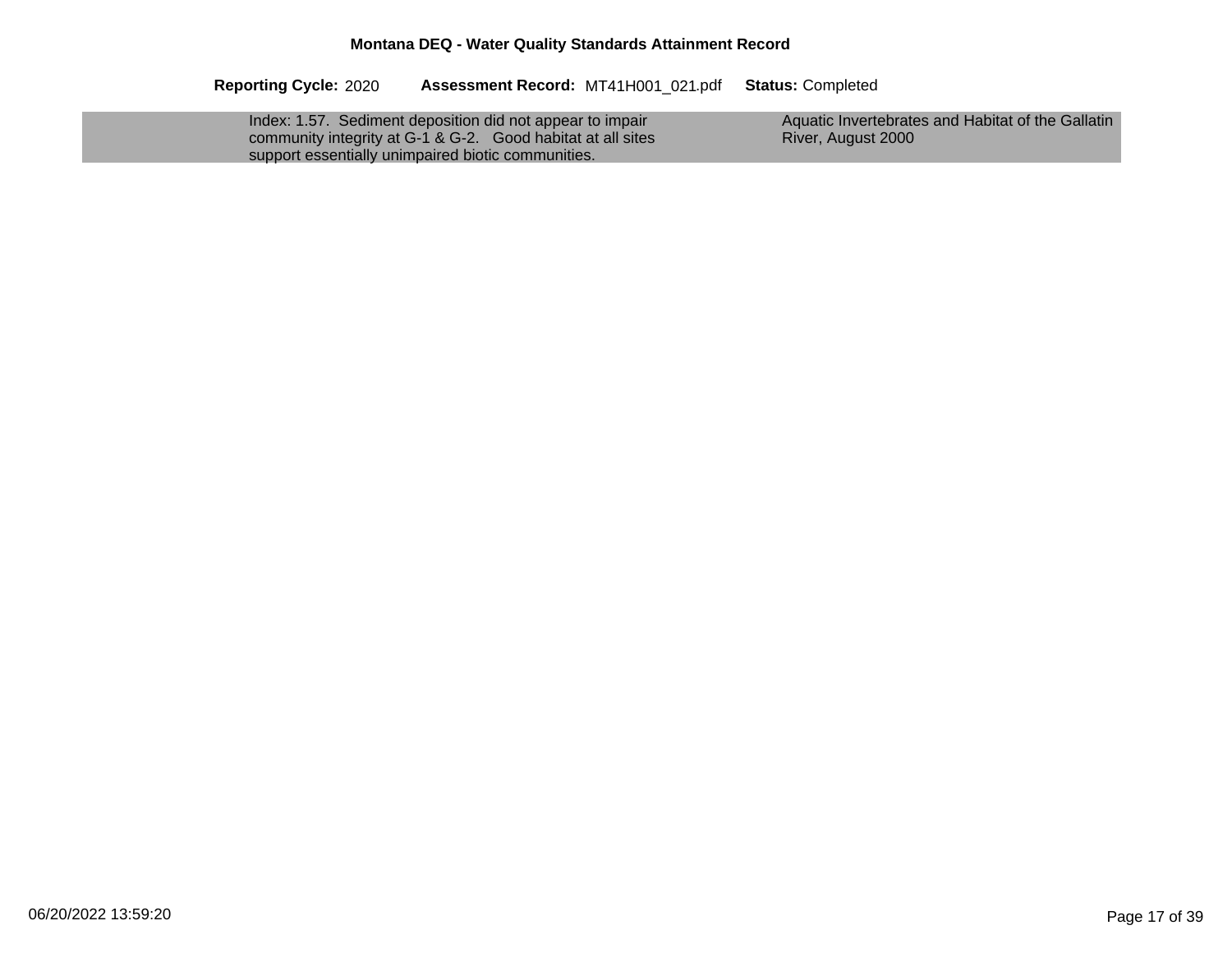| Index: 1.57. Sediment deposition did not appear to impair   | Aquatic Invertebrates and Habitat of the Gallatin |
|-------------------------------------------------------------|---------------------------------------------------|
| community integrity at G-1 & G-2. Good habitat at all sites | River, August 2000                                |
| support essentially unimpaired biotic communities.          |                                                   |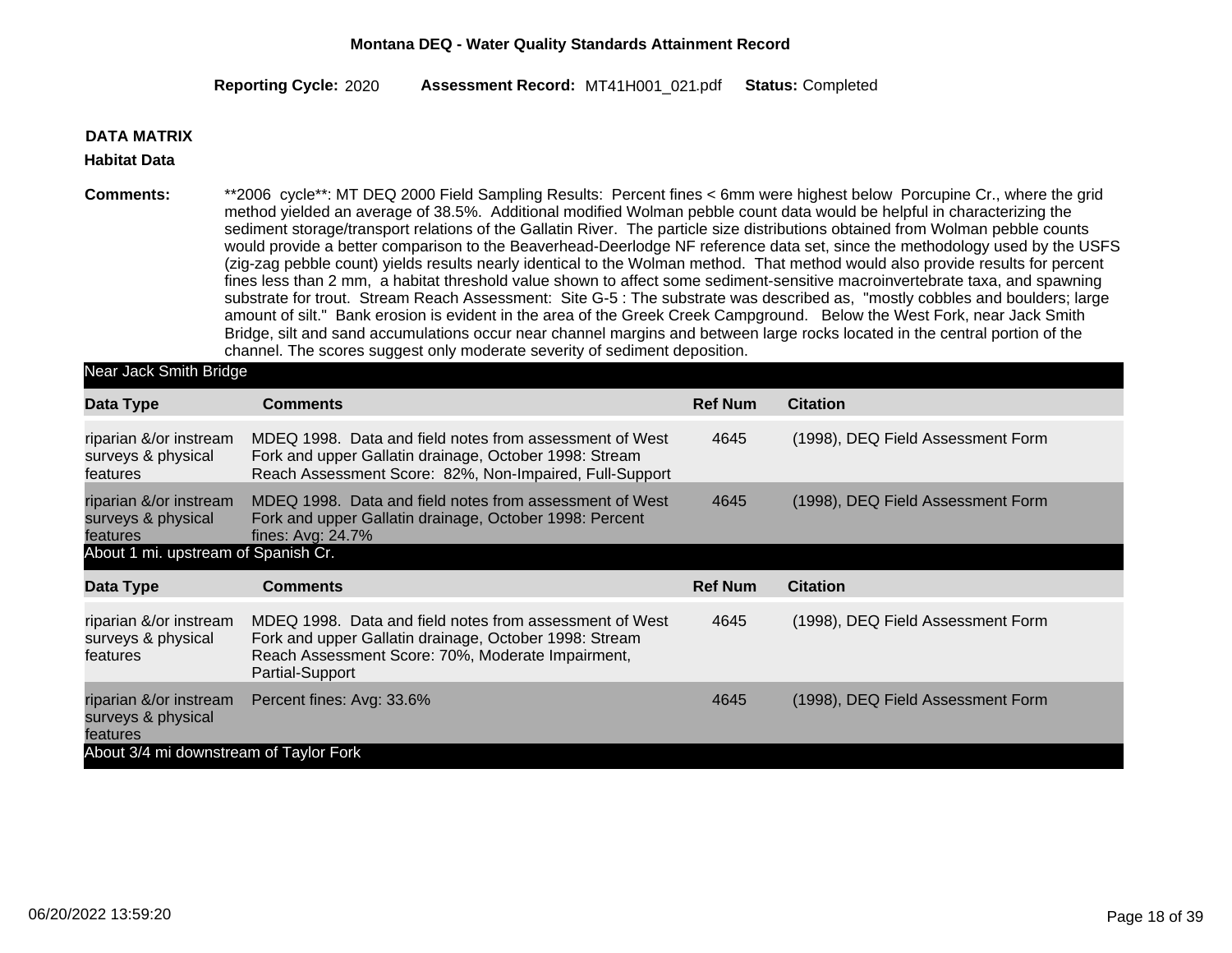2020 MT41H001\_021 Completed **Reporting Cycle: Assessment Record:** .pdf **Status:**

#### **DATA MATRIX**

#### **Habitat Data**

**Comments:** \*\*2006 cycle\*\*: MT DEQ 2000 Field Sampling Results: Percent fines < 6mm were highest below Porcupine Cr., where the grid method yielded an average of 38.5%. Additional modified Wolman pebble count data would be helpful in characterizing the sediment storage/transport relations of the Gallatin River. The particle size distributions obtained from Wolman pebble counts would provide a better comparison to the Beaverhead-Deerlodge NF reference data set, since the methodology used by the USFS (zig-zag pebble count) yields results nearly identical to the Wolman method. That method would also provide results for percent fines less than 2 mm, a habitat threshold value shown to affect some sediment-sensitive macroinvertebrate taxa, and spawning substrate for trout. Stream Reach Assessment: Site G-5 : The substrate was described as, "mostly cobbles and boulders; large amount of silt." Bank erosion is evident in the area of the Greek Creek Campground. Below the West Fork, near Jack Smith Bridge, silt and sand accumulations occur near channel margins and between large rocks located in the central portion of the channel. The scores suggest only moderate severity of sediment deposition.

| Near Jack Smith Bridge                                   |                                                                                                                                                                                           |                |                                   |
|----------------------------------------------------------|-------------------------------------------------------------------------------------------------------------------------------------------------------------------------------------------|----------------|-----------------------------------|
| Data Type                                                | <b>Comments</b>                                                                                                                                                                           | <b>Ref Num</b> | <b>Citation</b>                   |
| riparian &/or instream<br>surveys & physical<br>features | MDEQ 1998. Data and field notes from assessment of West<br>Fork and upper Gallatin drainage, October 1998: Stream<br>Reach Assessment Score: 82%, Non-Impaired, Full-Support              | 4645           | (1998), DEQ Field Assessment Form |
| riparian &/or instream<br>surveys & physical<br>features | MDEQ 1998. Data and field notes from assessment of West<br>Fork and upper Gallatin drainage, October 1998: Percent<br>fines: Avg: 24.7%                                                   | 4645           | (1998), DEQ Field Assessment Form |
| About 1 mi. upstream of Spanish Cr.                      |                                                                                                                                                                                           |                |                                   |
| Data Type                                                | <b>Comments</b>                                                                                                                                                                           | <b>Ref Num</b> | <b>Citation</b>                   |
| riparian &/or instream<br>surveys & physical<br>features | MDEQ 1998. Data and field notes from assessment of West<br>Fork and upper Gallatin drainage, October 1998: Stream<br>Reach Assessment Score: 70%, Moderate Impairment,<br>Partial-Support | 4645           | (1998), DEQ Field Assessment Form |
| riparian &/or instream<br>surveys & physical<br>features | Percent fines: Avg: 33.6%                                                                                                                                                                 | 4645           | (1998), DEQ Field Assessment Form |
| About 3/4 mi downstream of Taylor Fork                   |                                                                                                                                                                                           |                |                                   |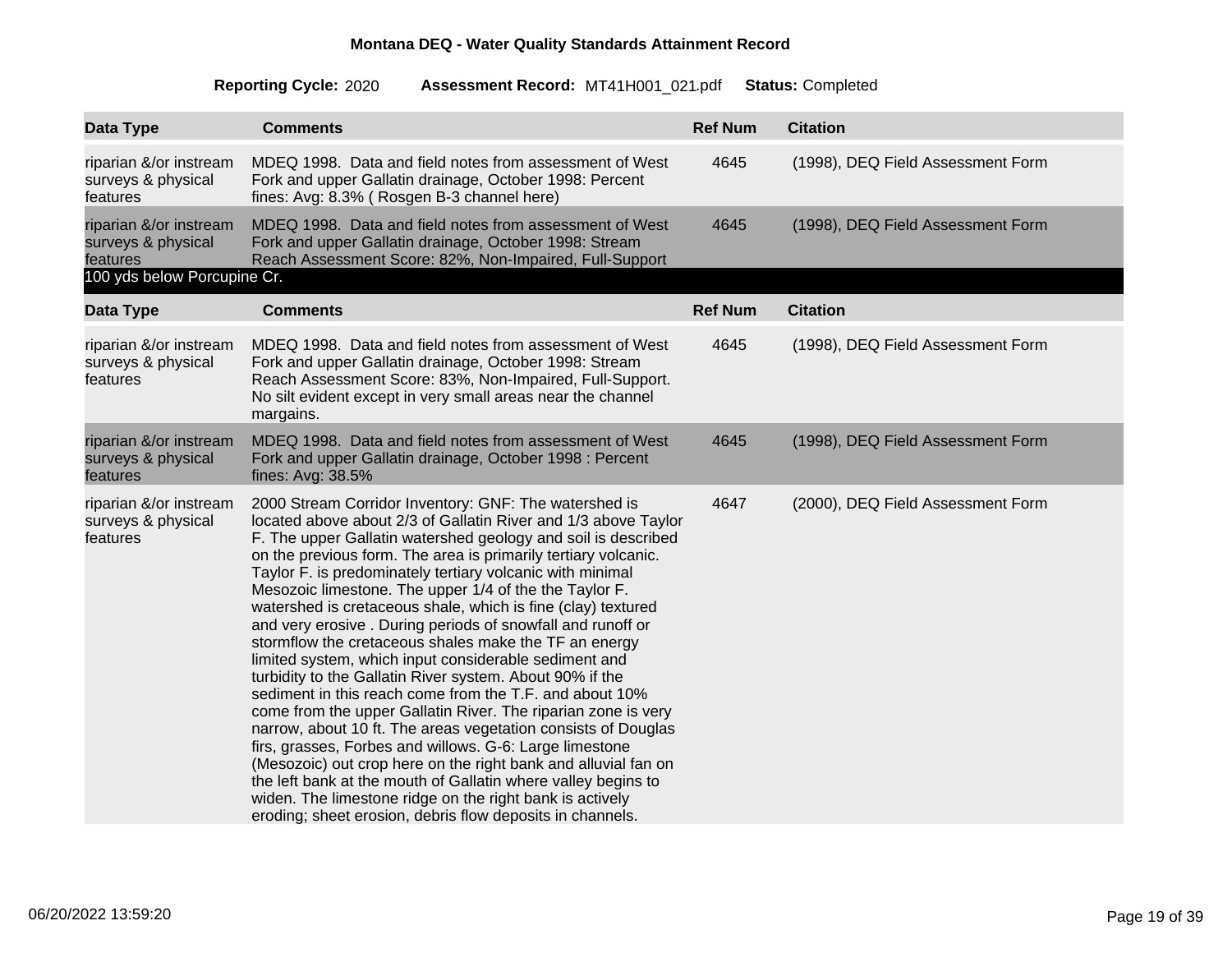| Data Type                                                | <b>Comments</b>                                                                                                                                                                                                                                                                                                                                                                                                                                                                                                                                                                                                                                                                                                                                                                                                                                                                                                                                                                                                                                                                                                                                                                                                    | <b>Ref Num</b> | <b>Citation</b>                   |
|----------------------------------------------------------|--------------------------------------------------------------------------------------------------------------------------------------------------------------------------------------------------------------------------------------------------------------------------------------------------------------------------------------------------------------------------------------------------------------------------------------------------------------------------------------------------------------------------------------------------------------------------------------------------------------------------------------------------------------------------------------------------------------------------------------------------------------------------------------------------------------------------------------------------------------------------------------------------------------------------------------------------------------------------------------------------------------------------------------------------------------------------------------------------------------------------------------------------------------------------------------------------------------------|----------------|-----------------------------------|
| riparian &/or instream<br>surveys & physical<br>features | MDEQ 1998. Data and field notes from assessment of West<br>Fork and upper Gallatin drainage, October 1998: Percent<br>fines: Avg: 8.3% (Rosgen B-3 channel here)                                                                                                                                                                                                                                                                                                                                                                                                                                                                                                                                                                                                                                                                                                                                                                                                                                                                                                                                                                                                                                                   | 4645           | (1998), DEQ Field Assessment Form |
| riparian &/or instream<br>surveys & physical<br>features | MDEQ 1998. Data and field notes from assessment of West<br>Fork and upper Gallatin drainage, October 1998: Stream<br>Reach Assessment Score: 82%, Non-Impaired, Full-Support                                                                                                                                                                                                                                                                                                                                                                                                                                                                                                                                                                                                                                                                                                                                                                                                                                                                                                                                                                                                                                       | 4645           | (1998), DEQ Field Assessment Form |
| 100 yds below Porcupine Cr.                              |                                                                                                                                                                                                                                                                                                                                                                                                                                                                                                                                                                                                                                                                                                                                                                                                                                                                                                                                                                                                                                                                                                                                                                                                                    |                |                                   |
| Data Type                                                | <b>Comments</b>                                                                                                                                                                                                                                                                                                                                                                                                                                                                                                                                                                                                                                                                                                                                                                                                                                                                                                                                                                                                                                                                                                                                                                                                    | <b>Ref Num</b> | <b>Citation</b>                   |
| riparian &/or instream<br>surveys & physical<br>features | MDEQ 1998. Data and field notes from assessment of West<br>Fork and upper Gallatin drainage, October 1998: Stream<br>Reach Assessment Score: 83%, Non-Impaired, Full-Support.<br>No silt evident except in very small areas near the channel<br>margains.                                                                                                                                                                                                                                                                                                                                                                                                                                                                                                                                                                                                                                                                                                                                                                                                                                                                                                                                                          | 4645           | (1998), DEQ Field Assessment Form |
| riparian &/or instream<br>surveys & physical<br>features | MDEQ 1998. Data and field notes from assessment of West<br>Fork and upper Gallatin drainage, October 1998 : Percent<br>fines: Avg: 38.5%                                                                                                                                                                                                                                                                                                                                                                                                                                                                                                                                                                                                                                                                                                                                                                                                                                                                                                                                                                                                                                                                           | 4645           | (1998), DEQ Field Assessment Form |
| riparian &/or instream<br>surveys & physical<br>features | 2000 Stream Corridor Inventory: GNF: The watershed is<br>located above about 2/3 of Gallatin River and 1/3 above Taylor<br>F. The upper Gallatin watershed geology and soil is described<br>on the previous form. The area is primarily tertiary volcanic.<br>Taylor F. is predominately tertiary volcanic with minimal<br>Mesozoic limestone. The upper 1/4 of the the Taylor F.<br>watershed is cretaceous shale, which is fine (clay) textured<br>and very erosive . During periods of snowfall and runoff or<br>stormflow the cretaceous shales make the TF an energy<br>limited system, which input considerable sediment and<br>turbidity to the Gallatin River system. About 90% if the<br>sediment in this reach come from the T.F. and about 10%<br>come from the upper Gallatin River. The riparian zone is very<br>narrow, about 10 ft. The areas vegetation consists of Douglas<br>firs, grasses, Forbes and willows. G-6: Large limestone<br>(Mesozoic) out crop here on the right bank and alluvial fan on<br>the left bank at the mouth of Gallatin where valley begins to<br>widen. The limestone ridge on the right bank is actively<br>eroding; sheet erosion, debris flow deposits in channels. | 4647           | (2000), DEQ Field Assessment Form |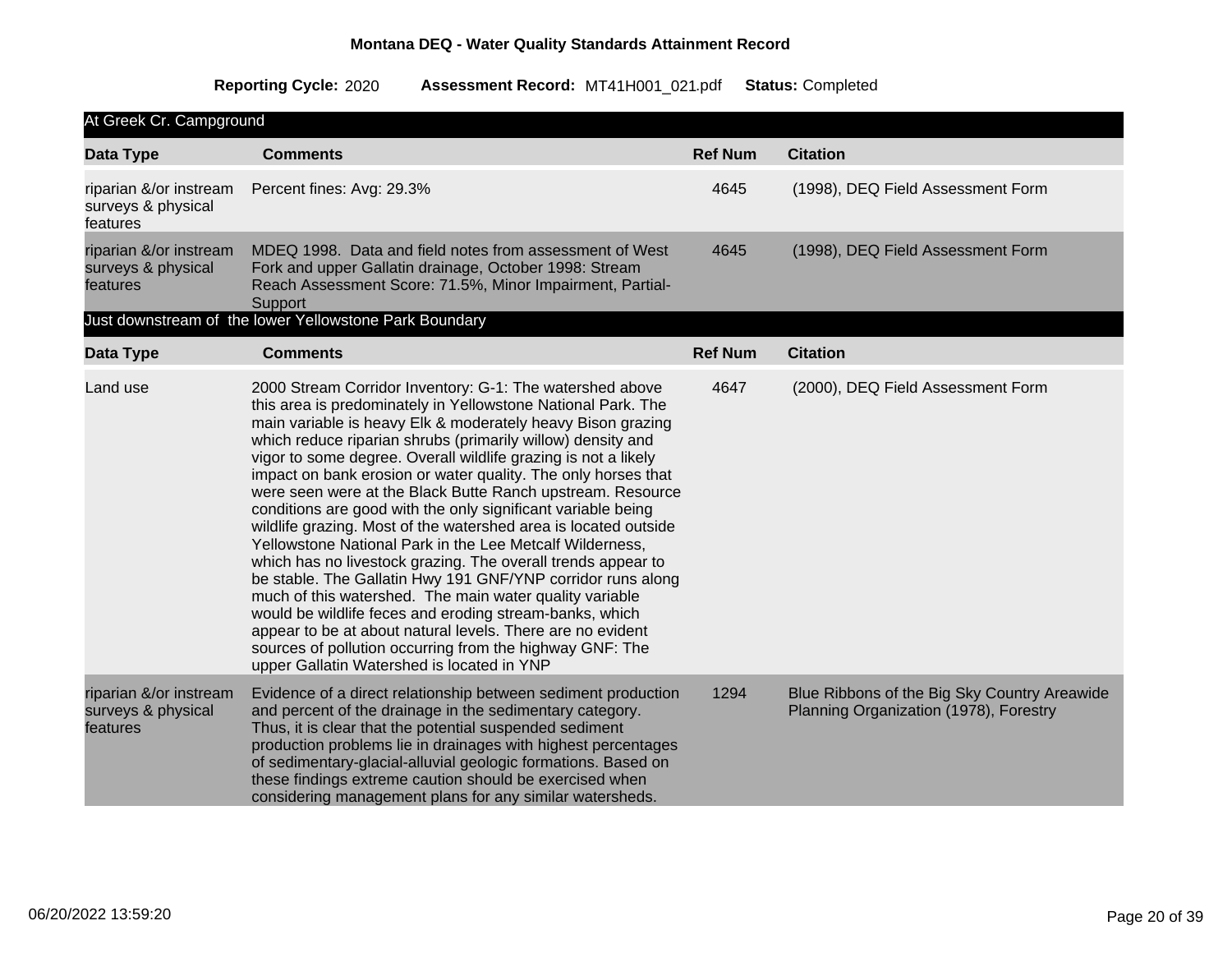| At Greek Cr. Campground                                  |                                                                                                                                                                                                                                                                                                                                                                                                                                                                                                                                                                                                                                                                                                                                                                                                                                                                                                                                                                                                                                                                                     |                |                                                                                        |
|----------------------------------------------------------|-------------------------------------------------------------------------------------------------------------------------------------------------------------------------------------------------------------------------------------------------------------------------------------------------------------------------------------------------------------------------------------------------------------------------------------------------------------------------------------------------------------------------------------------------------------------------------------------------------------------------------------------------------------------------------------------------------------------------------------------------------------------------------------------------------------------------------------------------------------------------------------------------------------------------------------------------------------------------------------------------------------------------------------------------------------------------------------|----------------|----------------------------------------------------------------------------------------|
| Data Type                                                | <b>Comments</b>                                                                                                                                                                                                                                                                                                                                                                                                                                                                                                                                                                                                                                                                                                                                                                                                                                                                                                                                                                                                                                                                     | <b>Ref Num</b> | <b>Citation</b>                                                                        |
| riparian &/or instream<br>surveys & physical<br>features | Percent fines: Avg: 29.3%                                                                                                                                                                                                                                                                                                                                                                                                                                                                                                                                                                                                                                                                                                                                                                                                                                                                                                                                                                                                                                                           | 4645           | (1998), DEQ Field Assessment Form                                                      |
| riparian &/or instream<br>surveys & physical<br>features | MDEQ 1998. Data and field notes from assessment of West<br>Fork and upper Gallatin drainage, October 1998: Stream<br>Reach Assessment Score: 71.5%, Minor Impairment, Partial-<br>Support                                                                                                                                                                                                                                                                                                                                                                                                                                                                                                                                                                                                                                                                                                                                                                                                                                                                                           | 4645           | (1998), DEQ Field Assessment Form                                                      |
|                                                          | Just downstream of the lower Yellowstone Park Boundary                                                                                                                                                                                                                                                                                                                                                                                                                                                                                                                                                                                                                                                                                                                                                                                                                                                                                                                                                                                                                              |                |                                                                                        |
| Data Type                                                | <b>Comments</b>                                                                                                                                                                                                                                                                                                                                                                                                                                                                                                                                                                                                                                                                                                                                                                                                                                                                                                                                                                                                                                                                     | <b>Ref Num</b> | <b>Citation</b>                                                                        |
| Land use                                                 | 2000 Stream Corridor Inventory: G-1: The watershed above<br>this area is predominately in Yellowstone National Park. The<br>main variable is heavy Elk & moderately heavy Bison grazing<br>which reduce riparian shrubs (primarily willow) density and<br>vigor to some degree. Overall wildlife grazing is not a likely<br>impact on bank erosion or water quality. The only horses that<br>were seen were at the Black Butte Ranch upstream. Resource<br>conditions are good with the only significant variable being<br>wildlife grazing. Most of the watershed area is located outside<br>Yellowstone National Park in the Lee Metcalf Wilderness,<br>which has no livestock grazing. The overall trends appear to<br>be stable. The Gallatin Hwy 191 GNF/YNP corridor runs along<br>much of this watershed. The main water quality variable<br>would be wildlife feces and eroding stream-banks, which<br>appear to be at about natural levels. There are no evident<br>sources of pollution occurring from the highway GNF: The<br>upper Gallatin Watershed is located in YNP | 4647           | (2000), DEQ Field Assessment Form                                                      |
| riparian &/or instream<br>surveys & physical<br>features | Evidence of a direct relationship between sediment production<br>and percent of the drainage in the sedimentary category.<br>Thus, it is clear that the potential suspended sediment<br>production problems lie in drainages with highest percentages<br>of sedimentary-glacial-alluvial geologic formations. Based on<br>these findings extreme caution should be exercised when<br>considering management plans for any similar watersheds.                                                                                                                                                                                                                                                                                                                                                                                                                                                                                                                                                                                                                                       | 1294           | Blue Ribbons of the Big Sky Country Areawide<br>Planning Organization (1978), Forestry |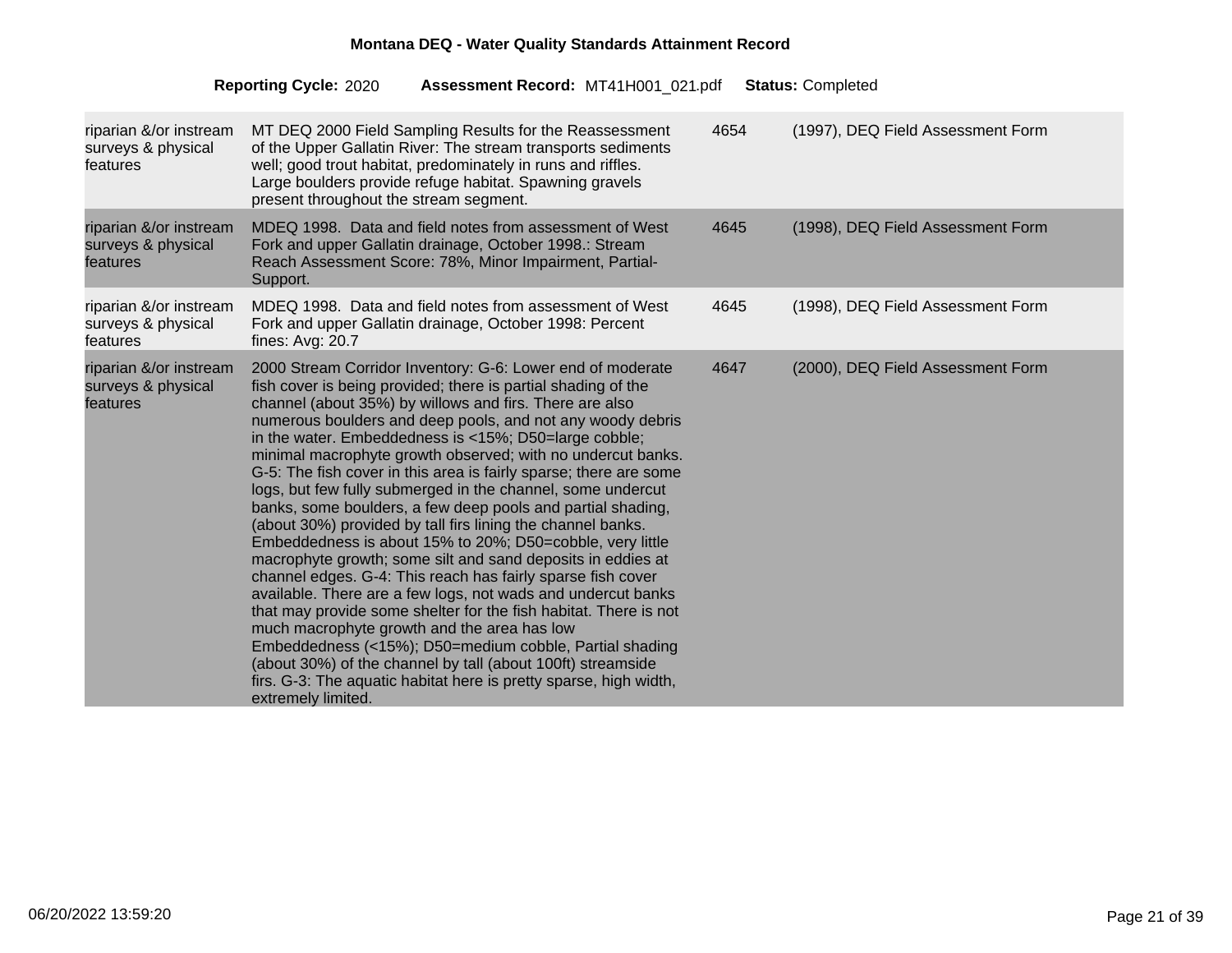| riparian &/or instream<br>surveys & physical<br>features | MT DEQ 2000 Field Sampling Results for the Reassessment<br>of the Upper Gallatin River: The stream transports sediments<br>well; good trout habitat, predominately in runs and riffles.<br>Large boulders provide refuge habitat. Spawning gravels<br>present throughout the stream segment.                                                                                                                                                                                                                                                                                                                                                                                                                                                                                                                                                                                                                                                                                                                                                                                                                                                                                                                                                      | 4654 | (1997), DEQ Field Assessment Form |
|----------------------------------------------------------|---------------------------------------------------------------------------------------------------------------------------------------------------------------------------------------------------------------------------------------------------------------------------------------------------------------------------------------------------------------------------------------------------------------------------------------------------------------------------------------------------------------------------------------------------------------------------------------------------------------------------------------------------------------------------------------------------------------------------------------------------------------------------------------------------------------------------------------------------------------------------------------------------------------------------------------------------------------------------------------------------------------------------------------------------------------------------------------------------------------------------------------------------------------------------------------------------------------------------------------------------|------|-----------------------------------|
| riparian &/or instream<br>surveys & physical<br>features | MDEQ 1998. Data and field notes from assessment of West<br>Fork and upper Gallatin drainage, October 1998.: Stream<br>Reach Assessment Score: 78%, Minor Impairment, Partial-<br>Support.                                                                                                                                                                                                                                                                                                                                                                                                                                                                                                                                                                                                                                                                                                                                                                                                                                                                                                                                                                                                                                                         | 4645 | (1998), DEQ Field Assessment Form |
| riparian &/or instream<br>surveys & physical<br>features | MDEQ 1998. Data and field notes from assessment of West<br>Fork and upper Gallatin drainage, October 1998: Percent<br>fines: Avg: 20.7                                                                                                                                                                                                                                                                                                                                                                                                                                                                                                                                                                                                                                                                                                                                                                                                                                                                                                                                                                                                                                                                                                            | 4645 | (1998), DEQ Field Assessment Form |
| riparian &/or instream<br>surveys & physical<br>features | 2000 Stream Corridor Inventory: G-6: Lower end of moderate<br>fish cover is being provided; there is partial shading of the<br>channel (about 35%) by willows and firs. There are also<br>numerous boulders and deep pools, and not any woody debris<br>in the water. Embeddedness is <15%; D50=large cobble;<br>minimal macrophyte growth observed; with no undercut banks.<br>G-5: The fish cover in this area is fairly sparse; there are some<br>logs, but few fully submerged in the channel, some undercut<br>banks, some boulders, a few deep pools and partial shading,<br>(about 30%) provided by tall firs lining the channel banks.<br>Embeddedness is about 15% to 20%; D50=cobble, very little<br>macrophyte growth; some silt and sand deposits in eddies at<br>channel edges. G-4: This reach has fairly sparse fish cover<br>available. There are a few logs, not wads and undercut banks<br>that may provide some shelter for the fish habitat. There is not<br>much macrophyte growth and the area has low<br>Embeddedness (<15%); D50=medium cobble, Partial shading<br>(about 30%) of the channel by tall (about 100ft) streamside<br>firs. G-3: The aquatic habitat here is pretty sparse, high width,<br>extremely limited. | 4647 | (2000), DEQ Field Assessment Form |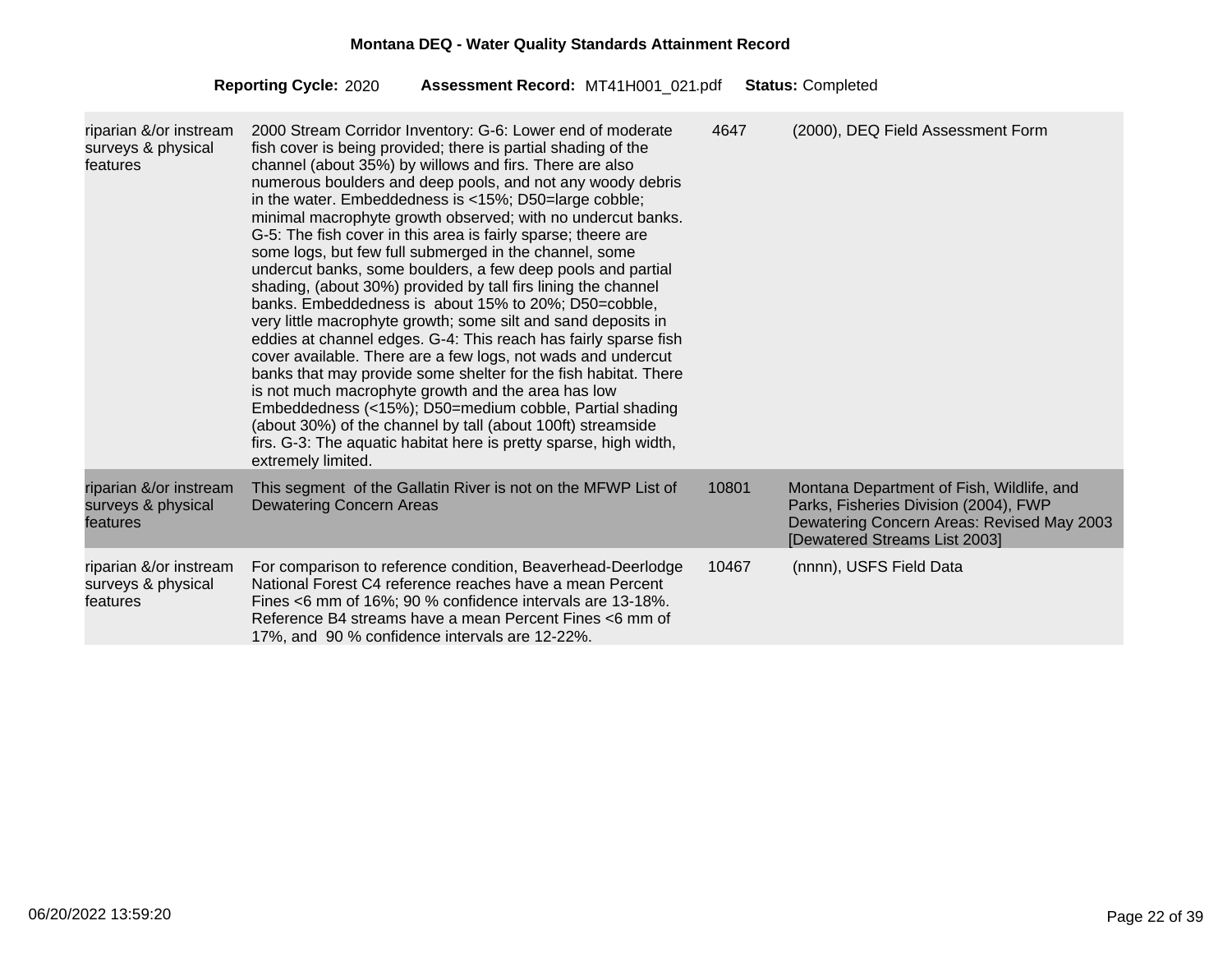| riparian &/or instream<br>surveys & physical<br>features | 2000 Stream Corridor Inventory: G-6: Lower end of moderate<br>fish cover is being provided; there is partial shading of the<br>channel (about 35%) by willows and firs. There are also<br>numerous boulders and deep pools, and not any woody debris<br>in the water. Embeddedness is <15%; D50=large cobble;<br>minimal macrophyte growth observed; with no undercut banks.<br>G-5: The fish cover in this area is fairly sparse; theere are<br>some logs, but few full submerged in the channel, some<br>undercut banks, some boulders, a few deep pools and partial<br>shading, (about 30%) provided by tall firs lining the channel<br>banks. Embeddedness is about 15% to 20%; D50=cobble,<br>very little macrophyte growth; some silt and sand deposits in<br>eddies at channel edges. G-4: This reach has fairly sparse fish<br>cover available. There are a few logs, not wads and undercut<br>banks that may provide some shelter for the fish habitat. There<br>is not much macrophyte growth and the area has low<br>Embeddedness (<15%); D50=medium cobble, Partial shading<br>(about 30%) of the channel by tall (about 100ft) streamside<br>firs. G-3: The aquatic habitat here is pretty sparse, high width,<br>extremely limited. | 4647  | (2000), DEQ Field Assessment Form                                                                                                                                 |
|----------------------------------------------------------|---------------------------------------------------------------------------------------------------------------------------------------------------------------------------------------------------------------------------------------------------------------------------------------------------------------------------------------------------------------------------------------------------------------------------------------------------------------------------------------------------------------------------------------------------------------------------------------------------------------------------------------------------------------------------------------------------------------------------------------------------------------------------------------------------------------------------------------------------------------------------------------------------------------------------------------------------------------------------------------------------------------------------------------------------------------------------------------------------------------------------------------------------------------------------------------------------------------------------------------------------|-------|-------------------------------------------------------------------------------------------------------------------------------------------------------------------|
| riparian &/or instream<br>surveys & physical<br>features | This segment of the Gallatin River is not on the MFWP List of<br><b>Dewatering Concern Areas</b>                                                                                                                                                                                                                                                                                                                                                                                                                                                                                                                                                                                                                                                                                                                                                                                                                                                                                                                                                                                                                                                                                                                                                  | 10801 | Montana Department of Fish, Wildlife, and<br>Parks, Fisheries Division (2004), FWP<br>Dewatering Concern Areas: Revised May 2003<br>[Dewatered Streams List 2003] |
| riparian &/or instream<br>surveys & physical<br>features | For comparison to reference condition, Beaverhead-Deerlodge<br>National Forest C4 reference reaches have a mean Percent<br>Fines <6 mm of 16%; 90 % confidence intervals are 13-18%.<br>Reference B4 streams have a mean Percent Fines <6 mm of<br>17%, and 90 % confidence intervals are 12-22%.                                                                                                                                                                                                                                                                                                                                                                                                                                                                                                                                                                                                                                                                                                                                                                                                                                                                                                                                                 | 10467 | (nnnn), USFS Field Data                                                                                                                                           |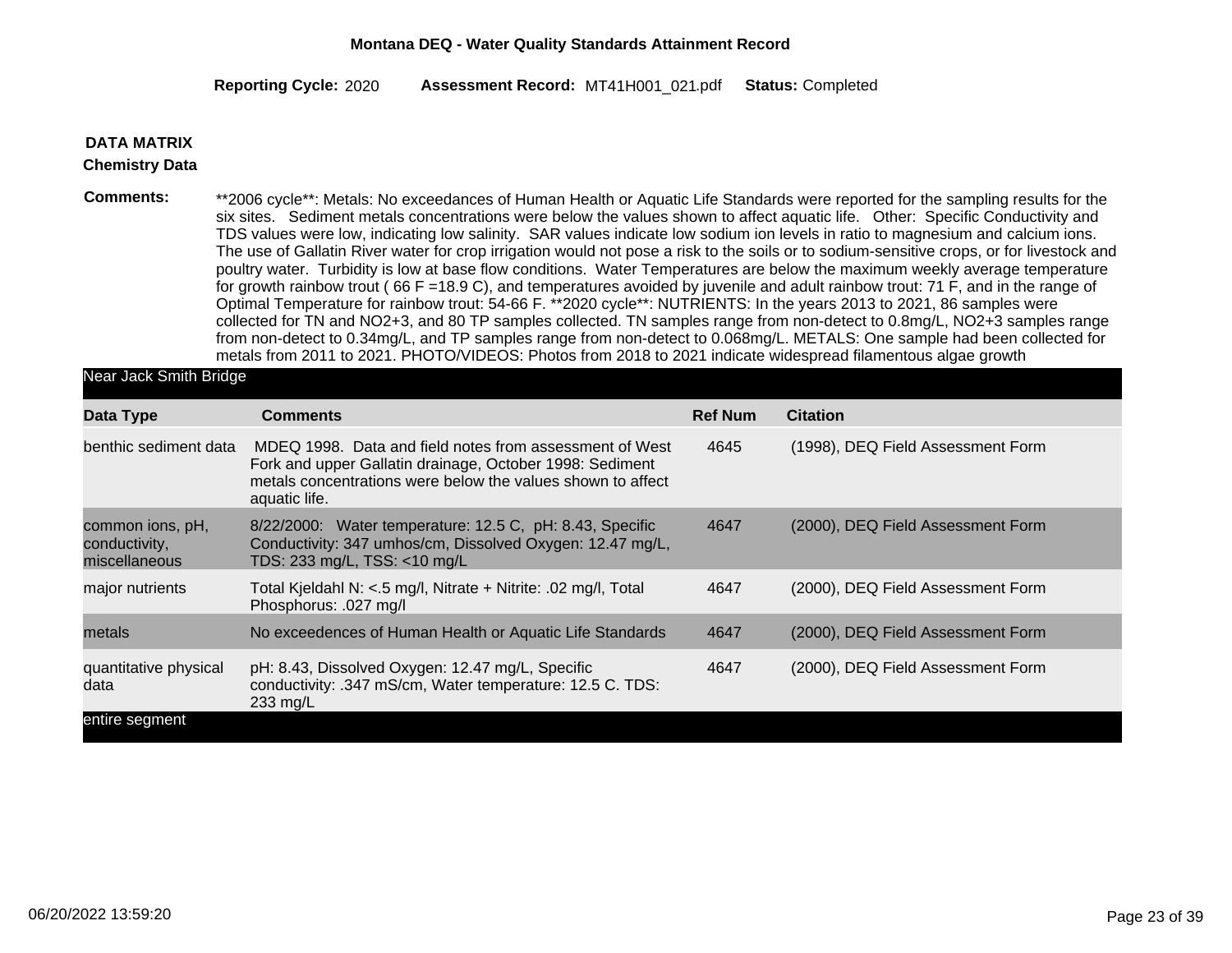2020 MT41H001\_021 Completed **Reporting Cycle: Assessment Record:** .pdf **Status:**

#### **DATA MATRIX**

#### **Chemistry Data**

**Comments:** \*\*2006 cycle\*\*: Metals: No exceedances of Human Health or Aquatic Life Standards were reported for the sampling results for the six sites. Sediment metals concentrations were below the values shown to affect aquatic life. Other: Specific Conductivity and TDS values were low, indicating low salinity. SAR values indicate low sodium ion levels in ratio to magnesium and calcium ions. The use of Gallatin River water for crop irrigation would not pose a risk to the soils or to sodium-sensitive crops, or for livestock and poultry water. Turbidity is low at base flow conditions. Water Temperatures are below the maximum weekly average temperature for growth rainbow trout ( 66 F =18.9 C), and temperatures avoided by juvenile and adult rainbow trout: 71 F, and in the range of Optimal Temperature for rainbow trout: 54-66 F. \*\*2020 cycle\*\*: NUTRIENTS: In the years 2013 to 2021, 86 samples were collected for TN and NO2+3, and 80 TP samples collected. TN samples range from non-detect to 0.8mg/L, NO2+3 samples range from non-detect to 0.34mg/L, and TP samples range from non-detect to 0.068mg/L. METALS: One sample had been collected for metals from 2011 to 2021. PHOTO/VIDEOS: Photos from 2018 to 2021 indicate widespread filamentous algae growth

Near Jack Smith Bridge

| Data Type                                          | <b>Comments</b>                                                                                                                                                                                     | <b>Ref Num</b> | <b>Citation</b>                   |
|----------------------------------------------------|-----------------------------------------------------------------------------------------------------------------------------------------------------------------------------------------------------|----------------|-----------------------------------|
| benthic sediment data                              | MDEQ 1998. Data and field notes from assessment of West<br>Fork and upper Gallatin drainage, October 1998: Sediment<br>metals concentrations were below the values shown to affect<br>aquatic life. | 4645           | (1998), DEQ Field Assessment Form |
| common ions, pH,<br>conductivity,<br>miscellaneous | 8/22/2000: Water temperature: 12.5 C, pH: 8.43, Specific<br>Conductivity: 347 umhos/cm, Dissolved Oxygen: 12.47 mg/L,<br>TDS: 233 mg/L, TSS: <10 mg/L                                               | 4647           | (2000), DEQ Field Assessment Form |
| major nutrients                                    | Total Kjeldahl N: <.5 mg/l, Nitrate + Nitrite: .02 mg/l, Total<br>Phosphorus: .027 mg/l                                                                                                             | 4647           | (2000), DEQ Field Assessment Form |
| metals                                             | No exceedences of Human Health or Aquatic Life Standards                                                                                                                                            | 4647           | (2000), DEQ Field Assessment Form |
| quantitative physical<br>data                      | pH: 8.43, Dissolved Oxygen: 12.47 mg/L, Specific<br>conductivity: .347 mS/cm, Water temperature: 12.5 C. TDS:<br>$233 \text{ mg/L}$                                                                 | 4647           | (2000), DEQ Field Assessment Form |
| entire segment                                     |                                                                                                                                                                                                     |                |                                   |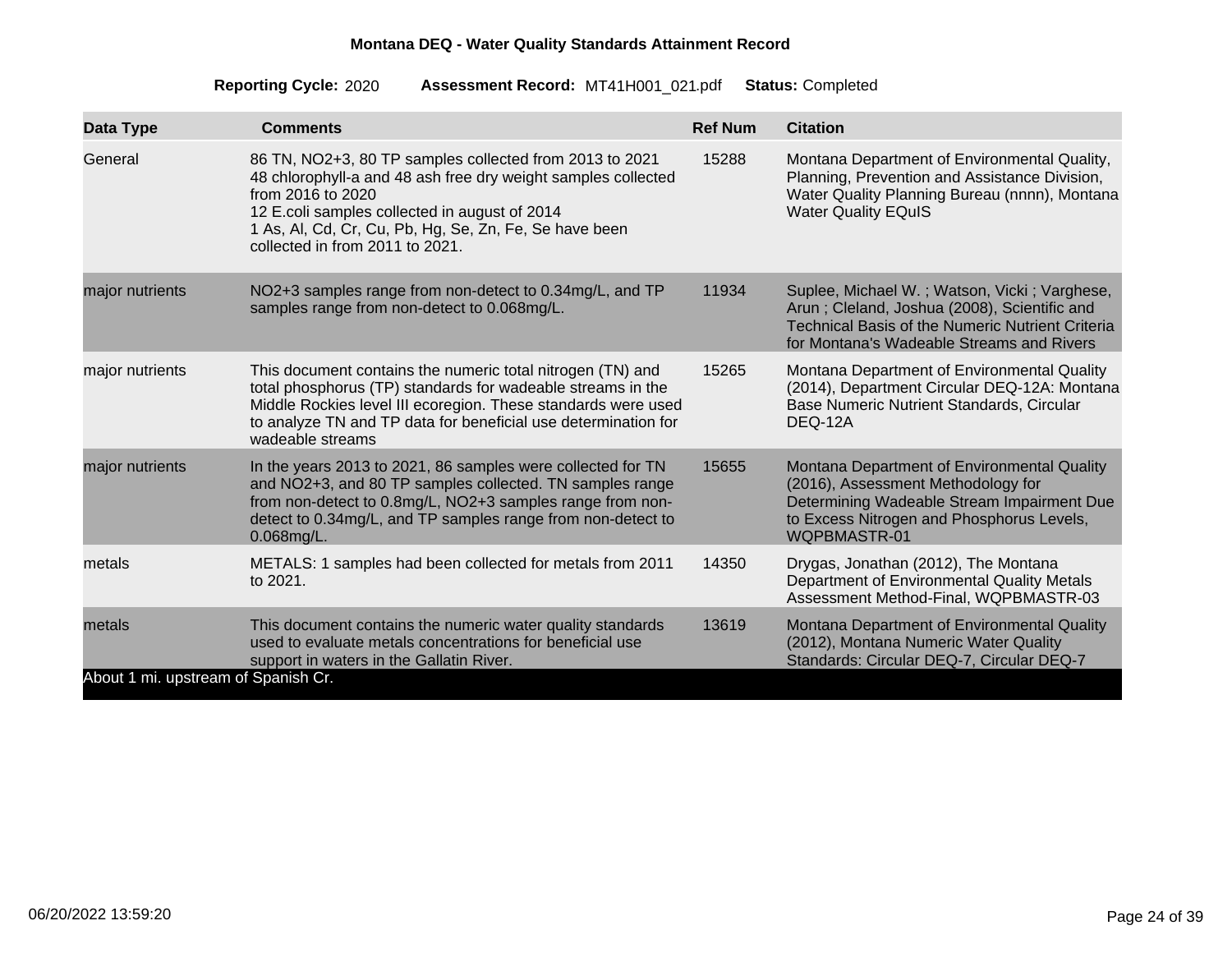| Data Type                                     | <b>Comments</b>                                                                                                                                                                                                                                                                             | <b>Ref Num</b> | <b>Citation</b>                                                                                                                                                                                      |
|-----------------------------------------------|---------------------------------------------------------------------------------------------------------------------------------------------------------------------------------------------------------------------------------------------------------------------------------------------|----------------|------------------------------------------------------------------------------------------------------------------------------------------------------------------------------------------------------|
| General                                       | 86 TN, NO2+3, 80 TP samples collected from 2013 to 2021<br>48 chlorophyll-a and 48 ash free dry weight samples collected<br>from 2016 to 2020<br>12 E.coli samples collected in august of 2014<br>1 As, Al, Cd, Cr, Cu, Pb, Hg, Se, Zn, Fe, Se have been<br>collected in from 2011 to 2021. | 15288          | Montana Department of Environmental Quality,<br>Planning, Prevention and Assistance Division,<br>Water Quality Planning Bureau (nnnn), Montana<br><b>Water Quality EQuIS</b>                         |
| major nutrients                               | NO2+3 samples range from non-detect to 0.34mg/L, and TP<br>samples range from non-detect to 0.068mg/L.                                                                                                                                                                                      | 11934          | Suplee, Michael W.; Watson, Vicki; Varghese,<br>Arun; Cleland, Joshua (2008), Scientific and<br><b>Technical Basis of the Numeric Nutrient Criteria</b><br>for Montana's Wadeable Streams and Rivers |
| major nutrients                               | This document contains the numeric total nitrogen (TN) and<br>total phosphorus (TP) standards for wadeable streams in the<br>Middle Rockies level III ecoregion. These standards were used<br>to analyze TN and TP data for beneficial use determination for<br>wadeable streams            | 15265          | Montana Department of Environmental Quality<br>(2014), Department Circular DEQ-12A: Montana<br><b>Base Numeric Nutrient Standards, Circular</b><br>DEQ-12A                                           |
| major nutrients                               | In the years 2013 to 2021, 86 samples were collected for TN<br>and NO2+3, and 80 TP samples collected. TN samples range<br>from non-detect to 0.8mg/L, NO2+3 samples range from non-<br>detect to 0.34mg/L, and TP samples range from non-detect to<br>$0.068$ mg/L.                        | 15655          | Montana Department of Environmental Quality<br>(2016), Assessment Methodology for<br>Determining Wadeable Stream Impairment Due<br>to Excess Nitrogen and Phosphorus Levels,<br>WQPBMASTR-01         |
| metals                                        | METALS: 1 samples had been collected for metals from 2011<br>to 2021.                                                                                                                                                                                                                       | 14350          | Drygas, Jonathan (2012), The Montana<br>Department of Environmental Quality Metals<br>Assessment Method-Final, WQPBMASTR-03                                                                          |
| metals<br>About 1 mi. upstream of Spanish Cr. | This document contains the numeric water quality standards<br>used to evaluate metals concentrations for beneficial use<br>support in waters in the Gallatin River.                                                                                                                         | 13619          | Montana Department of Environmental Quality<br>(2012), Montana Numeric Water Quality<br>Standards: Circular DEQ-7, Circular DEQ-7                                                                    |
|                                               |                                                                                                                                                                                                                                                                                             |                |                                                                                                                                                                                                      |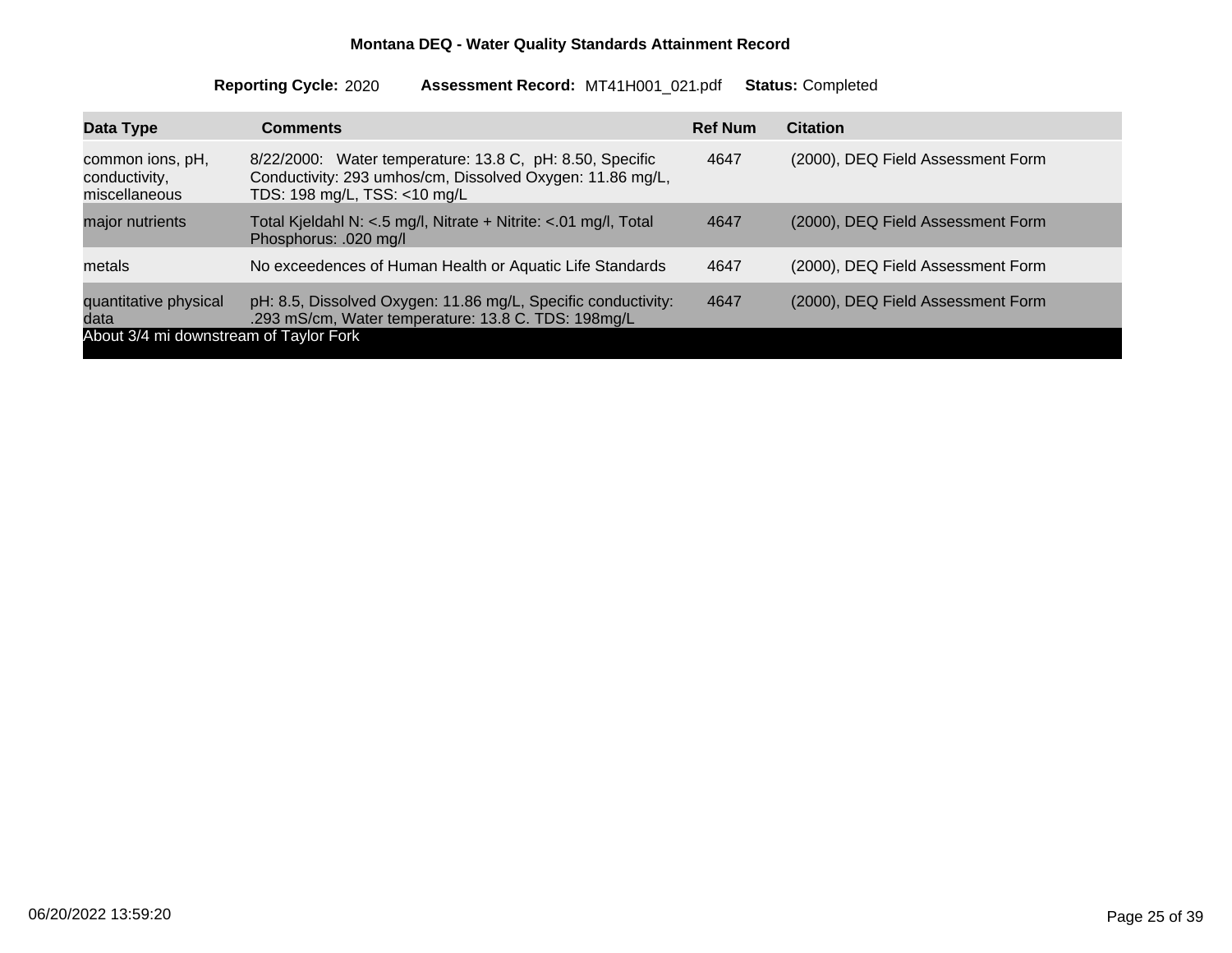| Data Type                                          | <b>Comments</b>                                                                                                                                       | <b>Ref Num</b> | <b>Citation</b>                   |
|----------------------------------------------------|-------------------------------------------------------------------------------------------------------------------------------------------------------|----------------|-----------------------------------|
| common ions, pH,<br>conductivity,<br>miscellaneous | 8/22/2000: Water temperature: 13.8 C, pH: 8.50, Specific<br>Conductivity: 293 umhos/cm, Dissolved Oxygen: 11.86 mg/L,<br>TDS: 198 mg/L, TSS: <10 mg/L | 4647           | (2000), DEQ Field Assessment Form |
| major nutrients                                    | Total Kjeldahl N: <.5 mg/l, Nitrate + Nitrite: <.01 mg/l, Total<br>Phosphorus: .020 mg/l                                                              | 4647           | (2000), DEQ Field Assessment Form |
| metals                                             | No exceedences of Human Health or Aquatic Life Standards                                                                                              | 4647           | (2000), DEQ Field Assessment Form |
| quantitative physical<br>data                      | pH: 8.5, Dissolved Oxygen: 11.86 mg/L, Specific conductivity:<br>.293 mS/cm, Water temperature: 13.8 C. TDS: 198mg/L                                  | 4647           | (2000), DEQ Field Assessment Form |
| About 3/4 mi downstream of Taylor Fork             |                                                                                                                                                       |                |                                   |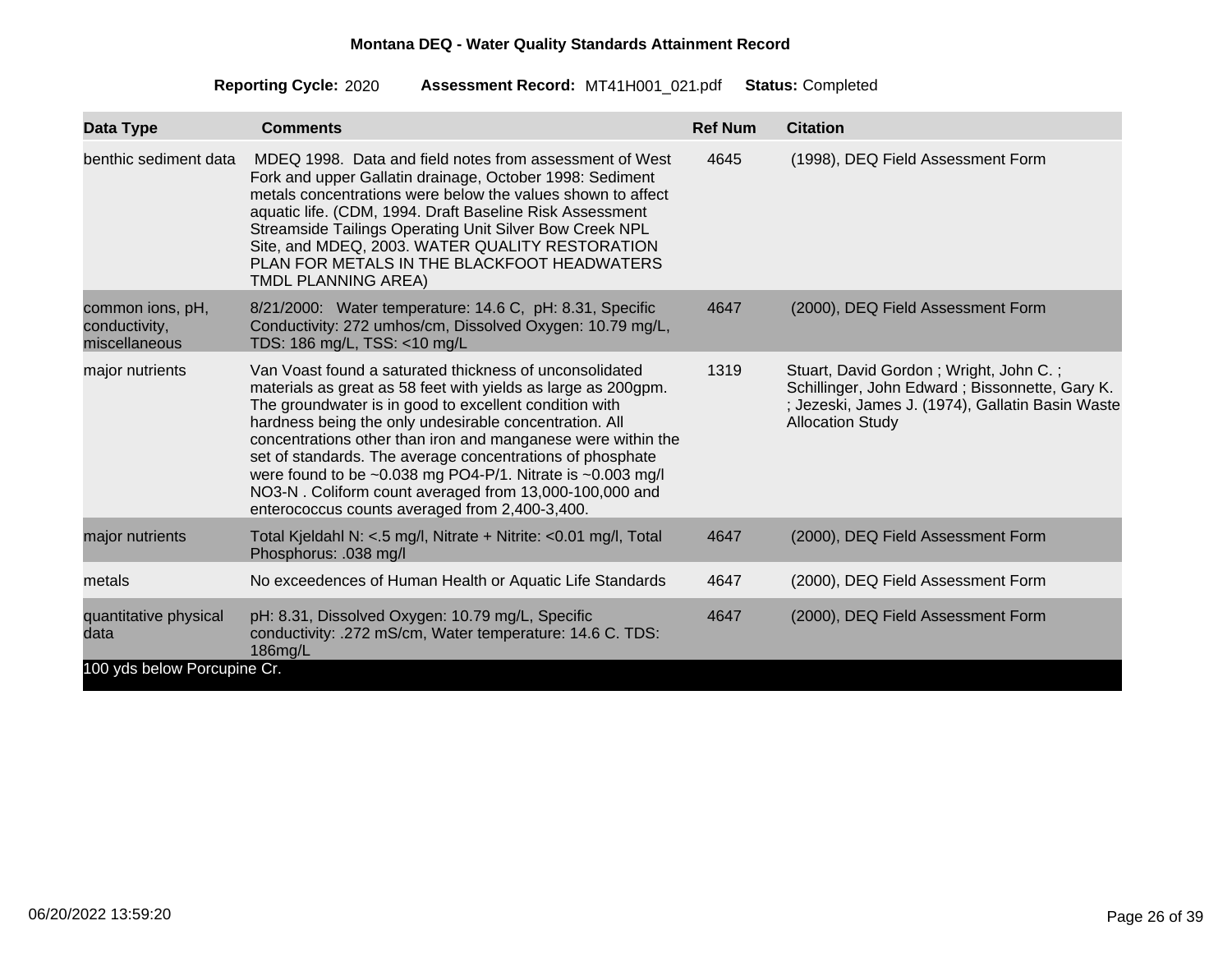| Data Type                                          | <b>Comments</b>                                                                                                                                                                                                                                                                                                                                                                                                                                                                                                                                                 | <b>Ref Num</b> | <b>Citation</b>                                                                                                                                                         |
|----------------------------------------------------|-----------------------------------------------------------------------------------------------------------------------------------------------------------------------------------------------------------------------------------------------------------------------------------------------------------------------------------------------------------------------------------------------------------------------------------------------------------------------------------------------------------------------------------------------------------------|----------------|-------------------------------------------------------------------------------------------------------------------------------------------------------------------------|
| benthic sediment data                              | MDEQ 1998. Data and field notes from assessment of West<br>Fork and upper Gallatin drainage, October 1998: Sediment<br>metals concentrations were below the values shown to affect<br>aquatic life. (CDM, 1994. Draft Baseline Risk Assessment<br>Streamside Tailings Operating Unit Silver Bow Creek NPL<br>Site, and MDEQ, 2003. WATER QUALITY RESTORATION<br>PLAN FOR METALS IN THE BLACKFOOT HEADWATERS<br><b>TMDL PLANNING AREA)</b>                                                                                                                       | 4645           | (1998), DEQ Field Assessment Form                                                                                                                                       |
| common ions, pH,<br>conductivity,<br>miscellaneous | 8/21/2000: Water temperature: 14.6 C, pH: 8.31, Specific<br>Conductivity: 272 umhos/cm, Dissolved Oxygen: 10.79 mg/L,<br>TDS: 186 mg/L, TSS: <10 mg/L                                                                                                                                                                                                                                                                                                                                                                                                           | 4647           | (2000), DEQ Field Assessment Form                                                                                                                                       |
| major nutrients                                    | Van Voast found a saturated thickness of unconsolidated<br>materials as great as 58 feet with yields as large as 200gpm.<br>The groundwater is in good to excellent condition with<br>hardness being the only undesirable concentration. All<br>concentrations other than iron and manganese were within the<br>set of standards. The average concentrations of phosphate<br>were found to be $\sim 0.038$ mg PO4-P/1. Nitrate is $\sim 0.003$ mg/l<br>NO3-N. Coliform count averaged from 13,000-100,000 and<br>enterococcus counts averaged from 2,400-3,400. | 1319           | Stuart, David Gordon; Wright, John C.;<br>Schillinger, John Edward; Bissonnette, Gary K.<br>; Jezeski, James J. (1974), Gallatin Basin Waste<br><b>Allocation Study</b> |
| major nutrients                                    | Total Kjeldahl N: <.5 mg/l, Nitrate + Nitrite: <0.01 mg/l, Total<br>Phosphorus: .038 mg/l                                                                                                                                                                                                                                                                                                                                                                                                                                                                       | 4647           | (2000), DEQ Field Assessment Form                                                                                                                                       |
| metals                                             | No exceedences of Human Health or Aquatic Life Standards                                                                                                                                                                                                                                                                                                                                                                                                                                                                                                        | 4647           | (2000), DEQ Field Assessment Form                                                                                                                                       |
| quantitative physical<br>data                      | pH: 8.31, Dissolved Oxygen: 10.79 mg/L, Specific<br>conductivity: .272 mS/cm, Water temperature: 14.6 C. TDS:<br>186mg/L                                                                                                                                                                                                                                                                                                                                                                                                                                        | 4647           | (2000), DEQ Field Assessment Form                                                                                                                                       |
| 100 yds below Porcupine Cr.                        |                                                                                                                                                                                                                                                                                                                                                                                                                                                                                                                                                                 |                |                                                                                                                                                                         |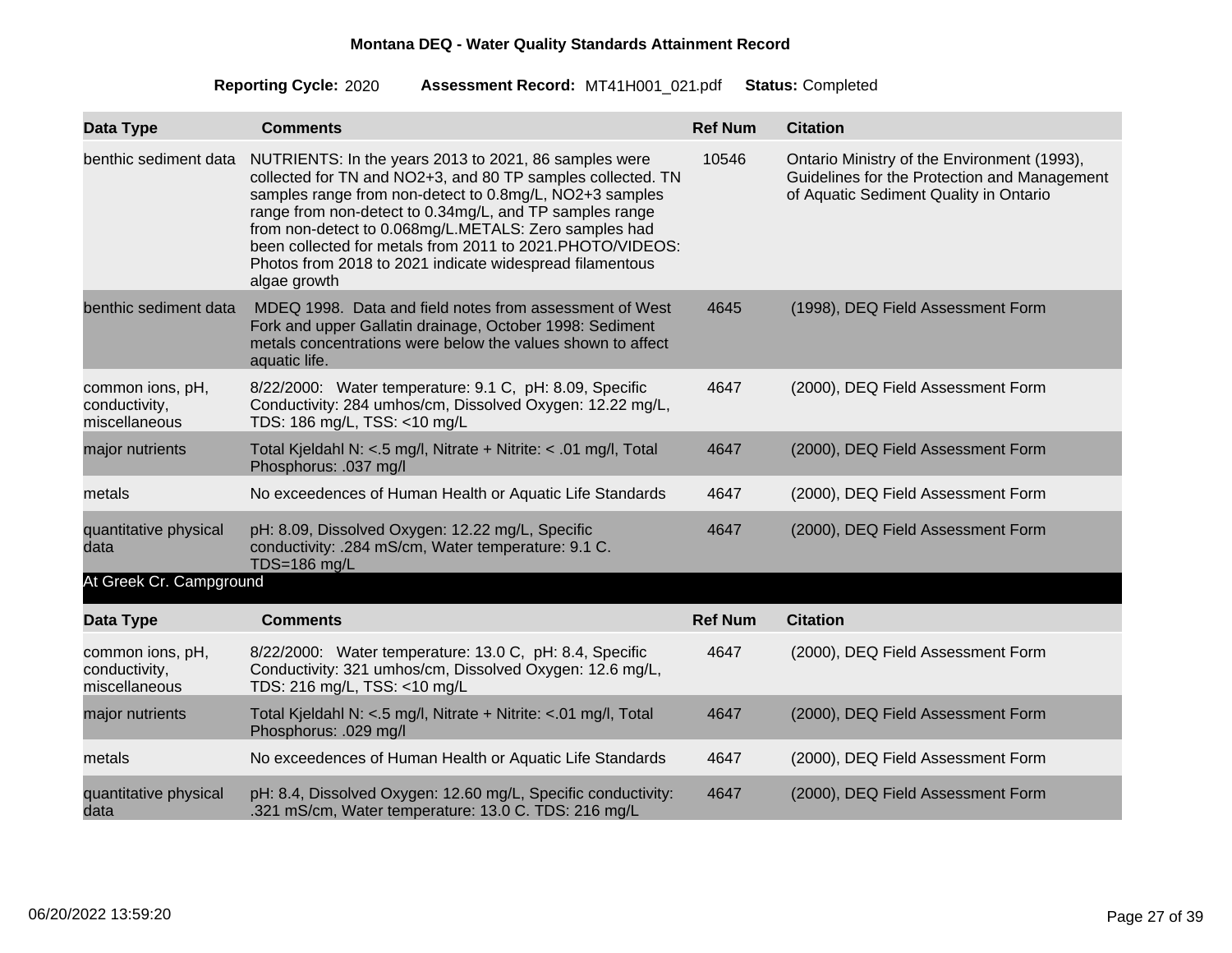| Data Type                                          | <b>Comments</b>                                                                                                                                                                                                                                                                                                                                                                                                                              | <b>Ref Num</b> | <b>Citation</b>                                                                                                                       |
|----------------------------------------------------|----------------------------------------------------------------------------------------------------------------------------------------------------------------------------------------------------------------------------------------------------------------------------------------------------------------------------------------------------------------------------------------------------------------------------------------------|----------------|---------------------------------------------------------------------------------------------------------------------------------------|
| benthic sediment data                              | NUTRIENTS: In the years 2013 to 2021, 86 samples were<br>collected for TN and NO2+3, and 80 TP samples collected. TN<br>samples range from non-detect to 0.8mg/L, NO2+3 samples<br>range from non-detect to 0.34mg/L, and TP samples range<br>from non-detect to 0.068mg/L.METALS: Zero samples had<br>been collected for metals from 2011 to 2021.PHOTO/VIDEOS:<br>Photos from 2018 to 2021 indicate widespread filamentous<br>algae growth | 10546          | Ontario Ministry of the Environment (1993),<br>Guidelines for the Protection and Management<br>of Aquatic Sediment Quality in Ontario |
| benthic sediment data                              | MDEQ 1998. Data and field notes from assessment of West<br>Fork and upper Gallatin drainage, October 1998: Sediment<br>metals concentrations were below the values shown to affect<br>aquatic life.                                                                                                                                                                                                                                          | 4645           | (1998), DEQ Field Assessment Form                                                                                                     |
| common ions, pH,<br>conductivity,<br>miscellaneous | 8/22/2000: Water temperature: 9.1 C, pH: 8.09, Specific<br>Conductivity: 284 umhos/cm, Dissolved Oxygen: 12.22 mg/L,<br>TDS: 186 mg/L, TSS: <10 mg/L                                                                                                                                                                                                                                                                                         | 4647           | (2000), DEQ Field Assessment Form                                                                                                     |
| major nutrients                                    | Total Kjeldahl N: <.5 mg/l, Nitrate + Nitrite: < .01 mg/l, Total<br>Phosphorus: .037 mg/l                                                                                                                                                                                                                                                                                                                                                    | 4647           | (2000), DEQ Field Assessment Form                                                                                                     |
| metals                                             | No exceedences of Human Health or Aquatic Life Standards                                                                                                                                                                                                                                                                                                                                                                                     | 4647           | (2000), DEQ Field Assessment Form                                                                                                     |
| quantitative physical<br>data                      | pH: 8.09, Dissolved Oxygen: 12.22 mg/L, Specific<br>conductivity: .284 mS/cm, Water temperature: 9.1 C.<br>TDS=186 mg/L                                                                                                                                                                                                                                                                                                                      | 4647           | (2000), DEQ Field Assessment Form                                                                                                     |
| At Greek Cr. Campground                            |                                                                                                                                                                                                                                                                                                                                                                                                                                              |                |                                                                                                                                       |
| Data Type                                          | <b>Comments</b>                                                                                                                                                                                                                                                                                                                                                                                                                              | <b>Ref Num</b> | <b>Citation</b>                                                                                                                       |
| common ions, pH,<br>conductivity,<br>miscellaneous | 8/22/2000: Water temperature: 13.0 C, pH: 8.4, Specific<br>Conductivity: 321 umhos/cm, Dissolved Oxygen: 12.6 mg/L,<br>TDS: 216 mg/L, TSS: <10 mg/L                                                                                                                                                                                                                                                                                          | 4647           | (2000), DEQ Field Assessment Form                                                                                                     |
| major nutrients                                    | Total Kjeldahl N: <.5 mg/l, Nitrate + Nitrite: <.01 mg/l, Total<br>Phosphorus: .029 mg/l                                                                                                                                                                                                                                                                                                                                                     | 4647           | (2000), DEQ Field Assessment Form                                                                                                     |
| metals                                             | No exceedences of Human Health or Aquatic Life Standards                                                                                                                                                                                                                                                                                                                                                                                     | 4647           | (2000), DEQ Field Assessment Form                                                                                                     |
| quantitative physical<br>data                      | pH: 8.4, Dissolved Oxygen: 12.60 mg/L, Specific conductivity:<br>.321 mS/cm, Water temperature: 13.0 C. TDS: 216 mg/L                                                                                                                                                                                                                                                                                                                        | 4647           | (2000), DEQ Field Assessment Form                                                                                                     |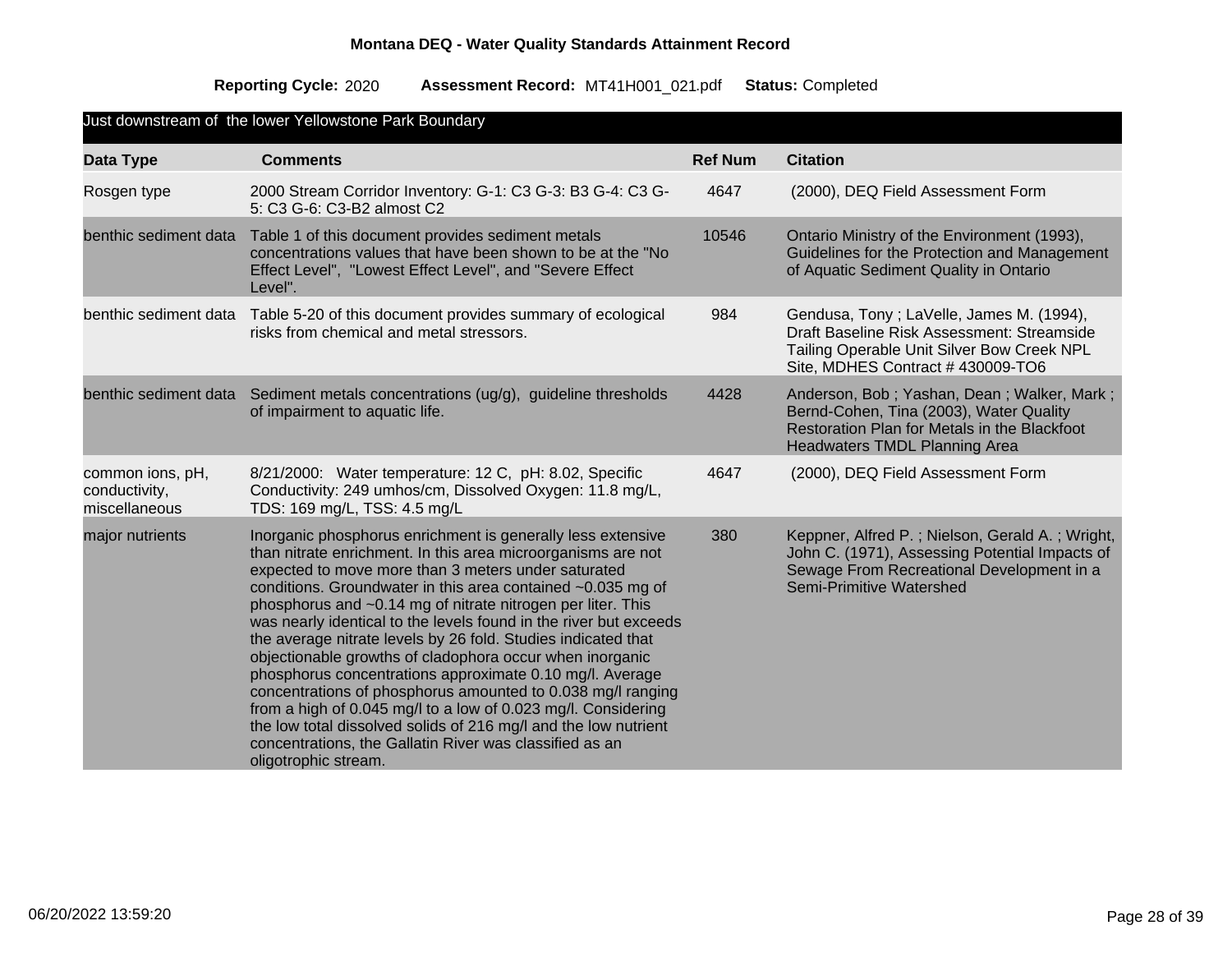| Just downstream of the lower Yellowstone Park Boundary |                                                                                                                                                                                                                                                                                                                                                                                                                                                                                                                                                                                                                                                                                                                                                                                                                                                                      |                |                                                                                                                                                                               |  |  |  |
|--------------------------------------------------------|----------------------------------------------------------------------------------------------------------------------------------------------------------------------------------------------------------------------------------------------------------------------------------------------------------------------------------------------------------------------------------------------------------------------------------------------------------------------------------------------------------------------------------------------------------------------------------------------------------------------------------------------------------------------------------------------------------------------------------------------------------------------------------------------------------------------------------------------------------------------|----------------|-------------------------------------------------------------------------------------------------------------------------------------------------------------------------------|--|--|--|
| Data Type                                              | <b>Comments</b>                                                                                                                                                                                                                                                                                                                                                                                                                                                                                                                                                                                                                                                                                                                                                                                                                                                      | <b>Ref Num</b> | <b>Citation</b>                                                                                                                                                               |  |  |  |
| Rosgen type                                            | 2000 Stream Corridor Inventory: G-1: C3 G-3: B3 G-4: C3 G-<br>5: C3 G-6: C3-B2 almost C2                                                                                                                                                                                                                                                                                                                                                                                                                                                                                                                                                                                                                                                                                                                                                                             | 4647           | (2000), DEQ Field Assessment Form                                                                                                                                             |  |  |  |
| benthic sediment data                                  | Table 1 of this document provides sediment metals<br>concentrations values that have been shown to be at the "No<br>Effect Level", "Lowest Effect Level", and "Severe Effect<br>Level".                                                                                                                                                                                                                                                                                                                                                                                                                                                                                                                                                                                                                                                                              | 10546          | Ontario Ministry of the Environment (1993),<br>Guidelines for the Protection and Management<br>of Aquatic Sediment Quality in Ontario                                         |  |  |  |
| benthic sediment data                                  | Table 5-20 of this document provides summary of ecological<br>risks from chemical and metal stressors.                                                                                                                                                                                                                                                                                                                                                                                                                                                                                                                                                                                                                                                                                                                                                               | 984            | Gendusa, Tony; LaVelle, James M. (1994),<br>Draft Baseline Risk Assessment: Streamside<br>Tailing Operable Unit Silver Bow Creek NPL<br>Site, MDHES Contract #430009-TO6      |  |  |  |
| benthic sediment data                                  | Sediment metals concentrations (ug/g), guideline thresholds<br>of impairment to aquatic life.                                                                                                                                                                                                                                                                                                                                                                                                                                                                                                                                                                                                                                                                                                                                                                        | 4428           | Anderson, Bob; Yashan, Dean; Walker, Mark;<br>Bernd-Cohen, Tina (2003), Water Quality<br>Restoration Plan for Metals in the Blackfoot<br><b>Headwaters TMDL Planning Area</b> |  |  |  |
| common ions, pH,<br>conductivity,<br>miscellaneous     | 8/21/2000: Water temperature: 12 C, pH: 8.02, Specific<br>Conductivity: 249 umhos/cm, Dissolved Oxygen: 11.8 mg/L,<br>TDS: 169 mg/L, TSS: 4.5 mg/L                                                                                                                                                                                                                                                                                                                                                                                                                                                                                                                                                                                                                                                                                                                   | 4647           | (2000), DEQ Field Assessment Form                                                                                                                                             |  |  |  |
| major nutrients                                        | Inorganic phosphorus enrichment is generally less extensive<br>than nitrate enrichment. In this area microorganisms are not<br>expected to move more than 3 meters under saturated<br>conditions. Groundwater in this area contained ~0.035 mg of<br>phosphorus and ~0.14 mg of nitrate nitrogen per liter. This<br>was nearly identical to the levels found in the river but exceeds<br>the average nitrate levels by 26 fold. Studies indicated that<br>objectionable growths of cladophora occur when inorganic<br>phosphorus concentrations approximate 0.10 mg/l. Average<br>concentrations of phosphorus amounted to 0.038 mg/l ranging<br>from a high of 0.045 mg/l to a low of 0.023 mg/l. Considering<br>the low total dissolved solids of 216 mg/l and the low nutrient<br>concentrations, the Gallatin River was classified as an<br>oligotrophic stream. | 380            | Keppner, Alfred P.; Nielson, Gerald A.; Wright,<br>John C. (1971), Assessing Potential Impacts of<br>Sewage From Recreational Development in a<br>Semi-Primitive Watershed    |  |  |  |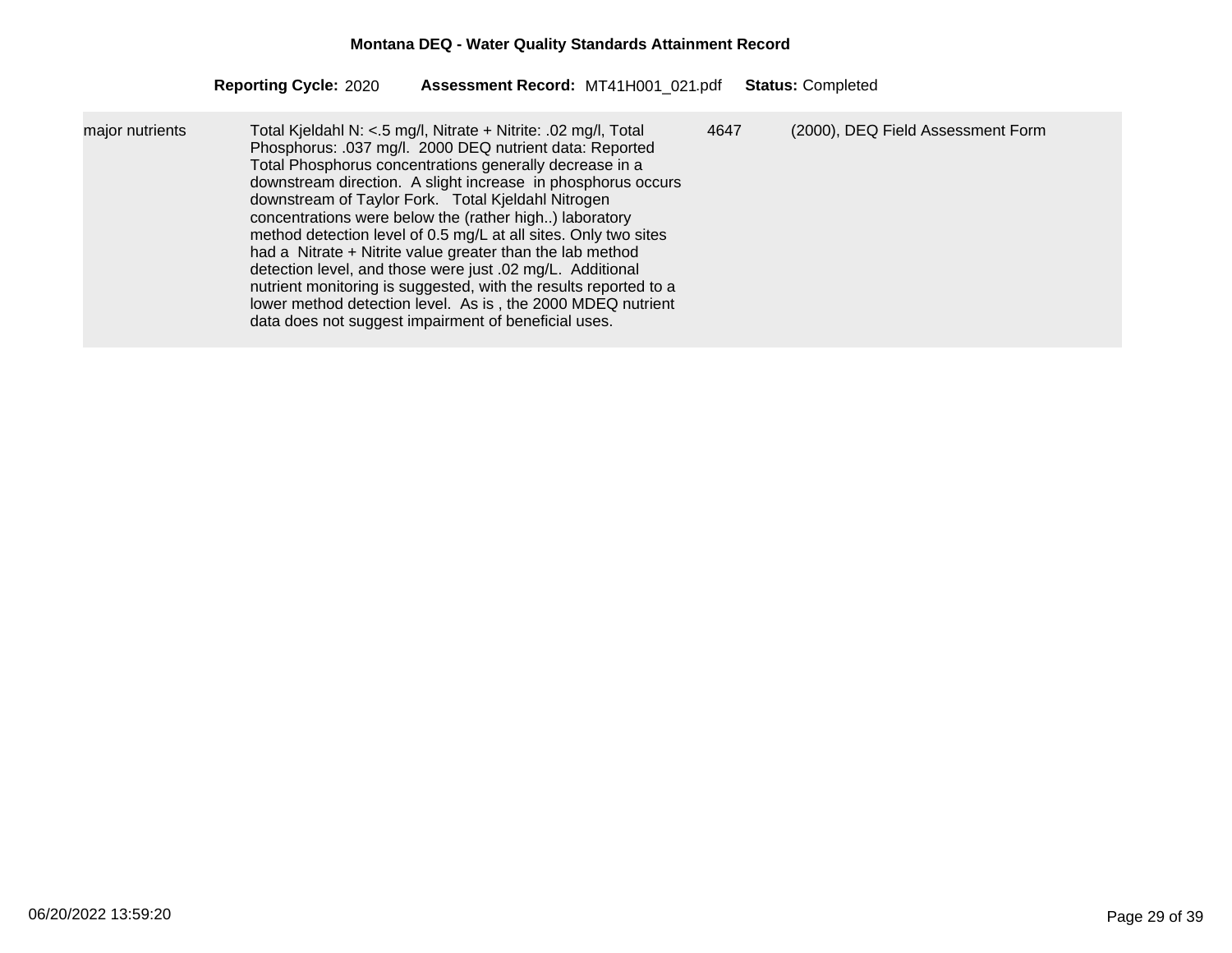| Total Kjeldahl N: <.5 mg/l, Nitrate + Nitrite: .02 mg/l, Total<br>major nutrients<br>Phosphorus: .037 mg/l. 2000 DEQ nutrient data: Reported<br>Total Phosphorus concentrations generally decrease in a<br>downstream direction. A slight increase in phosphorus occurs<br>downstream of Taylor Fork. Total Kjeldahl Nitrogen<br>concentrations were below the (rather high) laboratory<br>method detection level of 0.5 mg/L at all sites. Only two sites<br>had a Nitrate + Nitrite value greater than the lab method<br>detection level, and those were just .02 mg/L. Additional<br>nutrient monitoring is suggested, with the results reported to a<br>lower method detection level. As is, the 2000 MDEQ nutrient<br>data does not suggest impairment of beneficial uses. | 4647 | (2000), DEQ Field Assessment Form |
|---------------------------------------------------------------------------------------------------------------------------------------------------------------------------------------------------------------------------------------------------------------------------------------------------------------------------------------------------------------------------------------------------------------------------------------------------------------------------------------------------------------------------------------------------------------------------------------------------------------------------------------------------------------------------------------------------------------------------------------------------------------------------------|------|-----------------------------------|
|---------------------------------------------------------------------------------------------------------------------------------------------------------------------------------------------------------------------------------------------------------------------------------------------------------------------------------------------------------------------------------------------------------------------------------------------------------------------------------------------------------------------------------------------------------------------------------------------------------------------------------------------------------------------------------------------------------------------------------------------------------------------------------|------|-----------------------------------|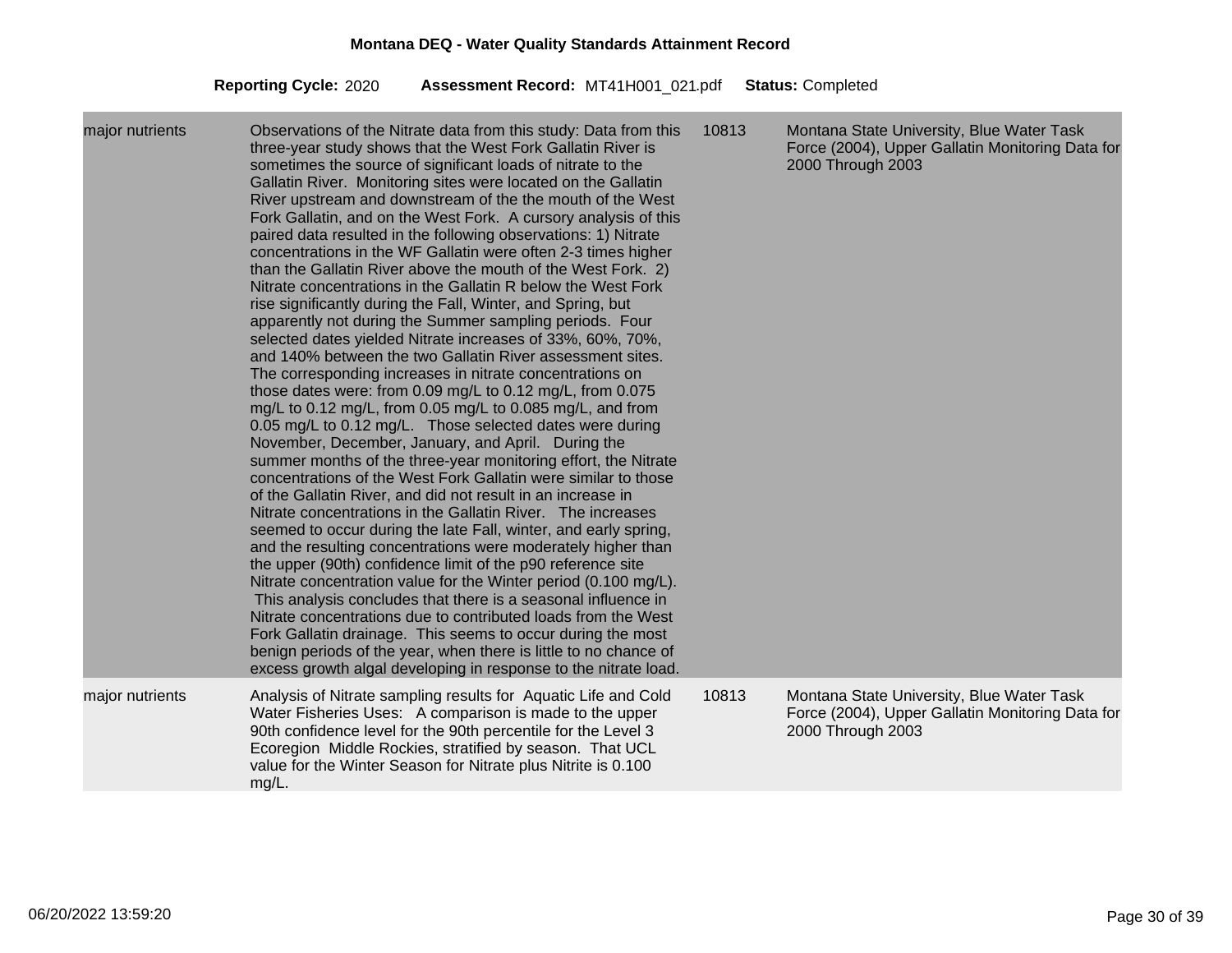| major nutrients | Observations of the Nitrate data from this study: Data from this<br>three-year study shows that the West Fork Gallatin River is<br>sometimes the source of significant loads of nitrate to the<br>Gallatin River. Monitoring sites were located on the Gallatin<br>River upstream and downstream of the the mouth of the West<br>Fork Gallatin, and on the West Fork. A cursory analysis of this<br>paired data resulted in the following observations: 1) Nitrate<br>concentrations in the WF Gallatin were often 2-3 times higher<br>than the Gallatin River above the mouth of the West Fork. 2)<br>Nitrate concentrations in the Gallatin R below the West Fork<br>rise significantly during the Fall, Winter, and Spring, but<br>apparently not during the Summer sampling periods. Four<br>selected dates yielded Nitrate increases of 33%, 60%, 70%,<br>and 140% between the two Gallatin River assessment sites.<br>The corresponding increases in nitrate concentrations on<br>those dates were: from 0.09 mg/L to 0.12 mg/L, from 0.075<br>mg/L to 0.12 mg/L, from 0.05 mg/L to 0.085 mg/L, and from<br>0.05 mg/L to 0.12 mg/L. Those selected dates were during<br>November, December, January, and April. During the<br>summer months of the three-year monitoring effort, the Nitrate<br>concentrations of the West Fork Gallatin were similar to those<br>of the Gallatin River, and did not result in an increase in<br>Nitrate concentrations in the Gallatin River. The increases<br>seemed to occur during the late Fall, winter, and early spring,<br>and the resulting concentrations were moderately higher than<br>the upper (90th) confidence limit of the p90 reference site<br>Nitrate concentration value for the Winter period (0.100 mg/L).<br>This analysis concludes that there is a seasonal influence in<br>Nitrate concentrations due to contributed loads from the West<br>Fork Gallatin drainage. This seems to occur during the most<br>benign periods of the year, when there is little to no chance of<br>excess growth algal developing in response to the nitrate load. | 10813 | Montana State University, Blue Water Task<br>Force (2004), Upper Gallatin Monitoring Data for<br>2000 Through 2003 |
|-----------------|-----------------------------------------------------------------------------------------------------------------------------------------------------------------------------------------------------------------------------------------------------------------------------------------------------------------------------------------------------------------------------------------------------------------------------------------------------------------------------------------------------------------------------------------------------------------------------------------------------------------------------------------------------------------------------------------------------------------------------------------------------------------------------------------------------------------------------------------------------------------------------------------------------------------------------------------------------------------------------------------------------------------------------------------------------------------------------------------------------------------------------------------------------------------------------------------------------------------------------------------------------------------------------------------------------------------------------------------------------------------------------------------------------------------------------------------------------------------------------------------------------------------------------------------------------------------------------------------------------------------------------------------------------------------------------------------------------------------------------------------------------------------------------------------------------------------------------------------------------------------------------------------------------------------------------------------------------------------------------------------------------------------------------------------------------------------------------------------------------------------|-------|--------------------------------------------------------------------------------------------------------------------|
| major nutrients | Analysis of Nitrate sampling results for Aquatic Life and Cold<br>Water Fisheries Uses: A comparison is made to the upper<br>90th confidence level for the 90th percentile for the Level 3<br>Ecoregion Middle Rockies, stratified by season. That UCL<br>value for the Winter Season for Nitrate plus Nitrite is 0.100<br>mg/L.                                                                                                                                                                                                                                                                                                                                                                                                                                                                                                                                                                                                                                                                                                                                                                                                                                                                                                                                                                                                                                                                                                                                                                                                                                                                                                                                                                                                                                                                                                                                                                                                                                                                                                                                                                                | 10813 | Montana State University, Blue Water Task<br>Force (2004), Upper Gallatin Monitoring Data for<br>2000 Through 2003 |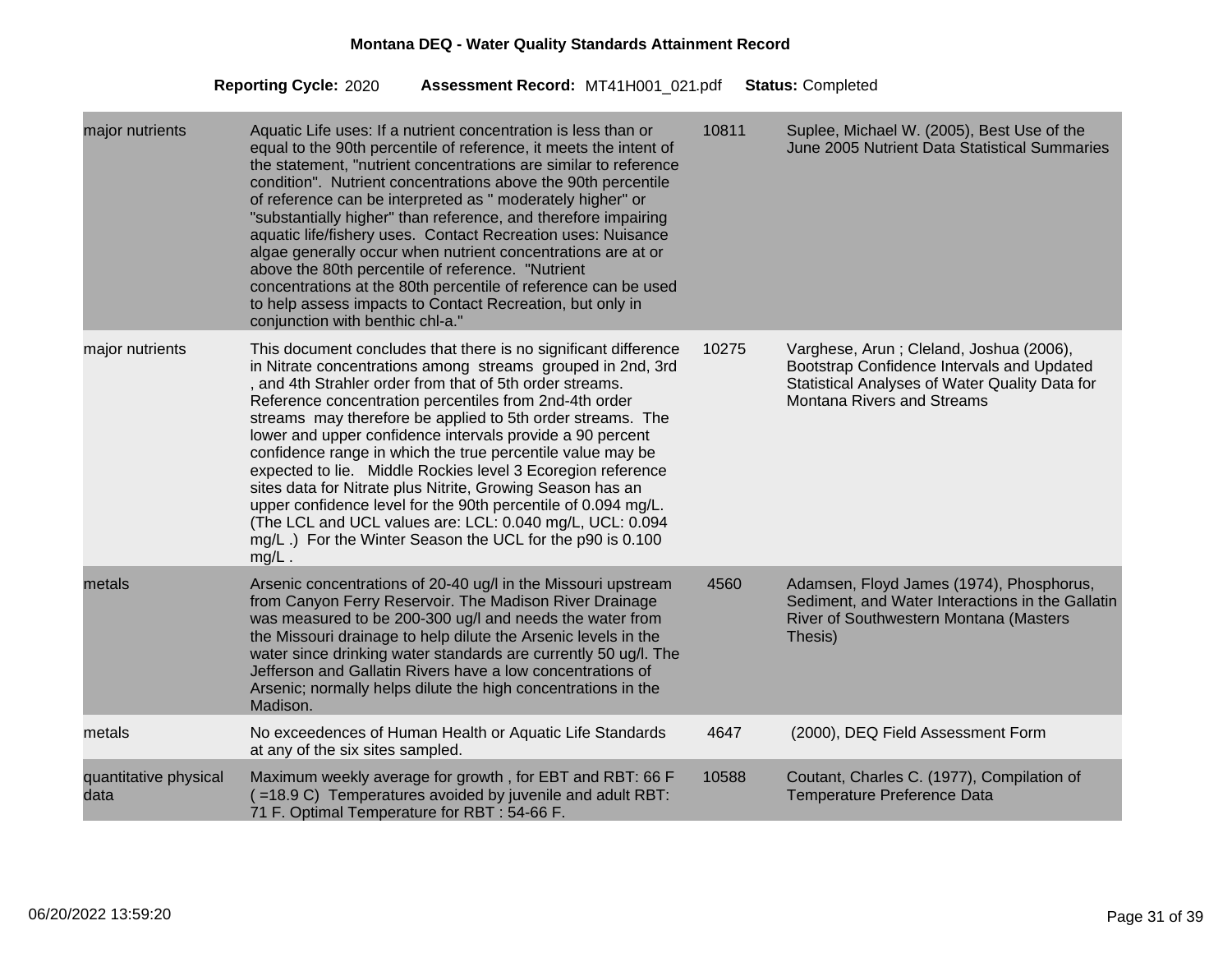| major nutrients               | Aquatic Life uses: If a nutrient concentration is less than or<br>equal to the 90th percentile of reference, it meets the intent of<br>the statement, "nutrient concentrations are similar to reference<br>condition". Nutrient concentrations above the 90th percentile<br>of reference can be interpreted as " moderately higher" or<br>"substantially higher" than reference, and therefore impairing<br>aquatic life/fishery uses. Contact Recreation uses: Nuisance<br>algae generally occur when nutrient concentrations are at or<br>above the 80th percentile of reference. "Nutrient<br>concentrations at the 80th percentile of reference can be used<br>to help assess impacts to Contact Recreation, but only in<br>conjunction with benthic chl-a."                 | 10811 | Suplee, Michael W. (2005), Best Use of the<br>June 2005 Nutrient Data Statistical Summaries                                                                                  |
|-------------------------------|----------------------------------------------------------------------------------------------------------------------------------------------------------------------------------------------------------------------------------------------------------------------------------------------------------------------------------------------------------------------------------------------------------------------------------------------------------------------------------------------------------------------------------------------------------------------------------------------------------------------------------------------------------------------------------------------------------------------------------------------------------------------------------|-------|------------------------------------------------------------------------------------------------------------------------------------------------------------------------------|
| major nutrients               | This document concludes that there is no significant difference<br>in Nitrate concentrations among streams grouped in 2nd, 3rd<br>, and 4th Strahler order from that of 5th order streams.<br>Reference concentration percentiles from 2nd-4th order<br>streams may therefore be applied to 5th order streams. The<br>lower and upper confidence intervals provide a 90 percent<br>confidence range in which the true percentile value may be<br>expected to lie. Middle Rockies level 3 Ecoregion reference<br>sites data for Nitrate plus Nitrite, Growing Season has an<br>upper confidence level for the 90th percentile of 0.094 mg/L.<br>(The LCL and UCL values are: LCL: 0.040 mg/L, UCL: 0.094<br>mg/L.) For the Winter Season the UCL for the p90 is 0.100<br>$mg/L$ . | 10275 | Varghese, Arun; Cleland, Joshua (2006),<br>Bootstrap Confidence Intervals and Updated<br>Statistical Analyses of Water Quality Data for<br><b>Montana Rivers and Streams</b> |
| metals                        | Arsenic concentrations of 20-40 ug/l in the Missouri upstream<br>from Canyon Ferry Reservoir. The Madison River Drainage<br>was measured to be 200-300 ug/l and needs the water from<br>the Missouri drainage to help dilute the Arsenic levels in the<br>water since drinking water standards are currently 50 ug/l. The<br>Jefferson and Gallatin Rivers have a low concentrations of<br>Arsenic; normally helps dilute the high concentrations in the<br>Madison.                                                                                                                                                                                                                                                                                                             | 4560  | Adamsen, Floyd James (1974), Phosphorus,<br>Sediment, and Water Interactions in the Gallatin<br>River of Southwestern Montana (Masters<br>Thesis)                            |
| metals                        | No exceedences of Human Health or Aquatic Life Standards<br>at any of the six sites sampled.                                                                                                                                                                                                                                                                                                                                                                                                                                                                                                                                                                                                                                                                                     | 4647  | (2000), DEQ Field Assessment Form                                                                                                                                            |
| quantitative physical<br>data | Maximum weekly average for growth, for EBT and RBT: 66 F<br>$($ =18.9 C) Temperatures avoided by juvenile and adult RBT:<br>71 F. Optimal Temperature for RBT: 54-66 F.                                                                                                                                                                                                                                                                                                                                                                                                                                                                                                                                                                                                          | 10588 | Coutant, Charles C. (1977), Compilation of<br><b>Temperature Preference Data</b>                                                                                             |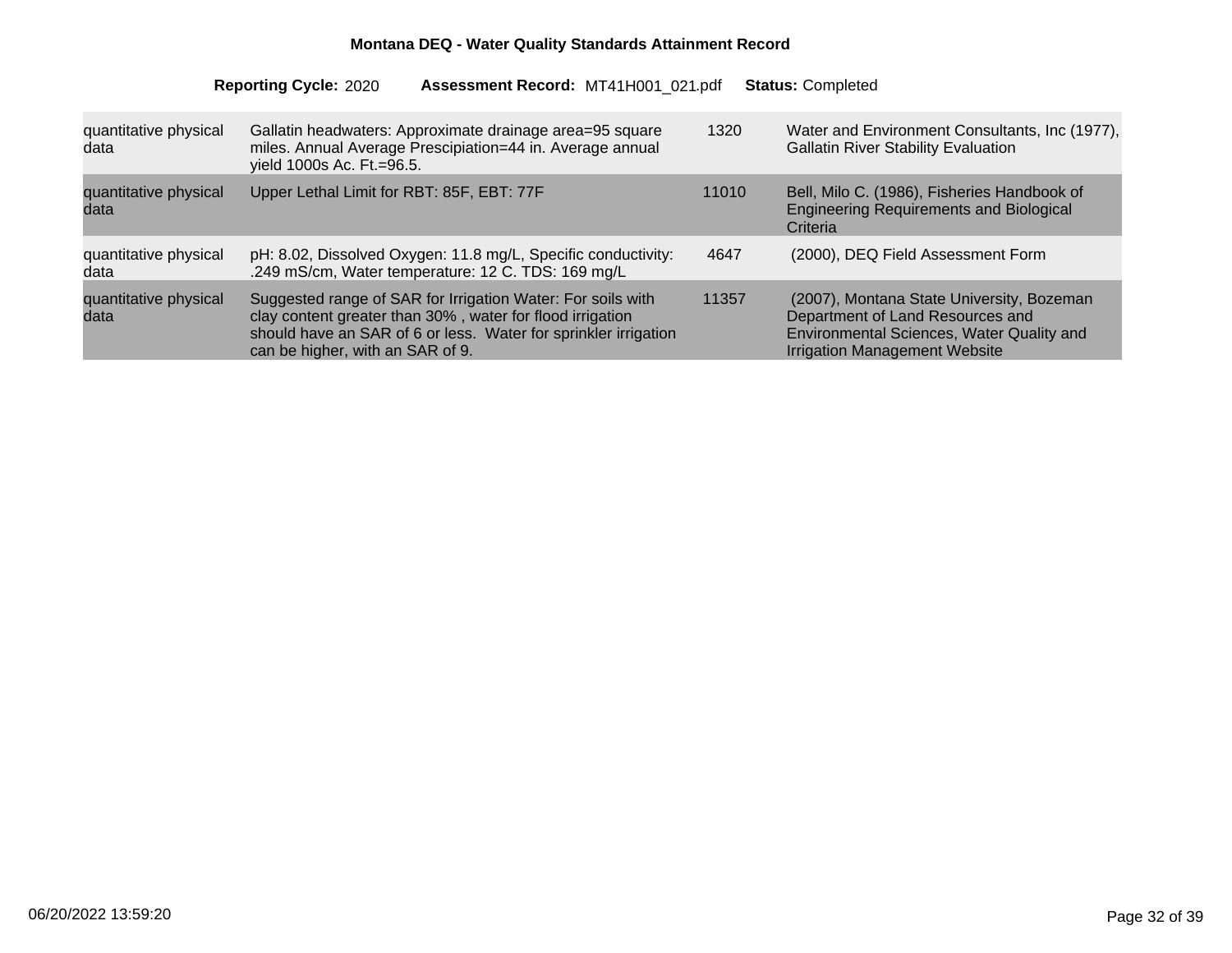| quantitative physical<br>data | Gallatin headwaters: Approximate drainage area=95 square<br>miles. Annual Average Prescipiation=44 in. Average annual<br>yield 1000s Ac. Ft.=96.5.                                                                              | 1320  | Water and Environment Consultants, Inc (1977),<br><b>Gallatin River Stability Evaluation</b>                                                                |
|-------------------------------|---------------------------------------------------------------------------------------------------------------------------------------------------------------------------------------------------------------------------------|-------|-------------------------------------------------------------------------------------------------------------------------------------------------------------|
| quantitative physical<br>data | Upper Lethal Limit for RBT: 85F, EBT: 77F                                                                                                                                                                                       | 11010 | Bell, Milo C. (1986), Fisheries Handbook of<br><b>Engineering Requirements and Biological</b><br>Criteria                                                   |
| quantitative physical<br>data | pH: 8.02, Dissolved Oxygen: 11.8 mg/L, Specific conductivity:<br>.249 mS/cm, Water temperature: 12 C. TDS: 169 mg/L                                                                                                             | 4647  | (2000), DEQ Field Assessment Form                                                                                                                           |
| quantitative physical<br>data | Suggested range of SAR for Irrigation Water: For soils with<br>clay content greater than 30%, water for flood irrigation<br>should have an SAR of 6 or less. Water for sprinkler irrigation<br>can be higher, with an SAR of 9. | 11357 | (2007), Montana State University, Bozeman<br>Department of Land Resources and<br>Environmental Sciences, Water Quality and<br>Irrigation Management Website |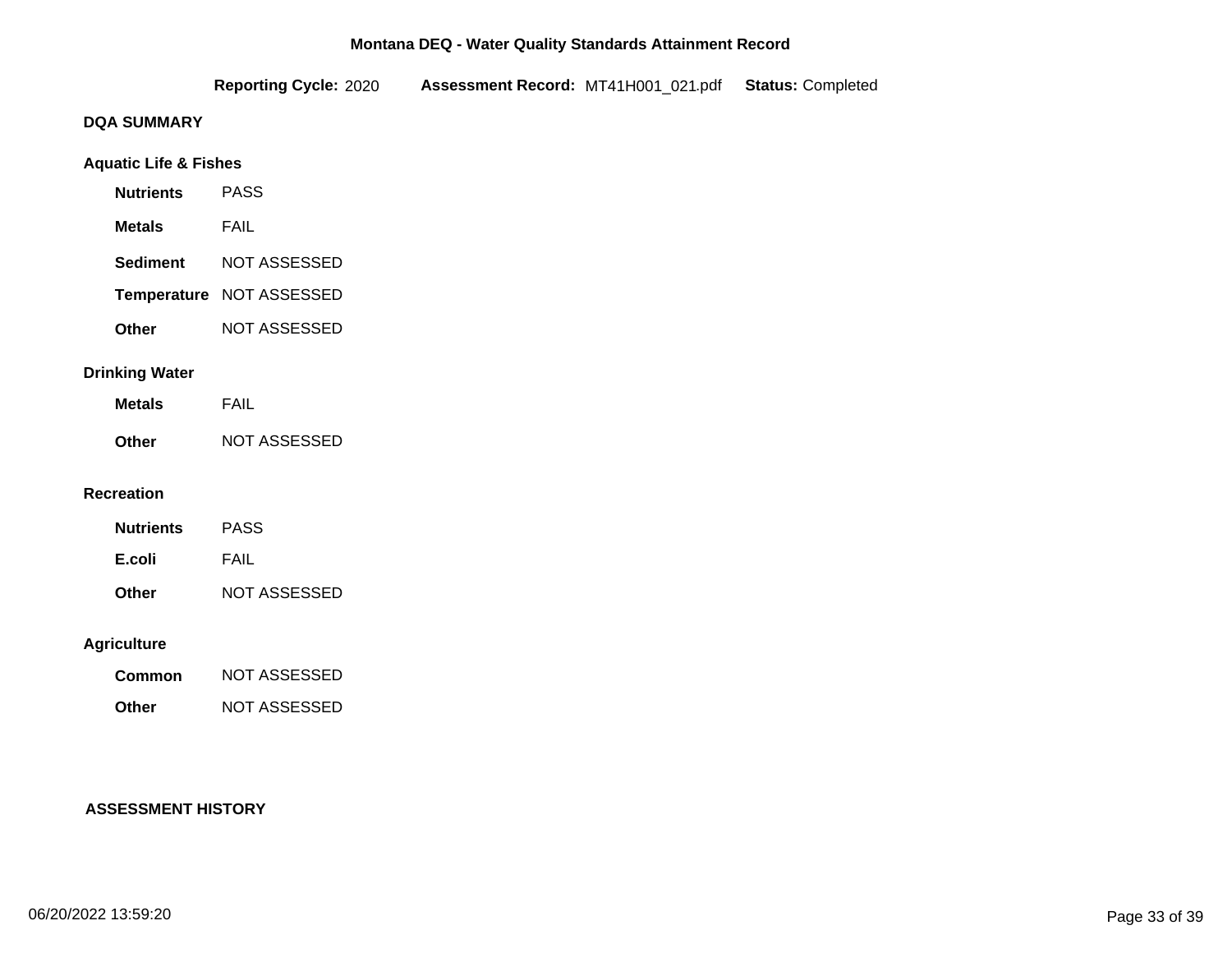|                                  | <b>Reporting Cycle: 2020</b> | Assessment Record: MT41H001_021.pdf Status: Completed |  |
|----------------------------------|------------------------------|-------------------------------------------------------|--|
| <b>DQA SUMMARY</b>               |                              |                                                       |  |
| <b>Aquatic Life &amp; Fishes</b> |                              |                                                       |  |
| <b>Nutrients</b>                 | <b>PASS</b>                  |                                                       |  |
| <b>Metals</b>                    | <b>FAIL</b>                  |                                                       |  |
| <b>Sediment</b>                  | NOT ASSESSED                 |                                                       |  |
|                                  | Temperature NOT ASSESSED     |                                                       |  |
| Other                            | NOT ASSESSED                 |                                                       |  |
| <b>Drinking Water</b>            |                              |                                                       |  |
| <b>Metals</b>                    | <b>FAIL</b>                  |                                                       |  |
| Other                            | NOT ASSESSED                 |                                                       |  |
| <b>Recreation</b>                |                              |                                                       |  |
| <b>Nutrients</b>                 | <b>PASS</b>                  |                                                       |  |
| E.coli                           | <b>FAIL</b>                  |                                                       |  |
| Other                            | NOT ASSESSED                 |                                                       |  |
| <b>Agriculture</b>               |                              |                                                       |  |
| Common                           | NOT ASSESSED                 |                                                       |  |
| Other                            | NOT ASSESSED                 |                                                       |  |

# **ASSESSMENT HISTORY**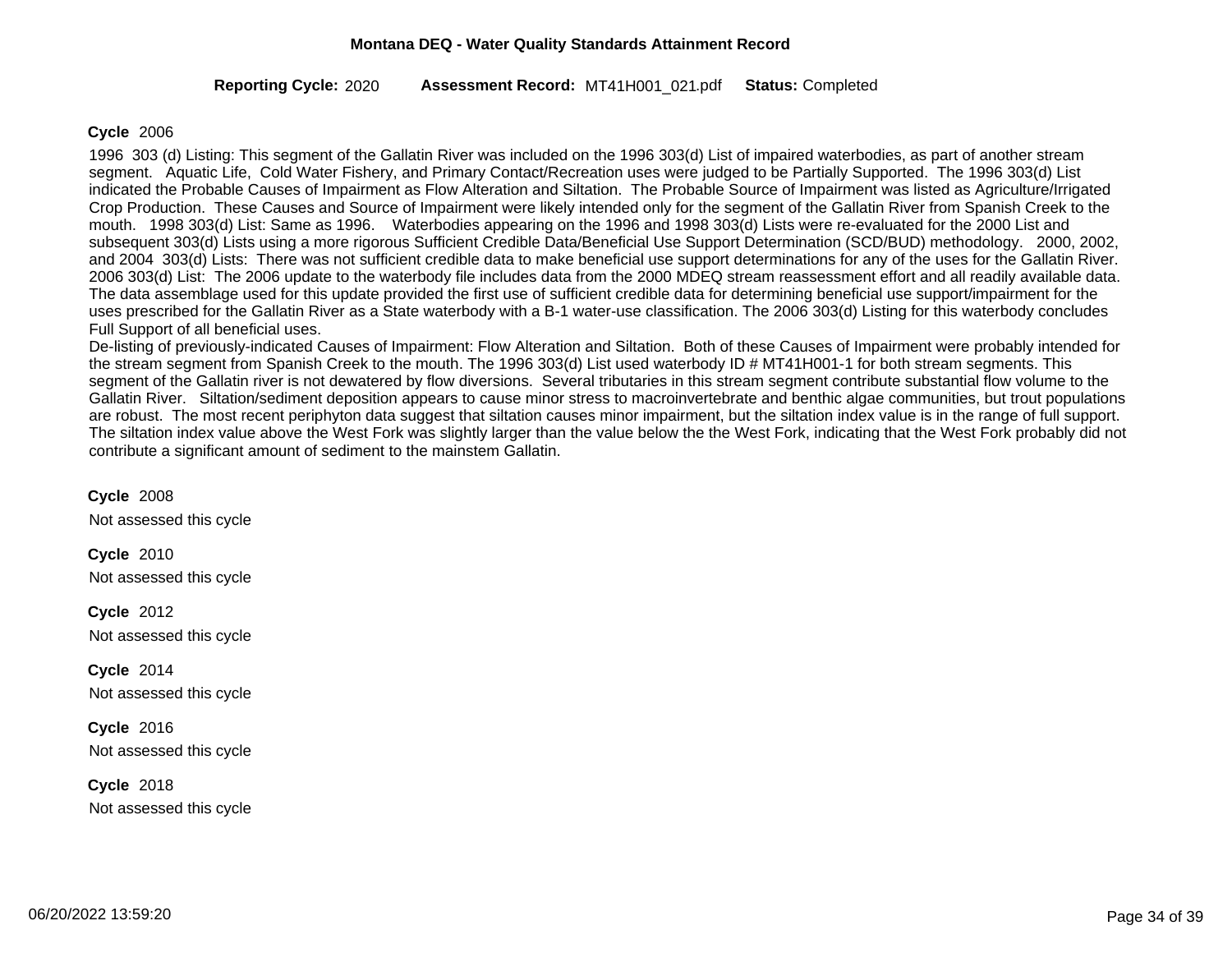#### 2020 MT41H001\_021 Completed **Reporting Cycle: Assessment Record:** .pdf **Status:**

#### **Cycle** 2006

1996 303 (d) Listing: This segment of the Gallatin River was included on the 1996 303(d) List of impaired waterbodies, as part of another stream segment. Aquatic Life, Cold Water Fishery, and Primary Contact/Recreation uses were judged to be Partially Supported. The 1996 303(d) List indicated the Probable Causes of Impairment as Flow Alteration and Siltation. The Probable Source of Impairment was listed as Agriculture/Irrigated Crop Production. These Causes and Source of Impairment were likely intended only for the segment of the Gallatin River from Spanish Creek to the mouth. 1998 303(d) List: Same as 1996. Waterbodies appearing on the 1996 and 1998 303(d) Lists were re-evaluated for the 2000 List and subsequent 303(d) Lists using a more rigorous Sufficient Credible Data/Beneficial Use Support Determination (SCD/BUD) methodology. 2000, 2002, and 2004 303(d) Lists: There was not sufficient credible data to make beneficial use support determinations for any of the uses for the Gallatin River. 2006 303(d) List: The 2006 update to the waterbody file includes data from the 2000 MDEQ stream reassessment effort and all readily available data. The data assemblage used for this update provided the first use of sufficient credible data for determining beneficial use support/impairment for the uses prescribed for the Gallatin River as a State waterbody with a B-1 water-use classification. The 2006 303(d) Listing for this waterbody concludes Full Support of all beneficial uses.

De-listing of previously-indicated Causes of Impairment: Flow Alteration and Siltation. Both of these Causes of Impairment were probably intended for the stream segment from Spanish Creek to the mouth. The 1996 303(d) List used waterbody ID # MT41H001-1 for both stream segments. This segment of the Gallatin river is not dewatered by flow diversions. Several tributaries in this stream segment contribute substantial flow volume to the Gallatin River. Siltation/sediment deposition appears to cause minor stress to macroinvertebrate and benthic algae communities, but trout populations are robust. The most recent periphyton data suggest that siltation causes minor impairment, but the siltation index value is in the range of full support. The siltation index value above the West Fork was slightly larger than the value below the the West Fork, indicating that the West Fork probably did not contribute a significant amount of sediment to the mainstem Gallatin.

Not assessed this cycle **Cycle** 2008 Not assessed this cycle **Cycle** 2010 Not assessed this cycle **Cycle** 2012 Not assessed this cycle **Cycle** 2014 Not assessed this cycle **Cycle** 2016

Not assessed this cycle **Cycle** 2018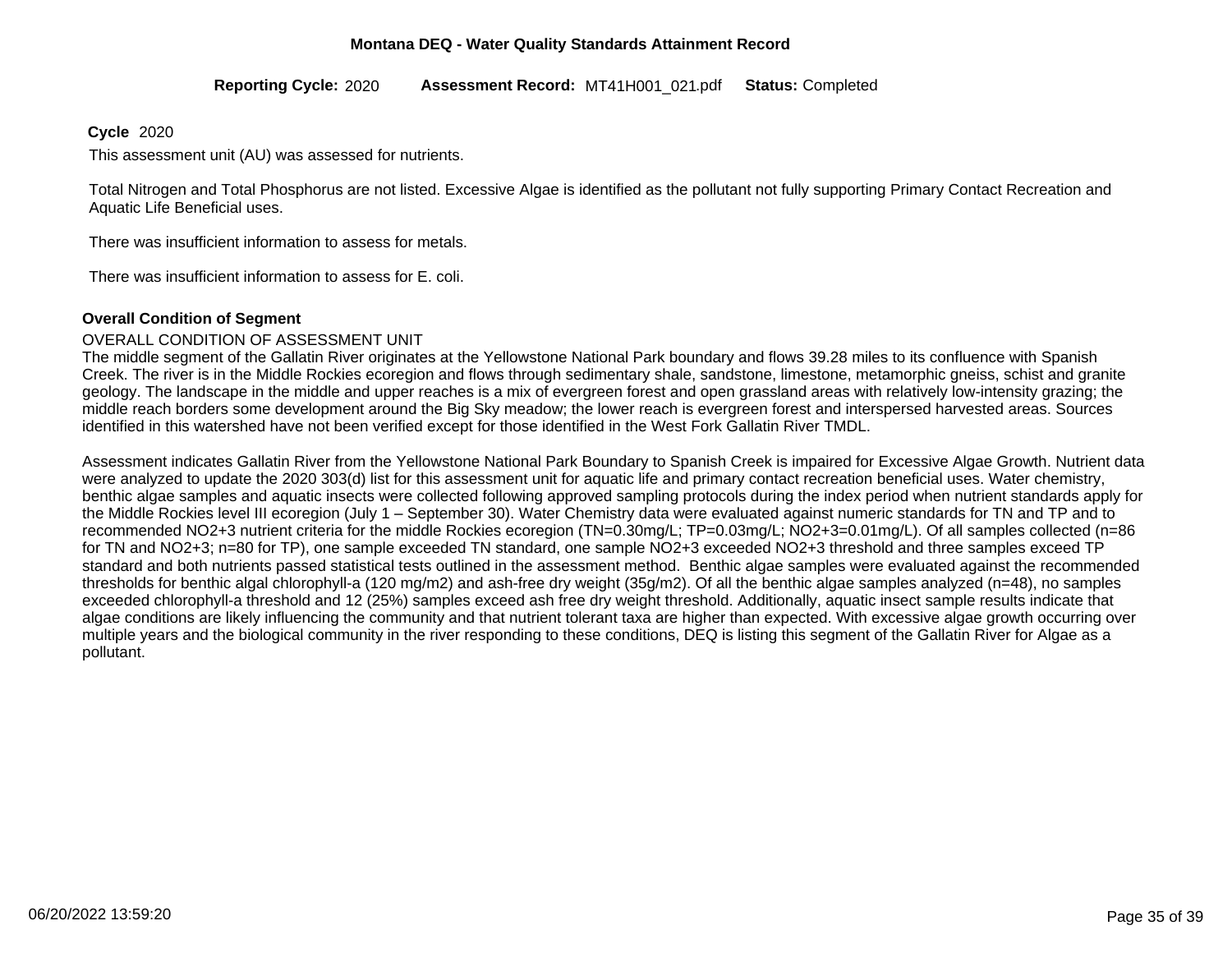2020 MT41H001\_021 Completed **Reporting Cycle: Assessment Record:** .pdf **Status:**

#### **Cycle** 2020

This assessment unit (AU) was assessed for nutrients.

Total Nitrogen and Total Phosphorus are not listed. Excessive Algae is identified as the pollutant not fully supporting Primary Contact Recreation and Aquatic Life Beneficial uses.

There was insufficient information to assess for metals.

There was insufficient information to assess for E. coli.

#### **Overall Condition of Segment**

#### OVERALL CONDITION OF ASSESSMENT UNIT

The middle segment of the Gallatin River originates at the Yellowstone National Park boundary and flows 39.28 miles to its confluence with Spanish Creek. The river is in the Middle Rockies ecoregion and flows through sedimentary shale, sandstone, limestone, metamorphic gneiss, schist and granite geology. The landscape in the middle and upper reaches is a mix of evergreen forest and open grassland areas with relatively low-intensity grazing; the middle reach borders some development around the Big Sky meadow; the lower reach is evergreen forest and interspersed harvested areas. Sources identified in this watershed have not been verified except for those identified in the West Fork Gallatin River TMDL.

Assessment indicates Gallatin River from the Yellowstone National Park Boundary to Spanish Creek is impaired for Excessive Algae Growth. Nutrient data were analyzed to update the 2020 303(d) list for this assessment unit for aquatic life and primary contact recreation beneficial uses. Water chemistry, benthic algae samples and aquatic insects were collected following approved sampling protocols during the index period when nutrient standards apply for the Middle Rockies level III ecoregion (July 1 – September 30). Water Chemistry data were evaluated against numeric standards for TN and TP and to recommended NO2+3 nutrient criteria for the middle Rockies ecoregion (TN=0.30mg/L; TP=0.03mg/L; NO2+3=0.01mg/L). Of all samples collected (n=86 for TN and NO2+3; n=80 for TP), one sample exceeded TN standard, one sample NO2+3 exceeded NO2+3 threshold and three samples exceed TP standard and both nutrients passed statistical tests outlined in the assessment method. Benthic algae samples were evaluated against the recommended thresholds for benthic algal chlorophyll-a (120 mg/m2) and ash-free dry weight (35g/m2). Of all the benthic algae samples analyzed (n=48), no samples exceeded chlorophyll-a threshold and 12 (25%) samples exceed ash free dry weight threshold. Additionally, aquatic insect sample results indicate that algae conditions are likely influencing the community and that nutrient tolerant taxa are higher than expected. With excessive algae growth occurring over multiple years and the biological community in the river responding to these conditions, DEQ is listing this segment of the Gallatin River for Algae as a pollutant.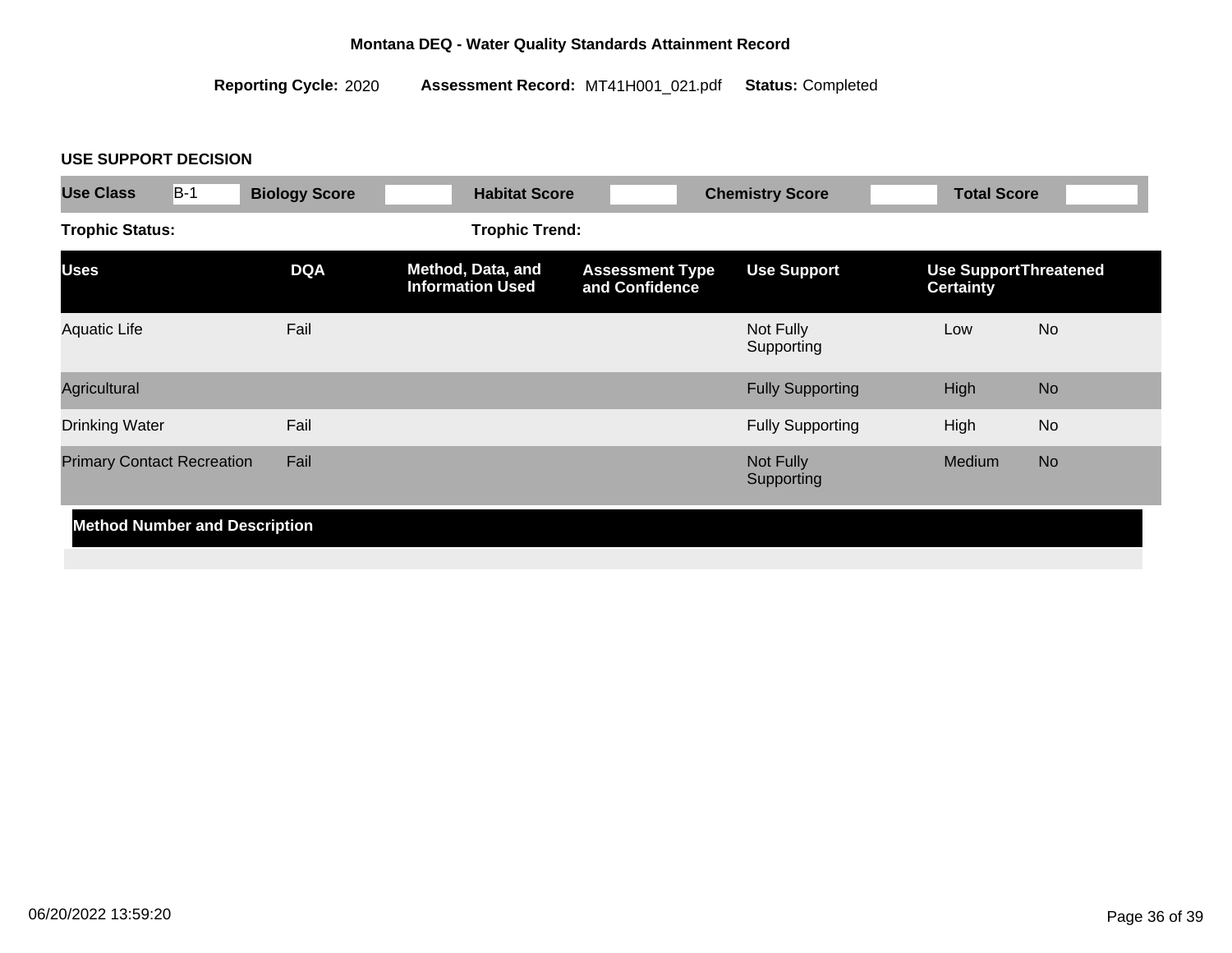2020 MT41H001\_021 Completed **Reporting Cycle: Assessment Record:** .pdf **Status:**

# **USE SUPPORT DECISION**

| <b>Use Class</b>                  | $B-1$<br><b>Biology Score</b>        | <b>Habitat Score</b>                         | <b>Chemistry Score</b>                   |                         | <b>Total Score</b>                               |
|-----------------------------------|--------------------------------------|----------------------------------------------|------------------------------------------|-------------------------|--------------------------------------------------|
| <b>Trophic Status:</b>            |                                      | <b>Trophic Trend:</b>                        |                                          |                         |                                                  |
| <b>Uses</b>                       | <b>DQA</b>                           | Method, Data, and<br><b>Information Used</b> | <b>Assessment Type</b><br>and Confidence | <b>Use Support</b>      | <b>Use SupportThreatened</b><br><b>Certainty</b> |
| <b>Aquatic Life</b>               | Fail                                 |                                              |                                          | Not Fully<br>Supporting | <b>No</b><br>Low                                 |
| Agricultural                      |                                      |                                              |                                          | <b>Fully Supporting</b> | <b>No</b><br>High                                |
| <b>Drinking Water</b>             | Fail                                 |                                              |                                          | <b>Fully Supporting</b> | High<br><b>No</b>                                |
| <b>Primary Contact Recreation</b> | Fail                                 |                                              |                                          | Not Fully<br>Supporting | <b>No</b><br>Medium                              |
|                                   | <b>Method Number and Description</b> |                                              |                                          |                         |                                                  |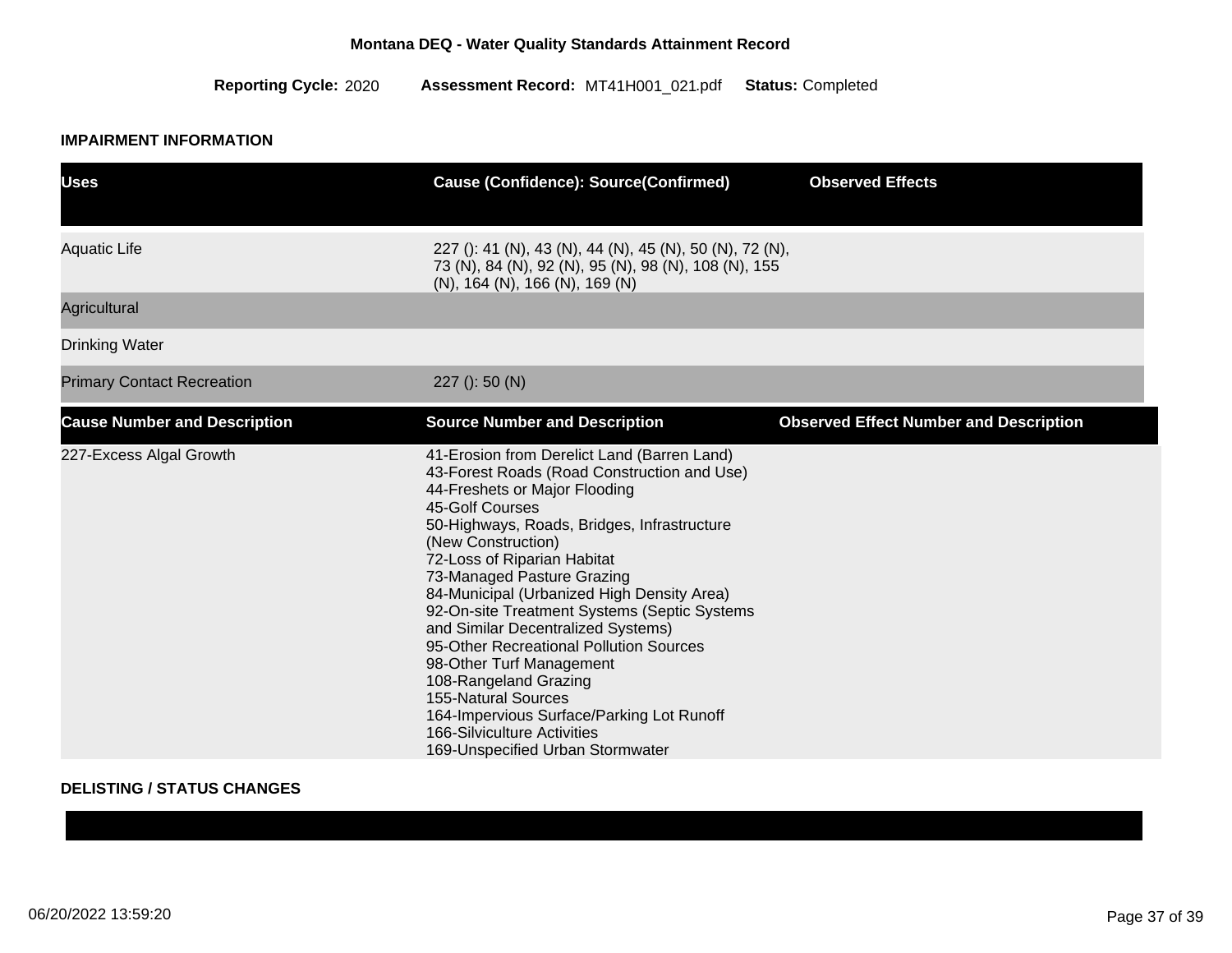2020 MT41H001\_021 Completed **Reporting Cycle: Assessment Record:** .pdf **Status:**

# **IMPAIRMENT INFORMATION**

| <b>Uses</b>                         | <b>Cause (Confidence): Source(Confirmed)</b>                                                                                                                                                                                                                                                                                                                                                                                                                                                                                                                                                                                                                       | <b>Observed Effects</b>                       |
|-------------------------------------|--------------------------------------------------------------------------------------------------------------------------------------------------------------------------------------------------------------------------------------------------------------------------------------------------------------------------------------------------------------------------------------------------------------------------------------------------------------------------------------------------------------------------------------------------------------------------------------------------------------------------------------------------------------------|-----------------------------------------------|
| <b>Aquatic Life</b>                 | 227 (): 41 (N), 43 (N), 44 (N), 45 (N), 50 (N), 72 (N),<br>73 (N), 84 (N), 92 (N), 95 (N), 98 (N), 108 (N), 155<br>$(N)$ , 164 $(N)$ , 166 $(N)$ , 169 $(N)$                                                                                                                                                                                                                                                                                                                                                                                                                                                                                                       |                                               |
| Agricultural                        |                                                                                                                                                                                                                                                                                                                                                                                                                                                                                                                                                                                                                                                                    |                                               |
| <b>Drinking Water</b>               |                                                                                                                                                                                                                                                                                                                                                                                                                                                                                                                                                                                                                                                                    |                                               |
| <b>Primary Contact Recreation</b>   | $227$ (): 50 (N)                                                                                                                                                                                                                                                                                                                                                                                                                                                                                                                                                                                                                                                   |                                               |
| <b>Cause Number and Description</b> | <b>Source Number and Description</b>                                                                                                                                                                                                                                                                                                                                                                                                                                                                                                                                                                                                                               | <b>Observed Effect Number and Description</b> |
| 227-Excess Algal Growth             | 41-Erosion from Derelict Land (Barren Land)<br>43-Forest Roads (Road Construction and Use)<br>44-Freshets or Major Flooding<br>45-Golf Courses<br>50-Highways, Roads, Bridges, Infrastructure<br>(New Construction)<br>72-Loss of Riparian Habitat<br>73-Managed Pasture Grazing<br>84-Municipal (Urbanized High Density Area)<br>92-On-site Treatment Systems (Septic Systems<br>and Similar Decentralized Systems)<br>95-Other Recreational Pollution Sources<br>98-Other Turf Management<br>108-Rangeland Grazing<br><b>155-Natural Sources</b><br>164-Impervious Surface/Parking Lot Runoff<br>166-Silviculture Activities<br>169-Unspecified Urban Stormwater |                                               |

### **DELISTING / STATUS CHANGES**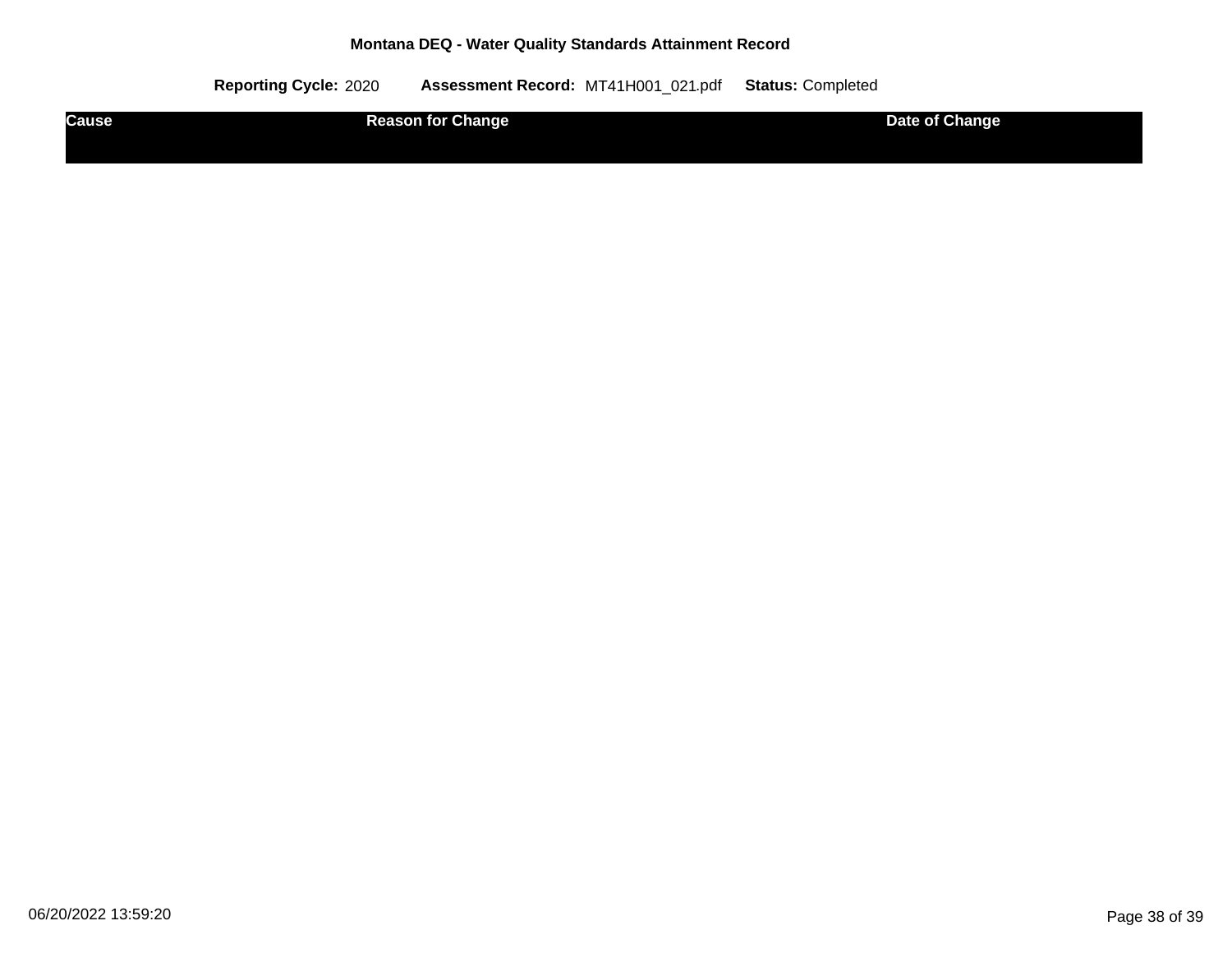| Causeˈ | <b>Reason for Change</b> | Date of Change |
|--------|--------------------------|----------------|
|        |                          |                |